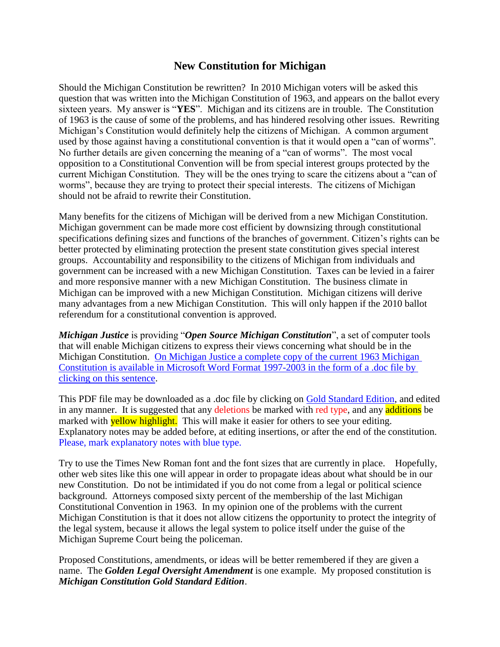# **New Constitution for Michigan**

Should the Michigan Constitution be rewritten? In 2010 Michigan voters will be asked this question that was written into the Michigan Constitution of 1963, and appears on the ballot every sixteen years. My answer is "**YES**". Michigan and its citizens are in trouble. The Constitution of 1963 is the cause of some of the problems, and has hindered resolving other issues. Rewriting Michigan's Constitution would definitely help the citizens of Michigan. A common argument used by those against having a constitutional convention is that it would open a "can of worms". No further details are given concerning the meaning of a "can of worms". The most vocal opposition to a Constitutional Convention will be from special interest groups protected by the current Michigan Constitution. They will be the ones trying to scare the citizens about a "can of worms", because they are trying to protect their special interests. The citizens of Michigan should not be afraid to rewrite their Constitution.

Many benefits for the citizens of Michigan will be derived from a new Michigan Constitution. Michigan government can be made more cost efficient by downsizing through constitutional specifications defining sizes and functions of the branches of government. Citizen's rights can be better protected by eliminating protection the present state constitution gives special interest groups. Accountability and responsibility to the citizens of Michigan from individuals and government can be increased with a new Michigan Constitution. Taxes can be levied in a fairer and more responsive manner with a new Michigan Constitution. The business climate in Michigan can be improved with a new Michigan Constitution. Michigan citizens will derive many advantages from a new Michigan Constitution. This will only happen if the 2010 ballot referendum for a constitutional convention is approved.

*Michigan Justice* is providing "*Open Source Michigan Constitution*", a set of computer tools that will enable Michigan citizens to express their views concerning what should be in the Michigan Constitution. [On Michigan Justice a complete copy of the current 1963 Michigan](http://www.tagolden.com/MI%20CON%201963.doc)  [Constitution is available in Microsoft Word Format 1997-2003 in the form of a .doc file by](http://www.tagolden.com/MI%20CON%201963.doc)  [clicking on this sentence.](http://www.tagolden.com/MI%20CON%201963.doc)

This PDF file may be downloaded as a .doc file by clicking on [Gold Standard Edition,](Gold%20Standard.doc) and edited in any manner. It is suggested that any deletions be marked with red type, and any additions be marked with **yellow highlight.** This will make it easier for others to see your editing. Explanatory notes may be added before, at editing insertions, or after the end of the constitution. Please, mark explanatory notes with blue type.

Try to use the Times New Roman font and the font sizes that are currently in place. Hopefully, other web sites like this one will appear in order to propagate ideas about what should be in our new Constitution. Do not be intimidated if you do not come from a legal or political science background. Attorneys composed sixty percent of the membership of the last Michigan Constitutional Convention in 1963. In my opinion one of the problems with the current Michigan Constitution is that it does not allow citizens the opportunity to protect the integrity of the legal system, because it allows the legal system to police itself under the guise of the Michigan Supreme Court being the policeman.

Proposed Constitutions, amendments, or ideas will be better remembered if they are given a name. The *Golden Legal Oversight Amendment* is one example. My proposed constitution is *Michigan Constitution Gold Standard Edition*.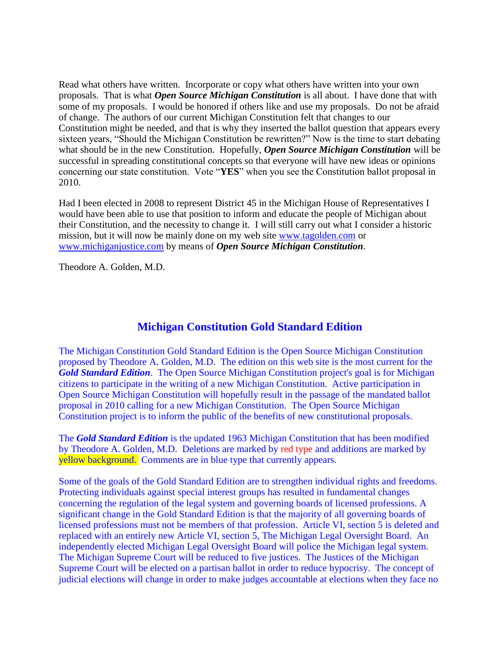Read what others have written. Incorporate or copy what others have written into your own proposals. That is what *Open Source Michigan Constitution* is all about. I have done that with some of my proposals. I would be honored if others like and use my proposals. Do not be afraid of change. The authors of our current Michigan Constitution felt that changes to our Constitution might be needed, and that is why they inserted the ballot question that appears every sixteen years, "Should the Michigan Constitution be rewritten?" Now is the time to start debating what should be in the new Constitution. Hopefully, *Open Source Michigan Constitution* will be successful in spreading constitutional concepts so that everyone will have new ideas or opinions concerning our state constitution. Vote "**YES**" when you see the Constitution ballot proposal in 2010.

Had I been elected in 2008 to represent District 45 in the Michigan House of Representatives I would have been able to use that position to inform and educate the people of Michigan about their Constitution, and the necessity to change it. I will still carry out what I consider a historic mission, but it will now be mainly done on my web site [www.tagolden.com](http://www.tagolden.com/) or [www.michiganjustice.com](http://www.michiganjustice.com/) by means of *Open Source Michigan Constitution*.

Theodore A. Golden, M.D.

# **Michigan Constitution Gold Standard Edition**

The Michigan Constitution Gold Standard Edition is the Open Source Michigan Constitution proposed by Theodore A. Golden, M.D. The edition on this web site is the most current for the *Gold Standard Edition*. The Open Source Michigan Constitution project's goal is for Michigan citizens to participate in the writing of a new Michigan Constitution. Active participation in Open Source Michigan Constitution will hopefully result in the passage of the mandated ballot proposal in 2010 calling for a new Michigan Constitution. The Open Source Michigan Constitution project is to inform the public of the benefits of new constitutional proposals.

The *Gold Standard Edition* is the updated 1963 Michigan Constitution that has been modified by Theodore A. Golden, M.D. Deletions are marked by red type and additions are marked by yellow background. Comments are in blue type that currently appears.

Some of the goals of the Gold Standard Edition are to strengthen individual rights and freedoms. Protecting individuals against special interest groups has resulted in fundamental changes concerning the regulation of the legal system and governing boards of licensed professions. A significant change in the Gold Standard Edition is that the majority of all governing boards of licensed professions must not be members of that profession. Article VI, section 5 is deleted and replaced with an entirely new Article VI, section 5, The Michigan Legal Oversight Board. An independently elected Michigan Legal Oversight Board will police the Michigan legal system. The Michigan Supreme Court will be reduced to five justices. The Justices of the Michigan Supreme Court will be elected on a partisan ballot in order to reduce hypocrisy. The concept of judicial elections will change in order to make judges accountable at elections when they face no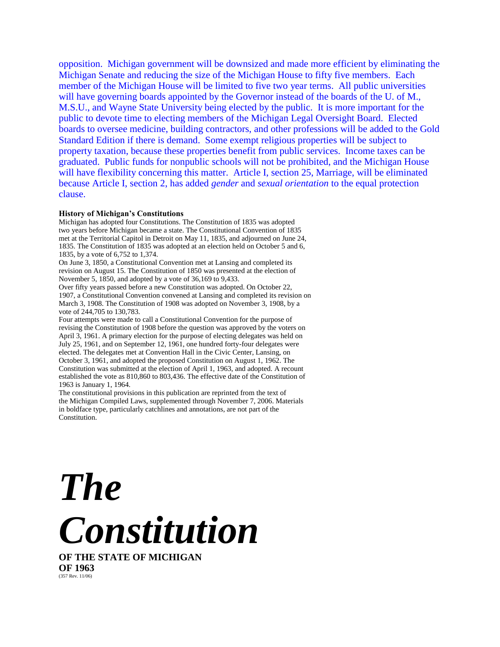opposition. Michigan government will be downsized and made more efficient by eliminating the Michigan Senate and reducing the size of the Michigan House to fifty five members. Each member of the Michigan House will be limited to five two year terms. All public universities will have governing boards appointed by the Governor instead of the boards of the U. of M., M.S.U., and Wayne State University being elected by the public. It is more important for the public to devote time to electing members of the Michigan Legal Oversight Board. Elected boards to oversee medicine, building contractors, and other professions will be added to the Gold Standard Edition if there is demand. Some exempt religious properties will be subject to property taxation, because these properties benefit from public services. Income taxes can be graduated. Public funds for nonpublic schools will not be prohibited, and the Michigan House will have flexibility concerning this matter. Article I, section 25, Marriage, will be eliminated because Article I, section 2, has added *gender* and *sexual orientation* to the equal protection clause.

#### **History of Michigan's Constitutions**

Michigan has adopted four Constitutions. The Constitution of 1835 was adopted two years before Michigan became a state. The Constitutional Convention of 1835 met at the Territorial Capitol in Detroit on May 11, 1835, and adjourned on June 24, 1835. The Constitution of 1835 was adopted at an election held on October 5 and 6, 1835, by a vote of 6,752 to 1,374.

On June 3, 1850, a Constitutional Convention met at Lansing and completed its revision on August 15. The Constitution of 1850 was presented at the election of November 5, 1850, and adopted by a vote of 36,169 to 9,433.

Over fifty years passed before a new Constitution was adopted. On October 22, 1907, a Constitutional Convention convened at Lansing and completed its revision on March 3, 1908. The Constitution of 1908 was adopted on November 3, 1908, by a vote of 244,705 to 130,783.

Four attempts were made to call a Constitutional Convention for the purpose of revising the Constitution of 1908 before the question was approved by the voters on April 3, 1961. A primary election for the purpose of electing delegates was held on July 25, 1961, and on September 12, 1961, one hundred forty-four delegates were elected. The delegates met at Convention Hall in the Civic Center, Lansing, on October 3, 1961, and adopted the proposed Constitution on August 1, 1962. The Constitution was submitted at the election of April 1, 1963, and adopted. A recount established the vote as 810,860 to 803,436. The effective date of the Constitution of 1963 is January 1, 1964.

The constitutional provisions in this publication are reprinted from the text of the Michigan Compiled Laws, supplemented through November 7, 2006. Materials in boldface type, particularly catchlines and annotations, are not part of the Constitution.

*The Constitution*

**OF THE STATE OF MICHIGAN OF 1963** (357 Rev. 11/06)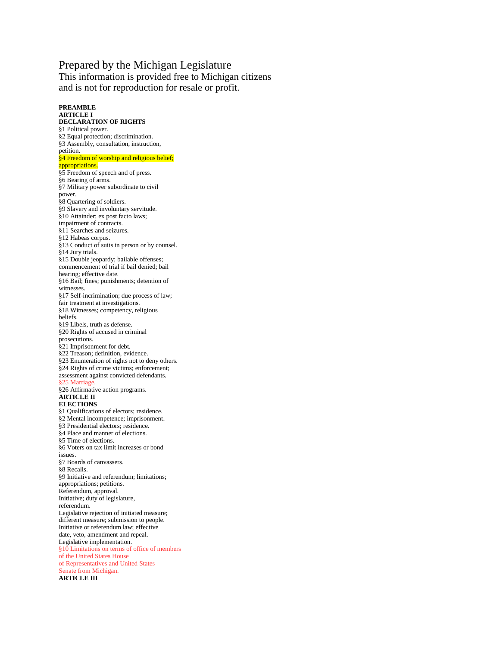# Prepared by the Michigan Legislature

This information is provided free to Michigan citizens and is not for reproduction for resale or profit.

**PREAMBLE ARTICLE I DECLARATION OF RIGHTS** §1 Political power. §2 Equal protection; discrimination. §3 Assembly, consultation, instruction, petition. §4 Freedom of worship and religious belief; appropriations. §5 Freedom of speech and of press. §6 Bearing of arms. §7 Military power subordinate to civil power. §8 Quartering of soldiers. §9 Slavery and involuntary servitude. §10 Attainder; ex post facto laws; impairment of contracts. §11 Searches and seizures. §12 Habeas corpus. §13 Conduct of suits in person or by counsel. §14 Jury trials. §15 Double jeopardy; bailable offenses; commencement of trial if bail denied; bail hearing; effective date. §16 Bail; fines; punishments; detention of witnesses. §17 Self-incrimination; due process of law; fair treatment at investigations. §18 Witnesses; competency, religious beliefs. §19 Libels, truth as defense. §20 Rights of accused in criminal prosecutions. §21 Imprisonment for debt. §22 Treason; definition, evidence. §23 Enumeration of rights not to deny others. §24 Rights of crime victims; enforcement; assessment against convicted defendants. §25 Marriage. §26 Affirmative action programs. **ARTICLE II ELECTIONS** §1 Qualifications of electors; residence. §2 Mental incompetence; imprisonment. §3 Presidential electors; residence. §4 Place and manner of elections. §5 Time of elections. §6 Voters on tax limit increases or bond issues. §7 Boards of canvassers. §8 Recalls. §9 Initiative and referendum; limitations; appropriations; petitions. Referendum, approval. Initiative; duty of legislature, referendum. Legislative rejection of initiated measure; different measure; submission to people. Initiative or referendum law; effective date, veto, amendment and repeal. Legislative implementation. §10 Limitations on terms of office of members of the United States House of Representatives and United States Senate from Michigan. **ARTICLE III**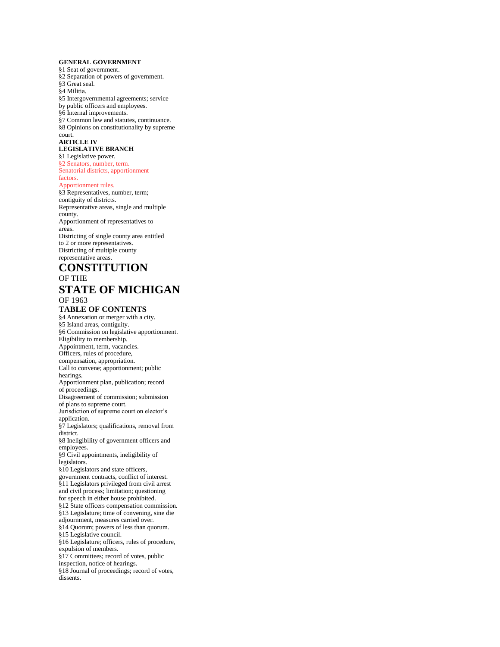#### **GENERAL GOVERNMENT**

- §1 Seat of government.
- §2 Separation of powers of government.
- §3 Great seal.
- §4 Militia.
- §5 Intergovernmental agreements; service
- by public officers and employees.
- §6 Internal improvements.

§7 Common law and statutes, continuance. §8 Opinions on constitutionality by supreme

## court.

## **ARTICLE IV**

## **LEGISLATIVE BRANCH**

§1 Legislative power.

§2 Senators, number, term. Senatorial districts, apportionment factors.

## Apportionment rules.

§3 Representatives, number, term; contiguity of districts. Representative areas, single and multiple  $\overline{\text{conv}}$ . Apportionment of representatives to areas. Districting of single county area entitled to 2 or more representatives. Districting of multiple county representative areas.

## **CONSTITUTION**

## OF THE **STATE OF MICHIGAN** OF 1963

## **TABLE OF CONTENTS**

§4 Annexation or merger with a city. §5 Island areas, contiguity. §6 Commission on legislative apportionment. Eligibility to membership. Appointment, term, vacancies. Officers, rules of procedure, compensation, appropriation. Call to convene; apportionment; public hearings. Apportionment plan, publication; record of proceedings. Disagreement of commission; submission of plans to supreme court. Jurisdiction of supreme court on elector's application. §7 Legislators; qualifications, removal from district. §8 Ineligibility of government officers and employees. §9 Civil appointments, ineligibility of legislators. §10 Legislators and state officers, government contracts, conflict of interest. §11 Legislators privileged from civil arrest and civil process; limitation; questioning for speech in either house prohibited. §12 State officers compensation commission. §13 Legislature; time of convening, sine die adjournment, measures carried over. §14 Quorum; powers of less than quorum. §15 Legislative council. §16 Legislature; officers, rules of procedure, expulsion of members. §17 Committees; record of votes, public inspection, notice of hearings. §18 Journal of proceedings; record of votes, dissents.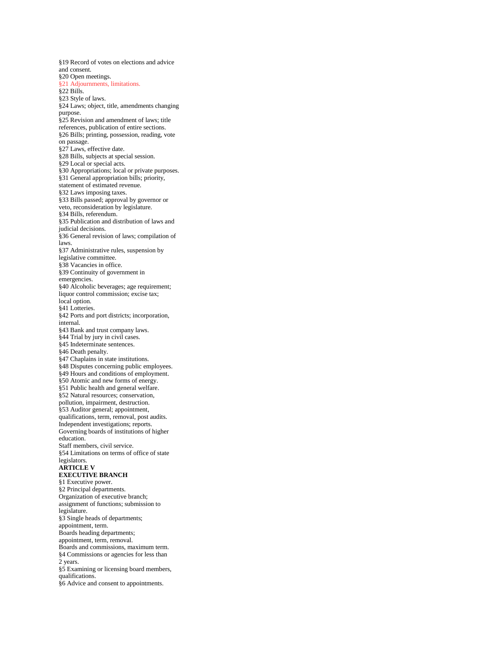§19 Record of votes on elections and advice and consent. §20 Open meetings. §21 Adjournments, limitations. §22 Bills. §23 Style of laws. §24 Laws; object, title, amendments changing purpose. §25 Revision and amendment of laws; title references, publication of entire sections. §26 Bills; printing, possession, reading, vote on passage. §27 Laws, effective date. §28 Bills, subjects at special session. §29 Local or special acts. §30 Appropriations; local or private purposes. §31 General appropriation bills; priority, statement of estimated revenue. §32 Laws imposing taxes. §33 Bills passed; approval by governor or veto, reconsideration by legislature. §34 Bills, referendum. §35 Publication and distribution of laws and judicial decisions. §36 General revision of laws; compilation of laws. §37 Administrative rules, suspension by legislative committee. §38 Vacancies in office. §39 Continuity of government in emergencies. §40 Alcoholic beverages; age requirement; liquor control commission; excise tax; local option. §41 Lotteries. §42 Ports and port districts; incorporation, internal. §43 Bank and trust company laws. §44 Trial by jury in civil cases. §45 Indeterminate sentences. §46 Death penalty. §47 Chaplains in state institutions. §48 Disputes concerning public employees. §49 Hours and conditions of employment. §50 Atomic and new forms of energy. §51 Public health and general welfare. §52 Natural resources; conservation, pollution, impairment, destruction. §53 Auditor general; appointment, qualifications, term, removal, post audits. Independent investigations; reports. Governing boards of institutions of higher education. Staff members, civil service. §54 Limitations on terms of office of state legislators. **ARTICLE V EXECUTIVE BRANCH** §1 Executive power. §2 Principal departments. Organization of executive branch; assignment of functions; submission to legislature. §3 Single heads of departments; appointment, term. Boards heading departments; appointment, term, removal. Boards and commissions, maximum term. §4 Commissions or agencies for less than 2 years. §5 Examining or licensing board members, qualifications. §6 Advice and consent to appointments.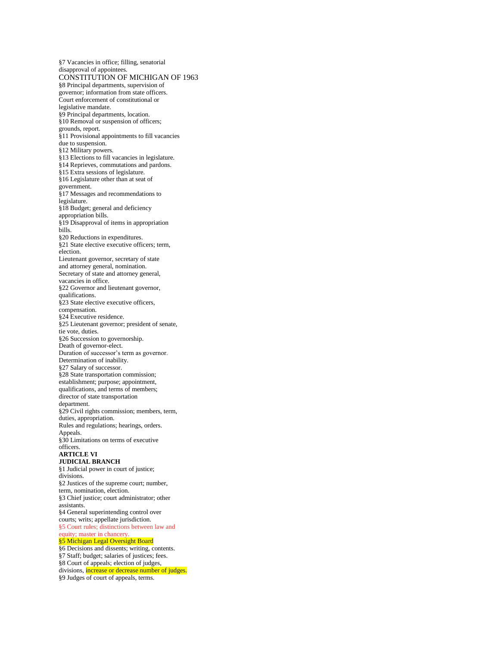§7 Vacancies in office; filling, senatorial disapproval of appointees. CONSTITUTION OF MICHIGAN OF 1963 §8 Principal departments, supervision of governor; information from state officers. Court enforcement of constitutional or legislative mandate. §9 Principal departments, location. §10 Removal or suspension of officers; grounds, report. §11 Provisional appointments to fill vacancies due to suspension. §12 Military powers. §13 Elections to fill vacancies in legislature. §14 Reprieves, commutations and pardons. §15 Extra sessions of legislature. §16 Legislature other than at seat of government. §17 Messages and recommendations to legislature. §18 Budget; general and deficiency appropriation bills. §19 Disapproval of items in appropriation bills. §20 Reductions in expenditures. §21 State elective executive officers; term, election. Lieutenant governor, secretary of state and attorney general, nomination. Secretary of state and attorney general, vacancies in office. §22 Governor and lieutenant governor, qualifications. §23 State elective executive officers, compensation. §24 Executive residence. §25 Lieutenant governor; president of senate, tie vote, duties. §26 Succession to governorship. Death of governor-elect. Duration of successor's term as governor. Determination of inability. §27 Salary of successor. §28 State transportation commission; establishment; purpose; appointment, qualifications, and terms of members; director of state transportation department. §29 Civil rights commission; members, term, duties, appropriation. Rules and regulations; hearings, orders. Appeals. §30 Limitations on terms of executive officers. **ARTICLE VI JUDICIAL BRANCH** §1 Judicial power in court of justice; divisions. §2 Justices of the supreme court; number, term, nomination, election. §3 Chief justice; court administrator; other assistants. §4 General superintending control over courts; writs; appellate jurisdiction. §5 Court rules; distinctions between law and equity; master in chancery. §5 Michigan Legal Oversight Board §6 Decisions and dissents; writing, contents. §7 Staff; budget; salaries of justices; fees. §8 Court of appeals; election of judges, divisions, *increase* or decrease number of judges.

§9 Judges of court of appeals, terms.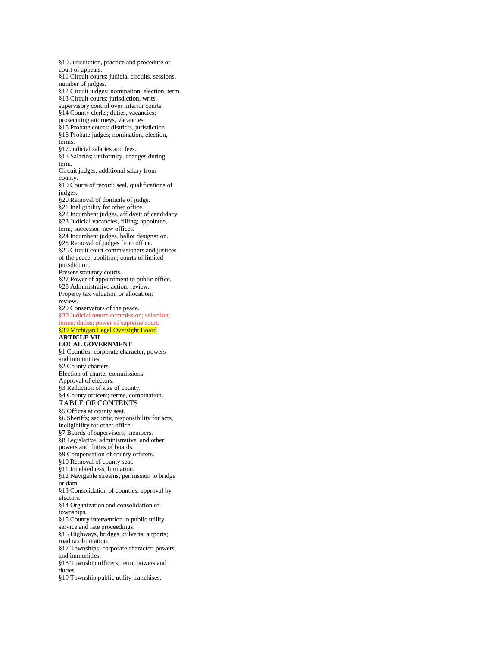§10 Jurisdiction, practice and procedure of court of appeals. §11 Circuit courts; judicial circuits, sessions, number of judges. §12 Circuit judges; nomination, election, term. §13 Circuit courts; jurisdiction, writs, supervisory control over inferior courts. §14 County clerks; duties, vacancies; prosecuting attorneys, vacancies. §15 Probate courts; districts, jurisdiction. §16 Probate judges; nomination, election, terms. §17 Judicial salaries and fees. §18 Salaries; uniformity, changes during term. Circuit judges, additional salary from county. §19 Courts of record; seal, qualifications of judges. §20 Removal of domicile of judge. §21 Ineligibility for other office. §22 Incumbent judges, affidavit of candidacy. §23 Judicial vacancies, filling; appointee, term; successor; new offices. §24 Incumbent judges, ballot designation. §25 Removal of judges from office. §26 Circuit court commissioners and justices of the peace, abolition; courts of limited jurisdiction. Present statutory courts. §27 Power of appointment to public office. §28 Administrative action, review. Property tax valuation or allocation; review. §29 Conservators of the peace. §30 Judicial tenure commission; selection; terms; duties; power of supreme court. §30 Michigan Legal Oversight Board **ARTICLE VII LOCAL GOVERNMENT** §1 Counties; corporate character, powers and immunities. §2 County charters. Election of charter commissions. Approval of electors. §3 Reduction of size of county. §4 County officers; terms, combination. TABLE OF CONTENTS §5 Offices at county seat. §6 Sheriffs; security, responsibility for acts, ineligibility for other office. §7 Boards of supervisors; members. §8 Legislative, administrative, and other powers and duties of boards. §9 Compensation of county officers. §10 Removal of county seat. §11 Indebtedness, limitation. §12 Navigable streams, permission to bridge or dam. §13 Consolidation of counties, approval by electors. §14 Organization and consolidation of townships. §15 County intervention in public utility service and rate proceedings. §16 Highways, bridges, culverts, airports; road tax limitation. §17 Townships; corporate character, powers and immunities. §18 Township officers; term, powers and duties. §19 Township public utility franchises.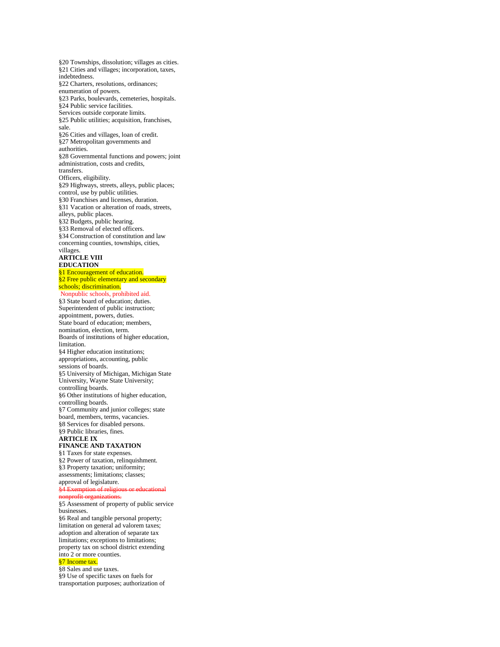§20 Townships, dissolution; villages as cities. §21 Cities and villages; incorporation, taxes, indebtedness. §22 Charters, resolutions, ordinances; enumeration of powers. §23 Parks, boulevards, cemeteries, hospitals. §24 Public service facilities. Services outside corporate limits. §25 Public utilities; acquisition, franchises, sale. §26 Cities and villages, loan of credit. §27 Metropolitan governments and authorities. §28 Governmental functions and powers; joint administration, costs and credits, transfers. Officers, eligibility. §29 Highways, streets, alleys, public places; control, use by public utilities. §30 Franchises and licenses, duration. §31 Vacation or alteration of roads, streets, alleys, public places. §32 Budgets, public hearing. §33 Removal of elected officers. §34 Construction of constitution and law concerning counties, townships, cities, villages. **ARTICLE VIII EDUCATION** §1 Encouragement of education. §2 Free public elementary and secondary schools; discrimination. Nonpublic schools, prohibited aid. §3 State board of education; duties. Superintendent of public instruction; appointment, powers, duties. State board of education; members, nomination, election, term. Boards of institutions of higher education, limitation. §4 Higher education institutions; appropriations, accounting, public sessions of boards. §5 University of Michigan, Michigan State University, Wayne State University; controlling boards. §6 Other institutions of higher education, controlling boards. §7 Community and junior colleges; state board, members, terms, vacancies. §8 Services for disabled persons. §9 Public libraries, fines. **ARTICLE IX FINANCE AND TAXATION** §1 Taxes for state expenses. §2 Power of taxation, relinquishment. §3 Property taxation; uniformity; assessments; limitations; classes; approval of legislature. §4 Exemption of religious or educational nonprofit organizations. §5 Assessment of property of public service businesses. §6 Real and tangible personal property; limitation on general ad valorem taxes; adoption and alteration of separate tax limitations; exceptions to limitations; property tax on school district extending into 2 or more counties. §7 Income tax. §8 Sales and use taxes. §9 Use of specific taxes on fuels for transportation purposes; authorization of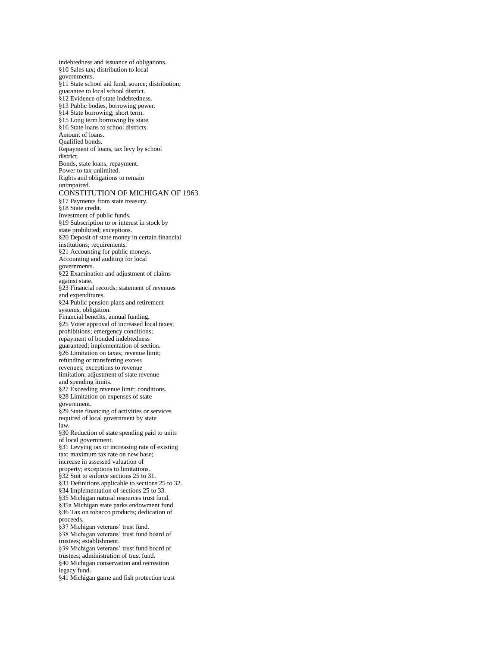indebtedness and issuance of obligations. §10 Sales tax; distribution to local governments. §11 State school aid fund; source; distribution; guarantee to local school district. §12 Evidence of state indebtedness. §13 Public bodies, borrowing power. §14 State borrowing; short term. §15 Long term borrowing by state. §16 State loans to school districts. Amount of loans. Qualified bonds. Repayment of loans, tax levy by school district. Bonds, state loans, repayment. Power to tax unlimited. Rights and obligations to remain unimpaired. CONSTITUTION OF MICHIGAN OF 1963 §17 Payments from state treasury. §18 State credit. Investment of public funds. §19 Subscription to or interest in stock by state prohibited; exceptions. §20 Deposit of state money in certain financial institutions; requirements. §21 Accounting for public moneys. Accounting and auditing for local governments. §22 Examination and adjustment of claims against state. §23 Financial records; statement of revenues and expenditures. §24 Public pension plans and retirement systems, obligation. Financial benefits, annual funding. §25 Voter approval of increased local taxes; prohibitions; emergency conditions; repayment of bonded indebtedness guaranteed; implementation of section. §26 Limitation on taxes; revenue limit; refunding or transferring excess revenues; exceptions to revenue limitation; adjustment of state revenue and spending limits. §27 Exceeding revenue limit; conditions. §28 Limitation on expenses of state government. §29 State financing of activities or services required of local government by state law. §30 Reduction of state spending paid to units of local government. §31 Levying tax or increasing rate of existing tax; maximum tax rate on new base; increase in assessed valuation of property; exceptions to limitations. §32 Suit to enforce sections 25 to 31. §33 Definitions applicable to sections 25 to 32. §34 Implementation of sections 25 to 33. §35 Michigan natural resources trust fund. §35a Michigan state parks endowment fund. §36 Tax on tobacco products; dedication of proceeds. §37 Michigan veterans' trust fund. §38 Michigan veterans' trust fund board of trustees; establishment. §39 Michigan veterans' trust fund board of trustees; administration of trust fund. §40 Michigan conservation and recreation legacy fund. §41 Michigan game and fish protection trust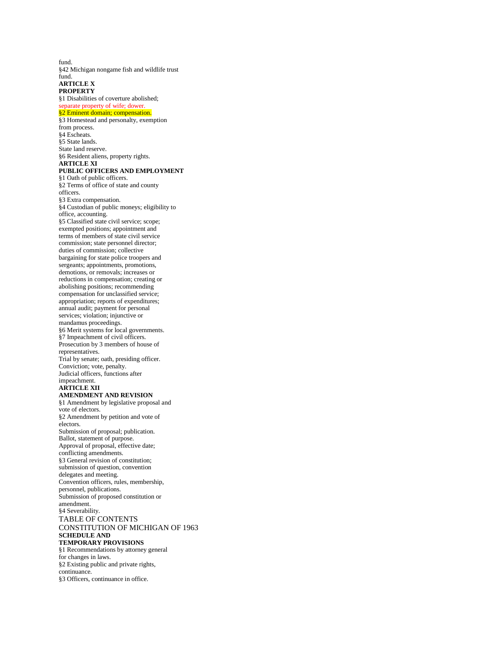fund. §42 Michigan nongame fish and wildlife trust fund. **ARTICLE X PROPERTY** §1 Disabilities of coverture abolished; separate property of wife; dower. §2 Eminent domain; compensation. §3 Homestead and personalty, exemption from process. §4 Escheats. §5 State lands. State land reserve. §6 Resident aliens, property rights. **ARTICLE XI PUBLIC OFFICERS AND EMPLOYMENT** §1 Oath of public officers. §2 Terms of office of state and county officers. §3 Extra compensation. §4 Custodian of public moneys; eligibility to office, accounting. §5 Classified state civil service; scope; exempted positions; appointment and terms of members of state civil service commission; state personnel director; duties of commission; collective bargaining for state police troopers and sergeants; appointments, promotions, demotions, or removals; increases or reductions in compensation; creating or abolishing positions; recommending compensation for unclassified service; appropriation; reports of expenditures; annual audit; payment for personal services; violation; injunctive or mandamus proceedings. §6 Merit systems for local governments. §7 Impeachment of civil officers. Prosecution by 3 members of house of representatives. Trial by senate; oath, presiding officer. Conviction; vote, penalty. Judicial officers, functions after impeachment. **ARTICLE XII AMENDMENT AND REVISION** §1 Amendment by legislative proposal and vote of electors. §2 Amendment by petition and vote of electors. Submission of proposal; publication. Ballot, statement of purpose. Approval of proposal, effective date; conflicting amendments. §3 General revision of constitution; submission of question, convention delegates and meeting. Convention officers, rules, membership, personnel, publications. Submission of proposed constitution or amendment. §4 Severability. TABLE OF CONTENTS CONSTITUTION OF MICHIGAN OF 1963 **SCHEDULE AND TEMPORARY PROVISIONS** §1 Recommendations by attorney general for changes in laws. §2 Existing public and private rights, continuance. §3 Officers, continuance in office.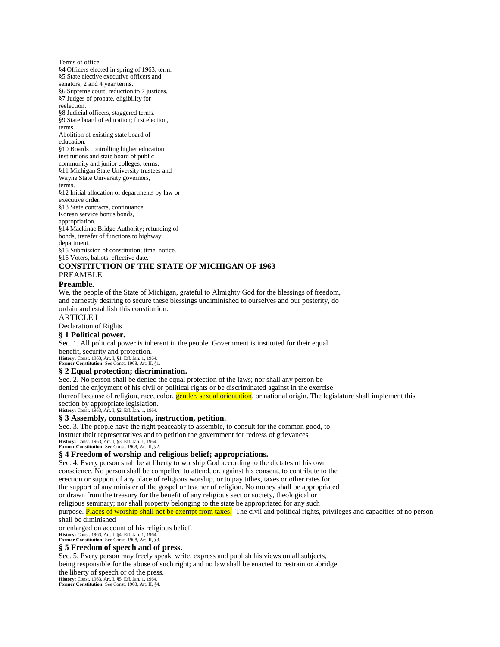Terms of office.

§4 Officers elected in spring of 1963, term. §5 State elective executive officers and

senators, 2 and 4 year terms.

§6 Supreme court, reduction to 7 justices.

§7 Judges of probate, eligibility for

reelection.

§8 Judicial officers, staggered terms. §9 State board of education; first election, terms.

Abolition of existing state board of

education.

§10 Boards controlling higher education institutions and state board of public

community and junior colleges, terms. §11 Michigan State University trustees and

Wayne State University governors,

terms.

§12 Initial allocation of departments by law or

executive order. §13 State contracts, continuance.

Korean service bonus bonds,

appropriation.

§14 Mackinac Bridge Authority; refunding of bonds, transfer of functions to highway

department.

§15 Submission of constitution; time, notice. §16 Voters, ballots, effective date.

## **CONSTITUTION OF THE STATE OF MICHIGAN OF 1963** PREAMBLE

## **Preamble.**

We, the people of the State of Michigan, grateful to Almighty God for the blessings of freedom, and earnestly desiring to secure these blessings undiminished to ourselves and our posterity, do ordain and establish this constitution.

ARTICLE I

Declaration of Rights

## **§ 1 Political power.**

Sec. 1. All political power is inherent in the people. Government is instituted for their equal benefit, security and protection. **History:** Const. 1963, Art. I, §1, Eff. Jan. 1, 1964. **Former Constitution:** See Const. 1908, Art. II, §1.

**§ 2 Equal protection; discrimination.**

## Sec. 2. No person shall be denied the equal protection of the laws; nor shall any person be denied the enjoyment of his civil or political rights or be discriminated against in the exercise thereof because of religion, race, color, gender, sexual orientation, or national origin. The legislature shall implement this

section by appropriate legislation. **History:** Const. 1963, Art. I, §2, Eff. Jan. 1, 1964.

## **§ 3 Assembly, consultation, instruction, petition.**

Sec. 3. The people have the right peaceably to assemble, to consult for the common good, to instruct their representatives and to petition the government for redress of grievances. **History:** Const. 1963, Art. I, §3, Eff. Jan. 1, 1964. **Former Constitution:** See Const. 1908, Art. II, §2.

## **§ 4 Freedom of worship and religious belief; appropriations.**

Sec. 4. Every person shall be at liberty to worship God according to the dictates of his own conscience. No person shall be compelled to attend, or, against his consent, to contribute to the erection or support of any place of religious worship, or to pay tithes, taxes or other rates for the support of any minister of the gospel or teacher of religion. No money shall be appropriated or drawn from the treasury for the benefit of any religious sect or society, theological or religious seminary; nor shall property belonging to the state be appropriated for any such

#### purpose. Places of worship shall not be exempt from taxes. The civil and political rights, privileges and capacities of no person shall be diminished

or enlarged on account of his religious belief. **History:** Const. 1963, Art. I, §4, Eff. Jan. 1, 1964. **Former Constitution:** See Const. 1908, Art. II, §3.

## **§ 5 Freedom of speech and of press.**

Sec. 5. Every person may freely speak, write, express and publish his views on all subjects,

being responsible for the abuse of such right; and no law shall be enacted to restrain or abridge

the liberty of speech or of the press.

**History:** Const. 1963, Art. I, §5, Eff. Jan. 1, 1964. **Former Constitution:** See Const. 1908, Art. II, §4.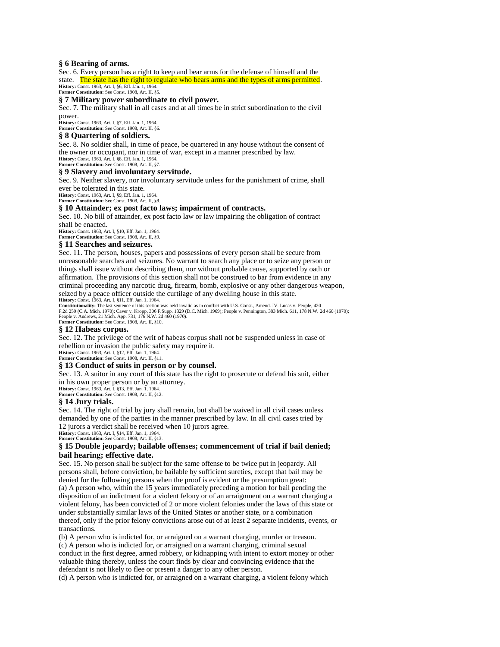#### **§ 6 Bearing of arms.**

Sec. 6. Every person has a right to keep and bear arms for the defense of himself and the state. The state has the right to regulate who bears arms and the types of arms permitted. **History:** Const. 1963, Art. I, §6, Eff. Jan. 1, 1964. **Former Constitution:** See Const. 1908, Art. II, §5.

#### **§ 7 Military power subordinate to civil power.**

Sec. 7. The military shall in all cases and at all times be in strict subordination to the civil power.

**History:** Const. 1963, Art. I, §7, Eff. Jan. 1, 1964. **Former Constitution:** See Const. 1908, Art. II, §6.

#### **§ 8 Quartering of soldiers.**

Sec. 8. No soldier shall, in time of peace, be quartered in any house without the consent of the owner or occupant, nor in time of war, except in a manner prescribed by law. **History:** Const. 1963, Art. I, §8, Eff. Jan. 1, 1964. **Former Constitution:** See Const. 1908, Art. II, §7.

#### **§ 9 Slavery and involuntary servitude.**

Sec. 9. Neither slavery, nor involuntary servitude unless for the punishment of crime, shall ever be tolerated in this state.

**History:** Const. 1963, Art. I, §9, Eff. Jan. 1, 1964. **Former Constitution:** See Const. 1908, Art. II, §8.

#### **§ 10 Attainder; ex post facto laws; impairment of contracts.**

Sec. 10. No bill of attainder, ex post facto law or law impairing the obligation of contract shall be enacted.

**History:** Const. 1963, Art. I, §10, Eff. Jan. 1, 1964. **Former Constitution:** See Const. 1908, Art. II, §9.

#### **§ 11 Searches and seizures.**

Sec. 11. The person, houses, papers and possessions of every person shall be secure from unreasonable searches and seizures. No warrant to search any place or to seize any person or things shall issue without describing them, nor without probable cause, supported by oath or affirmation. The provisions of this section shall not be construed to bar from evidence in any criminal proceeding any narcotic drug, firearm, bomb, explosive or any other dangerous weapon, seized by a peace officer outside the curtilage of any dwelling house in this state. **History:** Const. 1963, Art. I, §11, Eff. Jan. 1, 1964.

Constitutionality: The last sentence of this section was held invalid as in conflict with U.S. Const., Amend. IV. Lucas v. People, 420<br>F.2d 259 (C.A. Mich. 1970); Caver v. Kropp, 306 F.Supp. 1329 (D.C. Mich. 1969); People

#### **§ 12 Habeas corpus.**

Sec. 12. The privilege of the writ of habeas corpus shall not be suspended unless in case of rebellion or invasion the public safety may require it. **History:** Const. 1963, Art. I, §12, Eff. Jan. 1, 1964.

**Former Constitution:** See Const. 1908, Art. II, §11.

#### **§ 13 Conduct of suits in person or by counsel.**

Sec. 13. A suitor in any court of this state has the right to prosecute or defend his suit, either in his own proper person or by an attorney.

**History:** Const. 1963, Art. I, §13, Eff. Jan. 1, 1964. **Former Constitution:** See Const. 1908, Art. II, §12.

#### **§ 14 Jury trials.**

Sec. 14. The right of trial by jury shall remain, but shall be waived in all civil cases unless demanded by one of the parties in the manner prescribed by law. In all civil cases tried by 12 jurors a verdict shall be received when 10 jurors agree. **History:** Const. 1963, Art. I, §14, Eff. Jan. 1, 1964.

**Former Constitution:** See Const. 1908, Art. II, §13.

#### **§ 15 Double jeopardy; bailable offenses; commencement of trial if bail denied; bail hearing; effective date.**

Sec. 15. No person shall be subject for the same offense to be twice put in jeopardy. All persons shall, before conviction, be bailable by sufficient sureties, except that bail may be denied for the following persons when the proof is evident or the presumption great: (a) A person who, within the 15 years immediately preceding a motion for bail pending the disposition of an indictment for a violent felony or of an arraignment on a warrant charging a violent felony, has been convicted of 2 or more violent felonies under the laws of this state or under substantially similar laws of the United States or another state, or a combination thereof, only if the prior felony convictions arose out of at least 2 separate incidents, events, or transactions.

(b) A person who is indicted for, or arraigned on a warrant charging, murder or treason. (c) A person who is indicted for, or arraigned on a warrant charging, criminal sexual conduct in the first degree, armed robbery, or kidnapping with intent to extort money or other valuable thing thereby, unless the court finds by clear and convincing evidence that the defendant is not likely to flee or present a danger to any other person.

(d) A person who is indicted for, or arraigned on a warrant charging, a violent felony which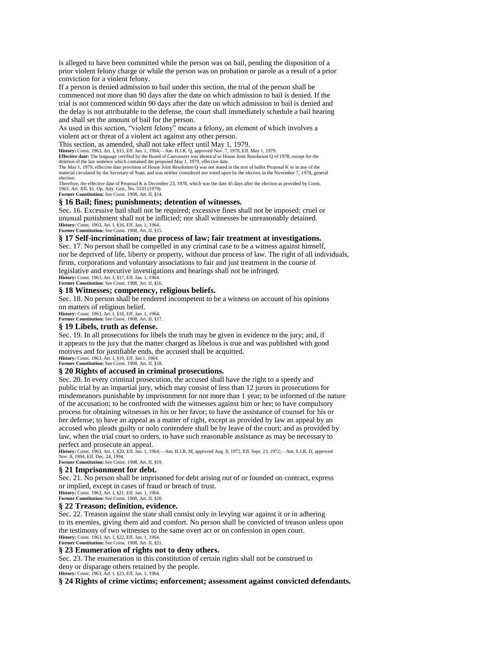is alleged to have been committed while the person was on bail, pending the disposition of a prior violent felony charge or while the person was on probation or parole as a result of a prior conviction for a violent felony.

If a person is denied admission to bail under this section, the trial of the person shall be commenced not more than 90 days after the date on which admission to bail is denied. If the trial is not commenced within 90 days after the date on which admission to bail is denied and the delay is not attributable to the defense, the court shall immediately schedule a bail hearing and shall set the amount of bail for the person.

As used in this section, "violent felony" means a felony, an element of which involves a violent act or threat of a violent act against any other person.

This section, as amended, shall not take effect until May 1, 1979.

**History:** Const. 1963, Art. I, §15, Eff. Jan. 1, 1964;—Am. H.J.R. Q. approved Nov. 7, 1978, Eff. May 1, 1979.<br>**Effective date:** The language certified by the Board of Canvassers was identical to House Joint Resolution Q o

The May 1, 1979, effective date provision of House Joint Resolution Q was not stated in the text of ballot Proposal K or in any of the<br>material circulated by the Secretary of State, and was neither considered nor voted upo election.

Therefore, the effective date of Proposal K is December 23, 1978, which was the date 45 days after the election as provided by Const. 1963, Art. XII, §1. Op. Atty. Gen., No. 5533 (1979). **Former Constitution:** See Const. 1908, Art. II, §14.

#### **§ 16 Bail; fines; punishments; detention of witnesses.**

Sec. 16. Excessive bail shall not be required; excessive fines shall not be imposed; cruel or unusual punishment shall not be inflicted; nor shall witnesses be unreasonably detained. **History:** Const. 1963, Art. I, §16, Eff. Jan. 1, 1964.

**Former Constitution:** See Const. 1908, Art. II, §15.

## **§ 17 Self-incrimination; due process of law; fair treatment at investigations.**

Sec. 17. No person shall be compelled in any criminal case to be a witness against himself, nor be deprived of life, liberty or property, without due process of law. The right of all individuals, firms, corporations and voluntary associations to fair and just treatment in the course of legislative and executive investigations and hearings shall not be infringed.

**History:** Const. 1963, Art. I, §17, Eff. Jan. 1, 1964. **Former Constitution:** See Const. 1908, Art. II, §16.

## **§ 18 Witnesses; competency, religious beliefs.**

Sec. 18. No person shall be rendered incompetent to be a witness on account of his opinions on matters of religious belief.

**History:** Const. 1963, Art. I, §18, Eff. Jan. 1, 1964. **Former Constitution:** See Const. 1908, Art. II, §17.

#### **§ 19 Libels, truth as defense.**

Sec. 19. In all prosecutions for libels the truth may be given in evidence to the jury; and, if it appears to the jury that the matter charged as libelous is true and was published with good motives and for justifiable ends, the accused shall be acquitted.

**History:** Const. 1963, Art. I, §19, Eff. Jan 1. 1964. **Former Constitution:** See Const. 1908, Art. II, §18.

#### **§ 20 Rights of accused in criminal prosecutions.**

Sec. 20. In every criminal prosecution, the accused shall have the right to a speedy and public trial by an impartial jury, which may consist of less than 12 jurors in prosecutions for misdemeanors punishable by imprisonment for not more than 1 year; to be informed of the nature of the accusation; to be confronted with the witnesses against him or her; to have compulsory process for obtaining witnesses in his or her favor; to have the assistance of counsel for his or her defense; to have an appeal as a matter of right, except as provided by law an appeal by an accused who pleads guilty or nolo contendere shall be by leave of the court; and as provided by law, when the trial court so orders, to have such reasonable assistance as may be necessary to

perfect and prosecute an appeal. **History:** Const. 1963, Art. I, §20, Eff. Jan. 1, 1964;—Am. H.J.R. M, approved Aug. 8, 1972, Eff. Sept. 23, 1972;—Am. S.J.R. D, approved Nov. 8, 1994, Eff. Dec. 24, 1994. **Former Constitution:** See Const. 1908, Art. II, §19.

## **§ 21 Imprisonment for debt.**

Sec. 21. No person shall be imprisoned for debt arising out of or founded on contract, express or implied, except in cases of fraud or breach of trust.

**History:** Const. 1963, Art. I, §21, Eff. Jan. 1, 1964. **Former Constitution:** See Const. 1908, Art. II, §20.

#### **§ 22 Treason; definition, evidence.**

Sec. 22. Treason against the state shall consist only in levying war against it or in adhering to its enemies, giving them aid and comfort. No person shall be convicted of treason unless upon the testimony of two witnesses to the same overt act or on confession in open court. **History:** Const. 1963, Art. I, §22, Eff. Jan. 1, 1964. **Former Constitution:** See Const. 1908, Art. II, §21.

#### **§ 23 Enumeration of rights not to deny others.**

Sec. 23. The enumeration in this constitution of certain rights shall not be construed to deny or disparage others retained by the people. **History:** Const. 1963, Art. I, §23, Eff. Jan. 1, 1964.

**§ 24 Rights of crime victims; enforcement; assessment against convicted defendants.**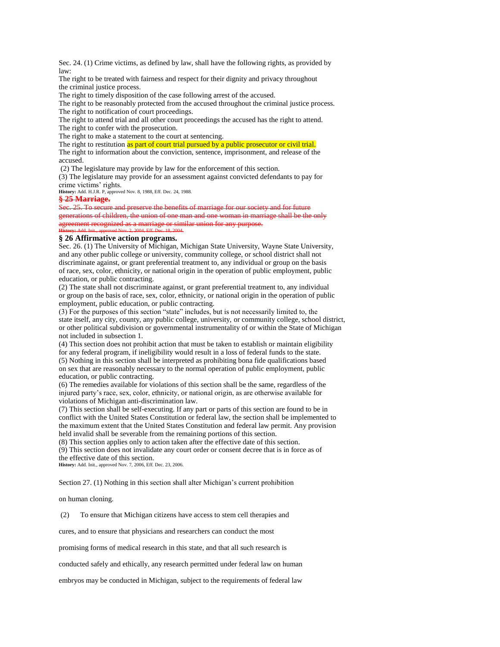Sec. 24. (1) Crime victims, as defined by law, shall have the following rights, as provided by law:

The right to be treated with fairness and respect for their dignity and privacy throughout the criminal justice process.

The right to timely disposition of the case following arrest of the accused.

The right to be reasonably protected from the accused throughout the criminal justice process. The right to notification of court proceedings.

The right to attend trial and all other court proceedings the accused has the right to attend. The right to confer with the prosecution.

The right to make a statement to the court at sentencing.

The right to restitution as part of court trial pursued by a public prosecutor or civil trial. The right to information about the conviction, sentence, imprisonment, and release of the

accused.

(2) The legislature may provide by law for the enforcement of this section.

(3) The legislature may provide for an assessment against convicted defendants to pay for crime victims' rights.

**History:** Add. H.J.R. P, approved Nov. 8, 1988, Eff. Dec. 24, 1988.

**§ 25 Marriage.**

Sec. 25. To secure and preserve the benefits of marriage for our society and for future generations of children, the union of one man and one woman in marriage shall be the only agreement recognized as a marriage or similar union for any purpose. **History:** Add. Init., approved Nov. 2, 2004, Eff. Dec. 18, 2004.

### **§ 26 Affirmative action programs.**

Sec. 26. (1) The University of Michigan, Michigan State University, Wayne State University, and any other public college or university, community college, or school district shall not discriminate against, or grant preferential treatment to, any individual or group on the basis of race, sex, color, ethnicity, or national origin in the operation of public employment, public education, or public contracting.

(2) The state shall not discriminate against, or grant preferential treatment to, any individual or group on the basis of race, sex, color, ethnicity, or national origin in the operation of public employment, public education, or public contracting.

(3) For the purposes of this section "state" includes, but is not necessarily limited to, the state itself, any city, county, any public college, university, or community college, school district, or other political subdivision or governmental instrumentality of or within the State of Michigan not included in subsection 1.

(4) This section does not prohibit action that must be taken to establish or maintain eligibility for any federal program, if ineligibility would result in a loss of federal funds to the state. (5) Nothing in this section shall be interpreted as prohibiting bona fide qualifications based on sex that are reasonably necessary to the normal operation of public employment, public education, or public contracting.

(6) The remedies available for violations of this section shall be the same, regardless of the injured party's race, sex, color, ethnicity, or national origin, as are otherwise available for violations of Michigan anti-discrimination law.

(7) This section shall be self-executing. If any part or parts of this section are found to be in conflict with the United States Constitution or federal law, the section shall be implemented to the maximum extent that the United States Constitution and federal law permit. Any provision held invalid shall be severable from the remaining portions of this section.

(8) This section applies only to action taken after the effective date of this section.

(9) This section does not invalidate any court order or consent decree that is in force as of the effective date of this section. **History:** Add. Init., approved Nov. 7, 2006, Eff. Dec. 23, 2006.

Section 27. (1) Nothing in this section shall alter Michigan's current prohibition

on human cloning.

(2) To ensure that Michigan citizens have access to stem cell therapies and

cures, and to ensure that physicians and researchers can conduct the most

promising forms of medical research in this state, and that all such research is

conducted safely and ethically, any research permitted under federal law on human

embryos may be conducted in Michigan, subject to the requirements of federal law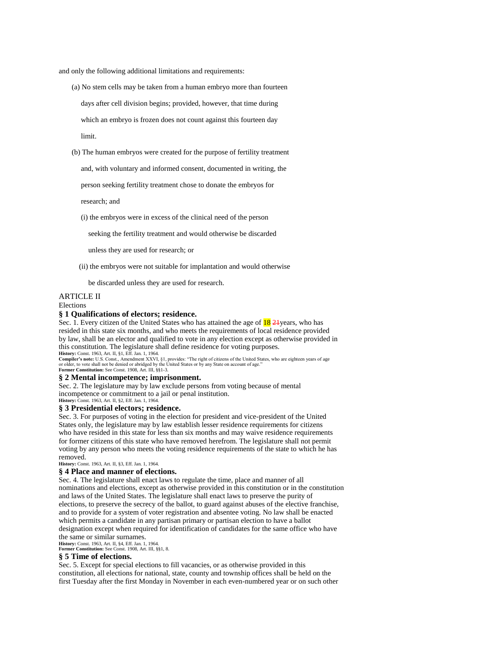and only the following additional limitations and requirements:

(a) No stem cells may be taken from a human embryo more than fourteen

days after cell division begins; provided, however, that time during

which an embryo is frozen does not count against this fourteen day

limit.

(b) The human embryos were created for the purpose of fertility treatment

and, with voluntary and informed consent, documented in writing, the

person seeking fertility treatment chose to donate the embryos for

research; and

(i) the embryos were in excess of the clinical need of the person

seeking the fertility treatment and would otherwise be discarded

unless they are used for research; or

(ii) the embryos were not suitable for implantation and would otherwise

be discarded unless they are used for research.

#### ARTICLE II Elections

#### **§ 1 Qualifications of electors; residence.**

Sec. 1. Every citizen of the United States who has attained the age of  $\frac{18}{24}$ years, who has resided in this state six months, and who meets the requirements of local residence provided by law, shall be an elector and qualified to vote in any election except as otherwise provided in this constitution. The legislature shall define residence for voting purposes.

**History:** Const. 1963, Art. II, §1, Eff. Jan. 1, 1964.<br>Compiler's note: U.S. Const., Amendment XXVI, §1, provides: "The right of citizens of the United States, who are eighteen years of age<br>or older, to vote shall not be

#### **§ 2 Mental incompetence; imprisonment.**

Sec. 2. The legislature may by law exclude persons from voting because of mental incompetence or commitment to a jail or penal institution. **History:** Const. 1963, Art. II, §2, Eff. Jan. 1, 1964.

#### **§ 3 Presidential electors; residence.**

Sec. 3. For purposes of voting in the election for president and vice-president of the United States only, the legislature may by law establish lesser residence requirements for citizens who have resided in this state for less than six months and may waive residence requirements for former citizens of this state who have removed herefrom. The legislature shall not permit voting by any person who meets the voting residence requirements of the state to which he has removed.

**History:** Const. 1963, Art. II, §3, Eff. Jan. 1, 1964.

## **§ 4 Place and manner of elections.**

Sec. 4. The legislature shall enact laws to regulate the time, place and manner of all nominations and elections, except as otherwise provided in this constitution or in the constitution and laws of the United States. The legislature shall enact laws to preserve the purity of elections, to preserve the secrecy of the ballot, to guard against abuses of the elective franchise, and to provide for a system of voter registration and absentee voting. No law shall be enacted which permits a candidate in any partisan primary or partisan election to have a ballot designation except when required for identification of candidates for the same office who have the same or similar surnames.

**History:** Const. 1963, Art. II, §4, Eff. Jan. 1, 1964. **Former Constitution:** See Const. 1908, Art. III, §§1, 8.

#### **§ 5 Time of elections.**

Sec. 5. Except for special elections to fill vacancies, or as otherwise provided in this constitution, all elections for national, state, county and township offices shall be held on the first Tuesday after the first Monday in November in each even-numbered year or on such other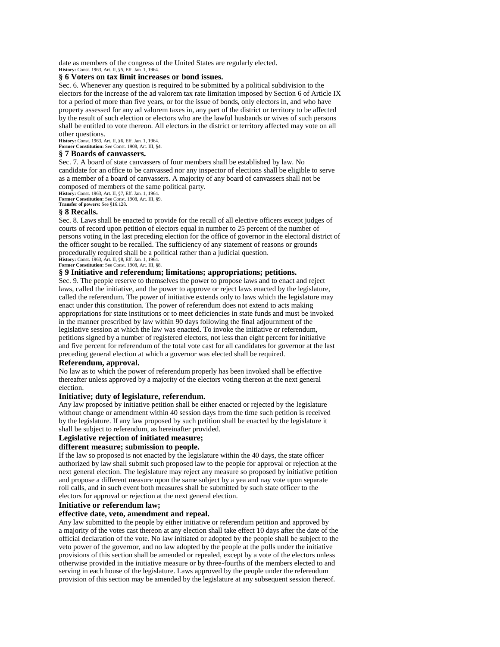date as members of the congress of the United States are regularly elected. **History:** Const. 1963, Art. II, §5, Eff. Jan. 1, 1964.

#### **§ 6 Voters on tax limit increases or bond issues.**

Sec. 6. Whenever any question is required to be submitted by a political subdivision to the electors for the increase of the ad valorem tax rate limitation imposed by Section 6 of Article IX for a period of more than five years, or for the issue of bonds, only electors in, and who have property assessed for any ad valorem taxes in, any part of the district or territory to be affected by the result of such election or electors who are the lawful husbands or wives of such persons shall be entitled to vote thereon. All electors in the district or territory affected may vote on all other questions.

**History:** Const. 1963, Art. II, §6, Eff. Jan. 1, 1964. **Former Constitution:** See Const. 1908, Art. III, §4.

#### **§ 7 Boards of canvassers.**

Sec. 7. A board of state canvassers of four members shall be established by law. No candidate for an office to be canvassed nor any inspector of elections shall be eligible to serve as a member of a board of canvassers. A majority of any board of canvassers shall not be composed of members of the same political party.

**History:** Const. 1963, Art. II, §7, Eff. Jan. 1, 1964. **Former Constitution:** See Const. 1908, Art. III, §9.

## **Transfer of powers:** See §16.128.

## **§ 8 Recalls.**

Sec. 8. Laws shall be enacted to provide for the recall of all elective officers except judges of courts of record upon petition of electors equal in number to 25 percent of the number of persons voting in the last preceding election for the office of governor in the electoral district of the officer sought to be recalled. The sufficiency of any statement of reasons or grounds procedurally required shall be a political rather than a judicial question. **History:** Const. 1963, Art. II, §8, Eff. Jan. 1, 1964. **Former Constitution:** See Const. 1908, Art. III, §8.

#### **§ 9 Initiative and referendum; limitations; appropriations; petitions.**

Sec. 9. The people reserve to themselves the power to propose laws and to enact and reject laws, called the initiative, and the power to approve or reject laws enacted by the legislature, called the referendum. The power of initiative extends only to laws which the legislature may enact under this constitution. The power of referendum does not extend to acts making appropriations for state institutions or to meet deficiencies in state funds and must be invoked in the manner prescribed by law within 90 days following the final adjournment of the legislative session at which the law was enacted. To invoke the initiative or referendum, petitions signed by a number of registered electors, not less than eight percent for initiative and five percent for referendum of the total vote cast for all candidates for governor at the last preceding general election at which a governor was elected shall be required.

## **Referendum, approval.**

No law as to which the power of referendum properly has been invoked shall be effective thereafter unless approved by a majority of the electors voting thereon at the next general election.

## **Initiative; duty of legislature, referendum.**

Any law proposed by initiative petition shall be either enacted or rejected by the legislature without change or amendment within 40 session days from the time such petition is received by the legislature. If any law proposed by such petition shall be enacted by the legislature it shall be subject to referendum, as hereinafter provided.

## **Legislative rejection of initiated measure;**

#### **different measure; submission to people.**

If the law so proposed is not enacted by the legislature within the 40 days, the state officer authorized by law shall submit such proposed law to the people for approval or rejection at the next general election. The legislature may reject any measure so proposed by initiative petition and propose a different measure upon the same subject by a yea and nay vote upon separate roll calls, and in such event both measures shall be submitted by such state officer to the electors for approval or rejection at the next general election.

#### **Initiative or referendum law;**

## **effective date, veto, amendment and repeal.**

Any law submitted to the people by either initiative or referendum petition and approved by a majority of the votes cast thereon at any election shall take effect 10 days after the date of the official declaration of the vote. No law initiated or adopted by the people shall be subject to the veto power of the governor, and no law adopted by the people at the polls under the initiative provisions of this section shall be amended or repealed, except by a vote of the electors unless otherwise provided in the initiative measure or by three-fourths of the members elected to and serving in each house of the legislature. Laws approved by the people under the referendum provision of this section may be amended by the legislature at any subsequent session thereof.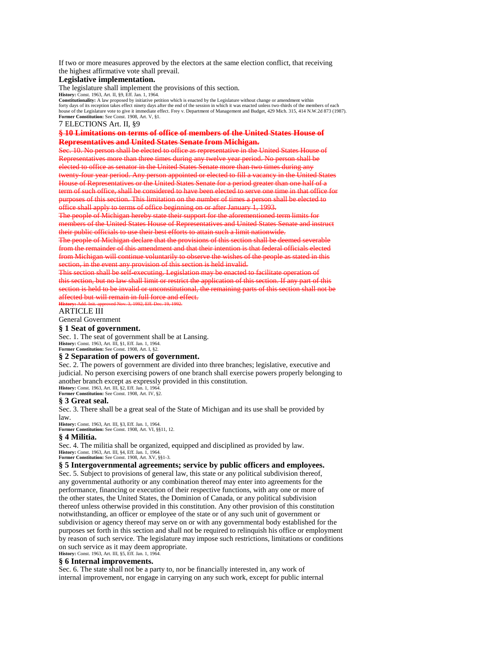If two or more measures approved by the electors at the same election conflict, that receiving the highest affirmative vote shall prevail.

#### **Legislative implementation.**

The legislature shall implement the provisions of this section.

**History:** Const. 1963, Art. II, §9, Eff. Jan. 1, 1964.<br>**Constitutionality:** A law proposed by initiative petition which is enacted by the Legislature without change or amendment within<br>forty days of its reception takes ef house of the Legislature vote to give it immediate effect. Frey v. Department of Management and Budget, 429 Mich. 315, 414 N.W.2d 873 (1987). **Former Constitution:** See Const. 1908, Art. V, §1.

## 7 ELECTIONS Art. II, §9

#### **§ 10 Limitations on terms of office of members of the United States House of Representatives and United States Senate from Michigan.**

Sec. 10. No person shall be elected to office as representative in the United States House of Representatives more than three times during any twelve year period. No person shall be elected to office as senator in the United States Senate more than two times during any twenty-four year period. Any person appointed or elected to fill a vacancy in the United States House of Representatives or the United States Senate for a period greater than one half of a term of such office, shall be considered to have been elected to serve one time in that office for purposes of this section. This limitation on the number of times a person shall be elected to office shall apply to terms of office beginning on or after January 1, 1993.

The people of Michigan hereby state their support for the aforementioned term limits for members of the United States House of Representatives and United States Senate and instruct their public officials to use their best efforts to attain such a limit nationwide.

The people of Michigan declare that the provisions of this section shall be deemed severable from the remainder of this amendment and that their intention is that federal officials elected from Michigan will continue voluntarily to observe the wishes of the people as stated in this section, in the event any provision of this section is held invalid.

This section shall be self-executing. Legislation may be enacted to facilitate operation of this section, but no law shall limit or restrict the application of this section. If any part of this section is held to be invalid or unconstitutional, the remaining parts of this section shall not be affected but will remain in full force and effect. **History:** *Add.* 1992, 1992.

ARTICLE III

General Government

#### **§ 1 Seat of government.**

Sec. 1. The seat of government shall be at Lansing. **History:** Const. 1963, Art. III, §1, Eff. Jan. 1, 1964. **Former Constitution:** See Const. 1908, Art. I, §2.

# **§ 2 Separation of powers of government.**

Sec. 2. The powers of government are divided into three branches; legislative, executive and judicial. No person exercising powers of one branch shall exercise powers properly belonging to another branch except as expressly provided in this constitution.

**History:** Const. 1963, Art. III, §2, Eff. Jan. 1, 1964. **Former Constitution:** See Const. 1908, Art. IV, §2.

#### **§ 3 Great seal.**

Sec. 3. There shall be a great seal of the State of Michigan and its use shall be provided by law.

**History:** Const. 1963, Art. III, §3, Eff. Jan. 1, 1964. **Former Constitution:** See Const. 1908, Art. VI, §§11, 12.

#### **§ 4 Militia.**

Sec. 4. The militia shall be organized, equipped and disciplined as provided by law. **History:** Const. 1963, Art. III, §4, Eff. Jan. 1, 1964. **Former Constitution:** See Const. 1908, Art. XV, §§1-3.

**§ 5 Intergovernmental agreements; service by public officers and employees.**

Sec. 5. Subject to provisions of general law, this state or any political subdivision thereof, any governmental authority or any combination thereof may enter into agreements for the performance, financing or execution of their respective functions, with any one or more of the other states, the United States, the Dominion of Canada, or any political subdivision thereof unless otherwise provided in this constitution. Any other provision of this constitution notwithstanding, an officer or employee of the state or of any such unit of government or subdivision or agency thereof may serve on or with any governmental body established for the purposes set forth in this section and shall not be required to relinquish his office or employment by reason of such service. The legislature may impose such restrictions, limitations or conditions on such service as it may deem appropriate. **History:** Const. 1963, Art. III, §5, Eff. Jan. 1, 1964.

### **§ 6 Internal improvements.**

Sec. 6. The state shall not be a party to, nor be financially interested in, any work of internal improvement, nor engage in carrying on any such work, except for public internal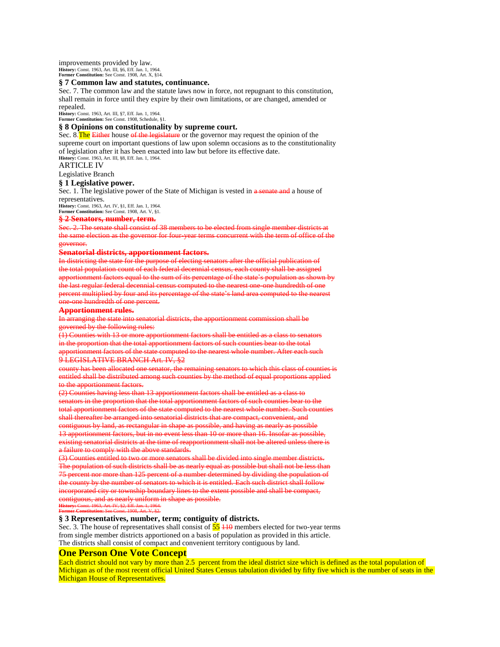improvements provided by law. **History:** Const. 1963, Art. III, §6, Eff. Jan. 1, 1964. **Former Constitution:** See Const. 1908, Art. X, §14.

#### **§ 7 Common law and statutes, continuance.**

Sec. 7. The common law and the statute laws now in force, not repugnant to this constitution, shall remain in force until they expire by their own limitations, or are changed, amended or repealed.

**History:** Const. 1963, Art. III, §7, Eff. Jan. 1, 1964. **Former Constitution:** See Const. 1908, Schedule, §1.

#### **§ 8 Opinions on constitutionality by supreme court.**

Sec. 8. The Either house of the legislature or the governor may request the opinion of the supreme court on important questions of law upon solemn occasions as to the constitutionality of legislation after it has been enacted into law but before its effective date. **History:** Const. 1963, Art. III, §8, Eff. Jan. 1, 1964.

ARTICLE IV

#### Legislative Branch

#### **§ 1 Legislative power.**

Sec. 1. The legislative power of the State of Michigan is vested in a senate and a house of representatives.

**History:** Const. 1963, Art. IV, §1, Eff. Jan. 1, 1964. **Former Constitution:** See Const. 1908, Art. V, §1.

#### **§ 2 Senators, number, term.**

Sec. 2. The senate shall consist of 38 members to be elected from single member districts at the same election as the governor for four-year terms concurrent with the term of office of the governor.

### **Senatorial districts, apportionment factors.**

In districting the state for the purpose of electing senators after the official publication of the total population count of each federal decennial census, each county shall be assigned apportionment factors equal to the sum of its percentage of the state's population as shown by the last regular federal decennial census computed to the nearest one-one hundredth of one percent multiplied by four and its percentage of the state's land area computed to the nearest one-one hundredth of one percent.

#### **Apportionment rules.**

In arranging the state into senatorial districts, the apportionment commission shall be governed by the following rules:

(1) Counties with 13 or more apportionment factors shall be entitled as a class to senators in the proportion that the total apportionment factors of such counties bear to the total apportionment factors of the state computed to the nearest whole number. After each such

## 9 LEGISLATIVE BRANCH Art. IV, §2

county has been allocated one senator, the remaining senators to which this class of counties is entitled shall be distributed among such counties by the method of equal proportions applied to the apportionment factors.

(2) Counties having less than 13 apportionment factors shall be entitled as a class to senators in the proportion that the total apportionment factors of such counties bear to the total apportionment factors of the state computed to the nearest whole number. Such counties shall thereafter be arranged into senatorial districts that are compact, convenient, and

contiguous by land, as rectangular in shape as possible, and having as nearly as possible 13 apportionment factors, but in no event less than 10 or more than 16. Insofar as possible existing senatorial districts at the time of reapportionment shall not be altered unless there is a failure to comply with the above standards.

(3) Counties entitled to two or more senators shall be divided into single member districts. The population of such districts shall be as nearly equal as possible but shall not be less than 75 percent nor more than 125 percent of a number determined by dividing the population of the county by the number of senators to which it is entitled. Each such district shall follow incorporated city or township boundary lines to the extent possible and shall be compact, contiguous, and as nearly uniform in shape as possible. **History:** Const. 1963, Art. IV, §2, Eff. Jan. 1, 1964.

 $F(1008 \text{ A} + \text{V} \cdot \text{S}^2)$ 

#### **§ 3 Representatives, number, term; contiguity of districts.**

Sec. 3. The house of representatives shall consist of  $\frac{55}{10}$  +10 members elected for two-year terms from single member districts apportioned on a basis of population as provided in this article. The districts shall consist of compact and convenient territory contiguous by land.

## **One Person One Vote Concept**

Each district should not vary by more than 2.5 percent from the ideal district size which is defined as the total population of Michigan as of the most recent official United States Census tabulation divided by fifty five which is the number of seats in the Michigan House of Representatives.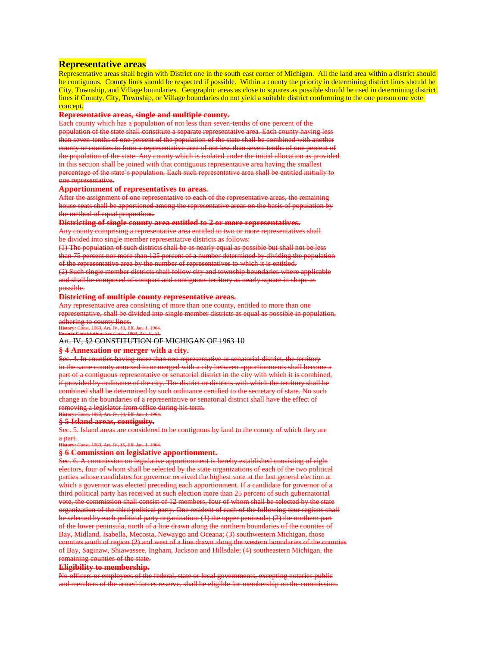#### **Representative areas**

Representative areas shall begin with District one in the south east corner of Michigan. All the land area within a district should be contiguous. County lines should be respected if possible. Within a county the priority in determining district lines should be City, Township, and Village boundaries. Geographic areas as close to squares as possible should be used in determining district lines if County, City, Township, or Village boundaries do not yield a suitable district conforming to the one person one vote concept.

#### **Representative areas, single and multiple county.**

Each county which has a population of not less than seven-tenths of one percent of the population of the state shall constitute a separate representative area. Each county having less than seven-tenths of one percent of the population of the state shall be combined with another county or counties to form a representative area of not less than seven-tenths of one percent of the population of the state. Any county which is isolated under the initial allocation as provided in this section shall be joined with that contiguous representative area having the smallest percentage of the state's population. Each such representative area shall be entitled initially to one representative.

#### **Apportionment of representatives to areas.**

After the assignment of one representative to each of the representative areas, the remaining house seats shall be apportioned among the representative areas on the basis of population by the method of equal proportions.

#### **Districting of single county area entitled to 2 or more representatives.**

Any county comprising a representative area entitled to two or more representatives shall be divided into single member representative districts as follows:

(1) The population of such districts shall be as nearly equal as possible but shall not be less than 75 percent nor more than 125 percent of a number determined by dividing the population of the representative area by the number of representatives to which it is entitled. (2) Such single member districts shall follow city and township boundaries where applicable and shall be composed of compact and contiguous territory as nearly square in shape as

possible.

#### **Districting of multiple county representative areas.**

Any representative area consisting of more than one county, entitled to more than one representative, shall be divided into single member districts as equal as possible in population,

adhering to county lines. **History:** Const. 1963, Art. IV, §3, Eff. Jan. 1, 1964.

**Former Constitution:** See Const. 1908, Art. V, §3.

#### Art. IV, §2 CONSTITUTION OF MICHIGAN OF 1963 10

## **§ 4 Annexation or merger with a city.**

Sec. 4. In counties having more than one representative or senatorial district, the territory in the same county annexed to or merged with a city between apportionments shall become a part of a contiguous representative or senatorial district in the city with which it is combined, if provided by ordinance of the city. The district or districts with which the territory shall be combined shall be determined by such ordinance certified to the secretary of state. No such change in the boundaries of a representative or senatorial district shall have the effect of removing a legislator from office during his term. **Art. IV, §4, Eff. I,** 

## **§ 5 Island areas, contiguity.**

Sec. 5. Island areas are considered to be contiguous by land to the county of which they are a part.<br>History: Co

**History:** Const. 1963, Art. IV, §5, Eff. Jan. 1, 1964.

## **§ 6 Commission on legislative apportionment.**

Sec. 6. A commission on legislative apportionment is hereby established consisting of eight electors, four of whom shall be selected by the state organizations of each of the two political parties whose candidates for governor received the highest vote at the last general election at which a governor was elected preceding each apportionment. If a candidate for governor of a third political party has received at such election more than 25 percent of such gubernatorial vote, the commission shall consist of 12 members, four of whom shall be selected by the state organization of the third political party. One resident of each of the following four regions shall be selected by each political party organization: (1) the upper peninsula; (2) the northern part of the lower peninsula, north of a line drawn along the northern boundaries of the counties of Bay, Midland, Isabella, Mecosta, Newaygo and Oceana; (3) southwestern Michigan, those counties south of region (2) and west of a line drawn along the western boundaries of the counties of Bay, Saginaw, Shiawassee, Ingham, Jackson and Hillsdale; (4) southeastern Michigan, the remaining counties of the state.

#### **Eligibility to membership.**

No officers or employees of the federal, state or local governments, excepting notaries public and members of the armed forces reserve, shall be eligible for membership on the commission.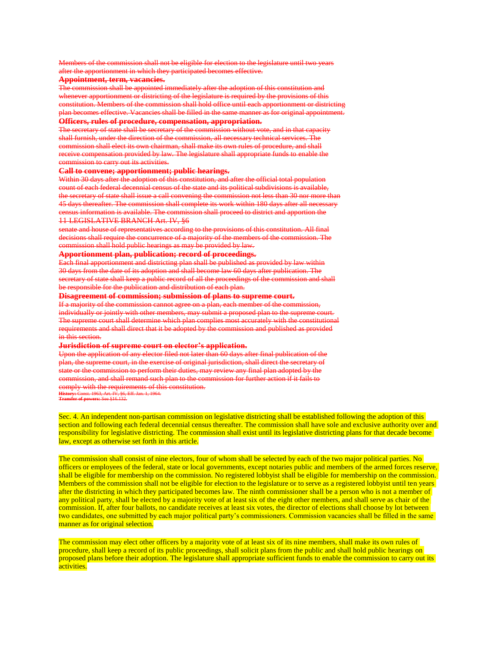Members of the commission shall not be eligible for election to the legislature until two years after the apportionment in which they participated becomes effective.

#### **Appointment, term, vacancies.**

The commission shall be appointed immediately after the adoption of this constitution and whenever apportionment or districting of the legislature is required by the provisions of this constitution. Members of the commission shall hold office until each apportionment or districting plan becomes effective. Vacancies shall be filled in the same manner as for original appointment. **Officers, rules of procedure, compensation, appropriation.**

The secretary of state shall be secretary of the commission without vote, and in that capacity shall furnish, under the direction of the commission, all necessary technical services. The commission shall elect its own chairman, shall make its own rules of procedure, and shall receive compensation provided by law. The legislature shall appropriate funds to enable the commission to carry out its activities.

#### **Call to convene; apportionment; public hearings.**

Within 30 days after the adoption of this constitution, and after the official total population count of each federal decennial census of the state and its political subdivisions is available, the secretary of state shall issue a call convening the commission not less than 30 nor more than 45 days thereafter. The commission shall complete its work within 180 days after all necessary census information is available. The commission shall proceed to district and apportion the 11 LEGISLATIVE BRANCH Art. IV, §6

senate and house of representatives according to the provisions of this constitution. All final decisions shall require the concurrence of a majority of the members of the commission. The commission shall hold public hearings as may be provided by law.

#### **Apportionment plan, publication; record of proceedings.**

Each final apportionment and districting plan shall be published as provided by law within 30 days from the date of its adoption and shall become law 60 days after publication. The secretary of state shall keep a public record of all the proceedings of the commission and shall be responsible for the publication and distribution of each plan.

## **Disagreement of commission; submission of plans to supreme court.**

If a majority of the commission cannot agree on a plan, each member of the commission, individually or jointly with other members, may submit a proposed plan to the supreme court. The supreme court shall determine which plan complies most accurately with the constitutional requirements and shall direct that it be adopted by the commission and published as provided in this section.

## **Jurisdiction of supreme court on elector's application.**

Upon the application of any elector filed not later than 60 days after final publication of the plan, the supreme court, in the exercise of original jurisdiction, shall direct the secretary of state or the commission to perform their duties, may review any final plan adopted by the commission, and shall remand such plan to the commission for further action if it fails to comply with the requirements of this constitution.

**History:** Const. 1963, Art. IV, §6, Eff. Jan. 1, 1964. **Transfer of powers:** See §16.132.

Sec. 4. An independent non-partisan commission on legislative districting shall be established following the adoption of this section and following each federal decennial census thereafter. The commission shall have sole and exclusive authority over and responsibility for legislative districting. The commission shall exist until its legislative districting plans for that decade become law, except as otherwise set forth in this article.

The commission shall consist of nine electors, four of whom shall be selected by each of the two major political parties. No officers or employees of the federal, state or local governments, except notaries public and members of the armed forces reserve, shall be eligible for membership on the commission. No registered lobbyist shall be eligible for membership on the commission. Members of the commission shall not be eligible for election to the legislature or to serve as a registered lobbyist until ten years after the districting in which they participated becomes law. The ninth commissioner shall be a person who is not a member of any political party, shall be elected by a majority vote of at least six of the eight other members, and shall serve as chair of the commission. If, after four ballots, no candidate receives at least six votes, the director of elections shall choose by lot between two candidates, one submitted by each major political party's commissioners. Commission vacancies shall be filled in the same manner as for original selection.

The commission may elect other officers by a majority vote of at least six of its nine members, shall make its own rules of procedure, shall keep a record of its public proceedings, shall solicit plans from the public and shall hold public hearings on proposed plans before their adoption. The legislature shall appropriate sufficient funds to enable the commission to carry out its activities.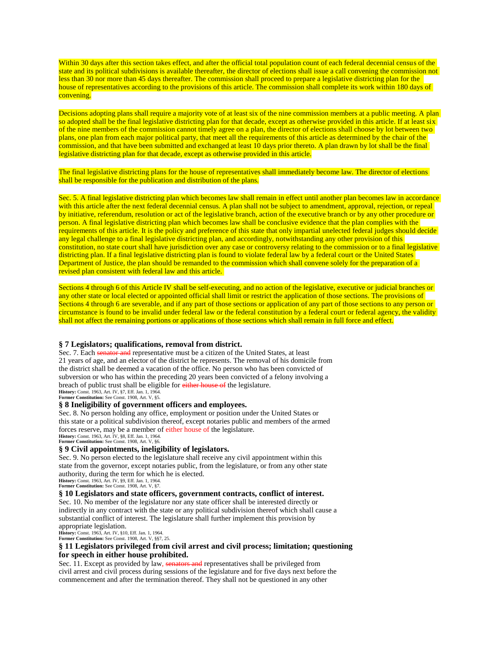Within 30 days after this section takes effect, and after the official total population count of each federal decennial census of the state and its political subdivisions is available thereafter, the director of elections shall issue a call convening the commission not less than 30 nor more than 45 days thereafter. The commission shall proceed to prepare a legislative districting plan for the house of representatives according to the provisions of this article. The commission shall complete its work within 180 days of convening.

Decisions adopting plans shall require a majority vote of at least six of the nine commission members at a public meeting. A plan so adopted shall be the final legislative districting plan for that decade, except as otherwise provided in this article. If at least six of the nine members of the commission cannot timely agree on a plan, the director of elections shall choose by lot between two plans, one plan from each major political party, that meet all the requirements of this article as determined by the chair of the commission, and that have been submitted and exchanged at least 10 days prior thereto. A plan drawn by lot shall be the final legislative districting plan for that decade, except as otherwise provided in this article.

#### The final legislative districting plans for the house of representatives shall immediately become law. The director of elections shall be responsible for the publication and distribution of the plans.

Sec. 5. A final legislative districting plan which becomes law shall remain in effect until another plan becomes law in accordance with this article after the next federal decennial census. A plan shall not be subject to amendment, approval, rejection, or repeal by initiative, referendum, resolution or act of the legislative branch, action of the executive branch or by any other procedure or person. A final legislative districting plan which becomes law shall be conclusive evidence that the plan complies with the requirements of this article. It is the policy and preference of this state that only impartial unelected federal judges should decide any legal challenge to a final legislative districting plan, and accordingly, notwithstanding any other provision of this constitution, no state court shall have jurisdiction over any case or controversy relating to the commission or to a final legislative districting plan. If a final legislative districting plan is found to violate federal law by a federal court or the United States Department of Justice, the plan should be remanded to the commission which shall convene solely for the preparation of a revised plan consistent with federal law and this article.

Sections 4 through 6 of this Article IV shall be self-executing, and no action of the legislative, executive or judicial branches or any other state or local elected or appointed official shall limit or restrict the application of those sections. The provisions of Sections 4 through 6 are severable, and if any part of those sections or application of any part of those sections to any person or circumstance is found to be invalid under federal law or the federal constitution by a federal court or federal agency, the validity shall not affect the remaining portions or applications of those sections which shall remain in full force and effect.

## **§ 7 Legislators; qualifications, removal from district.**

Sec. 7. Each senator and representative must be a citizen of the United States, at least 21 years of age, and an elector of the district he represents. The removal of his domicile from the district shall be deemed a vacation of the office. No person who has been convicted of subversion or who has within the preceding 20 years been convicted of a felony involving a breach of public trust shall be eligible for either house of the legislature. **History:** Const. 1963, Art. IV, §7, Eff. Jan. 1, 1964. **Former Constitution:** See Const. 1908, Art. V, §5.

#### **§ 8 Ineligibility of government officers and employees.**

Sec. 8. No person holding any office, employment or position under the United States or this state or a political subdivision thereof, except notaries public and members of the armed forces reserve, may be a member of either house of the legislature. **History:** Const. 1963, Art. IV, §8, Eff. Jan. 1, 1964. **Former Constitution:** See Const. 1908, Art. V, §6.

## **§ 9 Civil appointments, ineligibility of legislators.**

Sec. 9. No person elected to the legislature shall receive any civil appointment within this state from the governor, except notaries public, from the legislature, or from any other state authority, during the term for which he is elected.

**History:** Const. 1963, Art. IV, §9, Eff. Jan. 1, 1964. **Former Constitution:** See Const. 1908, Art. V, §7.

#### **§ 10 Legislators and state officers, government contracts, conflict of interest.**

Sec. 10. No member of the legislature nor any state officer shall be interested directly or indirectly in any contract with the state or any political subdivision thereof which shall cause a substantial conflict of interest. The legislature shall further implement this provision by appropriate legislation.

**History:** Const. 1963, Art. IV, §10, Eff. Jan. 1, 1964. **Former Constitution:** See Const. 1908, Art. V, §§7, 25.

## **§ 11 Legislators privileged from civil arrest and civil process; limitation; questioning for speech in either house prohibited.**

Sec. 11. Except as provided by law, senators and representatives shall be privileged from civil arrest and civil process during sessions of the legislature and for five days next before the commencement and after the termination thereof. They shall not be questioned in any other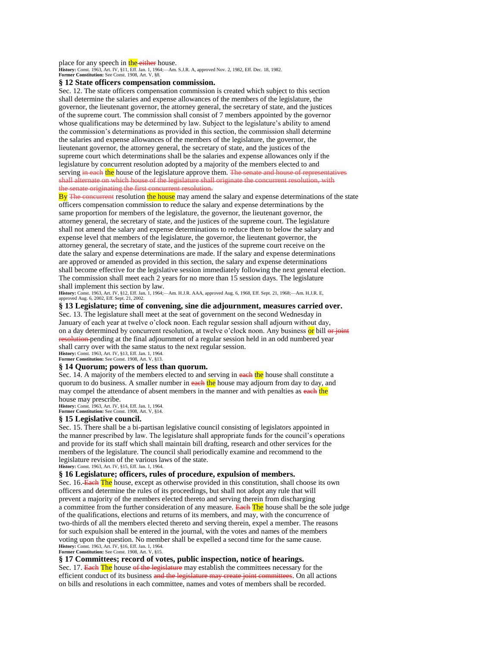place for any speech in the either house.

**History:** Const. 1963, Art. IV, §11, Eff. Jan. 1, 1964;—Am. S.J.R. A, approved Nov. 2, 1982, Eff. Dec. 18, 1982. **Former Constitution:** See Const. 1908, Art. V, §8.

#### **§ 12 State officers compensation commission.**

Sec. 12. The state officers compensation commission is created which subject to this section shall determine the salaries and expense allowances of the members of the legislature, the governor, the lieutenant governor, the attorney general, the secretary of state, and the justices of the supreme court. The commission shall consist of 7 members appointed by the governor whose qualifications may be determined by law. Subject to the legislature's ability to amend the commission's determinations as provided in this section, the commission shall determine the salaries and expense allowances of the members of the legislature, the governor, the lieutenant governor, the attorney general, the secretary of state, and the justices of the supreme court which determinations shall be the salaries and expense allowances only if the legislature by concurrent resolution adopted by a majority of the members elected to and serving in each the house of the legislature approve them. The senate and house of representatives shall alternate on which house of the legislature shall originate the concurrent resolution, with the senate originating the first concurrent resolution.

By The concurrent resolution the house may amend the salary and expense determinations of the state officers compensation commission to reduce the salary and expense determinations by the same proportion for members of the legislature, the governor, the lieutenant governor, the attorney general, the secretary of state, and the justices of the supreme court. The legislature shall not amend the salary and expense determinations to reduce them to below the salary and expense level that members of the legislature, the governor, the lieutenant governor, the attorney general, the secretary of state, and the justices of the supreme court receive on the date the salary and expense determinations are made. If the salary and expense determinations are approved or amended as provided in this section, the salary and expense determinations shall become effective for the legislative session immediately following the next general election. The commission shall meet each 2 years for no more than 15 session days. The legislature shall implement this section by law.

**History:** Const. 1963, Art. IV, §12, Eff. Jan. 1, 1964;—Am. H.J.R. AAA, approved Aug. 6, 1968, Eff. Sept. 21, 1968;—Am. H.J.R. E,<br>approved Aug. 6, 2002, Eff. Sept. 21, 2002.

**§ 13 Legislature; time of convening, sine die adjournment, measures carried over.**

Sec. 13. The legislature shall meet at the seat of government on the second Wednesday in January of each year at twelve o'clock noon. Each regular session shall adjourn without day, on a day determined by concurrent resolution, at twelve o'clock noon. Any business or bill or joint ion pending at the final adjournment of a regular session held in an odd numbered year shall carry over with the same status to the next regular session.

**History:** Const. 1963, Art. IV, §13, Eff. Jan. 1, 1964. **Former Constitution:** See Const. 1908, Art. V, §13.

#### **§ 14 Quorum; powers of less than quorum.**

Sec. 14. A majority of the members elected to and serving in each the house shall constitute a quorum to do business. A smaller number in each the house may adjourn from day to day, and may compel the attendance of absent members in the manner and with penalties as each the house may prescribe.

**History:** Const. 1963, Art. IV, §14, Eff. Jan. 1, 1964. **Former Constitution:** See Const. 1908, Art. V, §14.

#### **§ 15 Legislative council.**

Sec. 15. There shall be a bi-partisan legislative council consisting of legislators appointed in the manner prescribed by law. The legislature shall appropriate funds for the council's operations and provide for its staff which shall maintain bill drafting, research and other services for the members of the legislature. The council shall periodically examine and recommend to the legislature revision of the various laws of the state. **History:** Const. 1963, Art. IV, §15, Eff. Jan. 1, 1964.

**§ 16 Legislature; officers, rules of procedure, expulsion of members.**

Sec. 16. Each The house, except as otherwise provided in this constitution, shall choose its own officers and determine the rules of its proceedings, but shall not adopt any rule that will prevent a majority of the members elected thereto and serving therein from discharging a committee from the further consideration of any measure. Each The house shall be the sole judge of the qualifications, elections and returns of its members, and may, with the concurrence of two-thirds of all the members elected thereto and serving therein, expel a member. The reasons for such expulsion shall be entered in the journal, with the votes and names of the members voting upon the question. No member shall be expelled a second time for the same cause. **History:** Const. 1963, Art. IV, §16, Eff. Jan. 1, 1964. **Former Constitution:** See Const. 1908, Art. V, §15.

#### **§ 17 Committees; record of votes, public inspection, notice of hearings.**

Sec. 17. Each The house of the legislature may establish the committees necessary for the efficient conduct of its business and the legislature may create joint committees. On all actions on bills and resolutions in each committee, names and votes of members shall be recorded.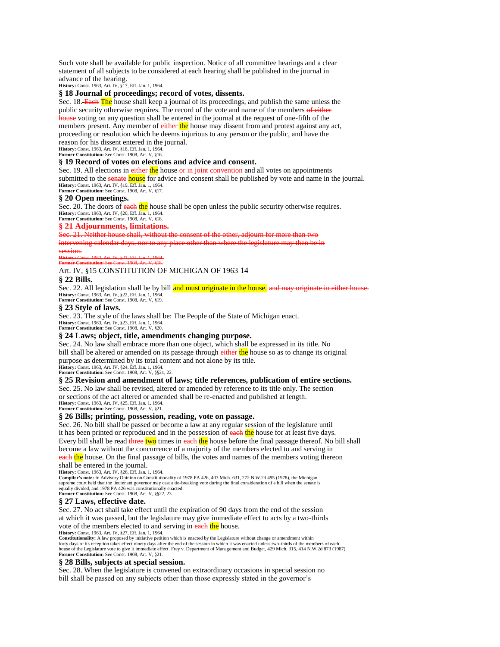Such vote shall be available for public inspection. Notice of all committee hearings and a clear statement of all subjects to be considered at each hearing shall be published in the journal in advance of the hearing.

**History:** Const. 1963, Art. IV, §17, Eff. Jan. 1, 1964.

## **§ 18 Journal of proceedings; record of votes, dissents.**

Sec. 18. Each The house shall keep a journal of its proceedings, and publish the same unless the public security otherwise requires. The record of the vote and name of the members of either house voting on any question shall be entered in the journal at the request of one-fifth of the members present. Any member of either the house may dissent from and protest against any act, proceeding or resolution which he deems injurious to any person or the public, and have the reason for his dissent entered in the journal.

**History:** Const. 1963, Art. IV, §18, Eff. Jan. 1, 1964. **Former Constitution:** See Const. 1908, Art. V, §16.

#### **§ 19 Record of votes on elections and advice and consent.**

Sec. 19. All elections in either the house or in joint convention and all votes on appointments submitted to the senate house for advice and consent shall be published by vote and name in the journal. **History:** Const. 1963, Art. IV, §19, Eff. Jan. 1, 1964. **Former Constitution:** See Const. 1908, Art. V, §17.

#### **§ 20 Open meetings.**

Sec. 20. The doors of each the house shall be open unless the public security otherwise requires. **History:** Const. 1963, Art. IV, §20, Eff. Jan. 1, 1964. **Former Constitution:** See Const. 1908, Art. V, §18.

## **§ 21 Adjournments, limitations.**

Sec. 21. Neither house shall, without the consent of the other, adjourn for more than two intervening calendar days, nor to any place other than where the legislature may then be intervening calendar days, nor to any place other than session.

**History:** Const. 1963, Art. IV, §21, Eff. Jan. 1, 1964. **Former Constitution:** See Const. 1908, Art. V, §18.

## Art. IV, §15 CONSTITUTION OF MICHIGAN OF 1963 14

#### **§ 22 Bills.**

Sec. 22. All legislation shall be by bill and must originate in the house. and may originate in either house **History:** Const. 1963, Art. IV, §22, Eff. Jan. 1, 1964. **Former Constitution:** See Const. 1908, Art. V, §19.

## **§ 23 Style of laws.**

Sec. 23. The style of the laws shall be: The People of the State of Michigan enact. **History:** Const. 1963, Art. IV, §23, Eff. Jan. 1, 1964. **Former Constitution:** See Const. 1908, Art. V, §20.

#### **§ 24 Laws; object, title, amendments changing purpose.**

Sec. 24. No law shall embrace more than one object, which shall be expressed in its title. No bill shall be altered or amended on its passage through either the house so as to change its original purpose as determined by its total content and not alone by its title. **History:** Const. 1963, Art. IV, §24, Eff. Jan. 1, 1964. **Former Constitution:** See Const. 1908, Art. V, §§21, 22.

**§ 25 Revision and amendment of laws; title references, publication of entire sections.**

Sec. 25. No law shall be revised, altered or amended by reference to its title only. The section or sections of the act altered or amended shall be re-enacted and published at length. **History:** Const. 1963, Art. IV, §25, Eff. Jan. 1, 1964. **Former Constitution:** See Const. 1908, Art. V, §21.

#### **§ 26 Bills; printing, possession, reading, vote on passage.**

Sec. 26. No bill shall be passed or become a law at any regular session of the legislature until it has been printed or reproduced and in the possession of each the house for at least five days. Every bill shall be read three two times in each the house before the final passage thereof. No bill shall become a law without the concurrence of a majority of the members elected to and serving in each the house. On the final passage of bills, the votes and names of the members voting thereon

shall be entered in the journal.

**History:** Const. 1963, Art. IV, §26, Eff. Jan. 1, 1964. **Compiler's note:** In Advisory Opinion on Constitutionality of 1978 PA 426, 403 Mich. 631, 272 N.W.2d 495 (1978), the Michigan supreme court held that the lieutenant governor may cast a tie-breaking vote during the final consideration of a bill when the sena

equally divided, and 1978 PA 426 was constitutionally enacted.

**Former Constitution:** See Const. 1908, Art. V, §§22, 23.

## **§ 27 Laws, effective date.**

Sec. 27. No act shall take effect until the expiration of 90 days from the end of the session at which it was passed, but the legislature may give immediate effect to acts by a two-thirds vote of the members elected to and serving in each the house.

**History:** Const. 1963, Art. IV, §27, Eff. Jan. 1, 1964. Constitutionality: A law proposed by initiative petition which is enacted by the Legislature without change or amendment within<br>forty days of its reception takes effect ninety days after the end of the session in which it house of the Legislature vote to give it immediate effect. Frey v. Department of Management and Budget, 429 Mich. 315, 414 N.W.2d 873 (1987). **Former Constitution:** See Const. 1908, Art. V, §21.

#### **§ 28 Bills, subjects at special session.**

Sec. 28. When the legislature is convened on extraordinary occasions in special session no bill shall be passed on any subjects other than those expressly stated in the governor's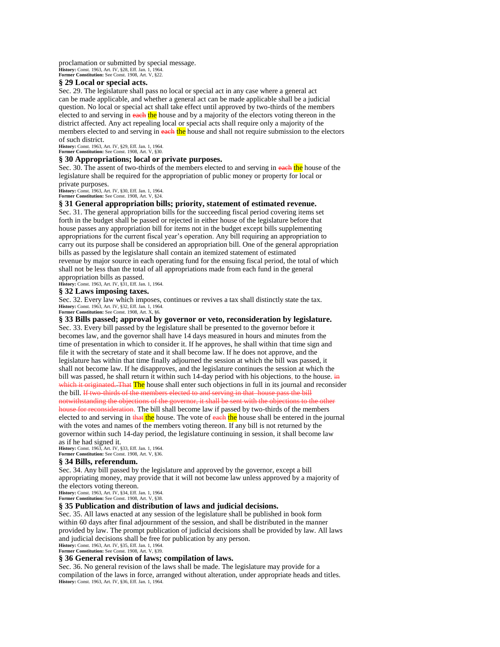proclamation or submitted by special message. **History:** Const. 1963, Art. IV, §28, Eff. Jan. 1, 1964. **Former Constitution:** See Const. 1908, Art. V, §22.

#### **§ 29 Local or special acts.**

Sec. 29. The legislature shall pass no local or special act in any case where a general act can be made applicable, and whether a general act can be made applicable shall be a judicial question. No local or special act shall take effect until approved by two-thirds of the members elected to and serving in each the house and by a majority of the electors voting thereon in the district affected. Any act repealing local or special acts shall require only a majority of the members elected to and serving in each the house and shall not require submission to the electors of such district.

**History:** Const. 1963, Art. IV, §29, Eff. Jan. 1, 1964. **Former Constitution:** See Const. 1908, Art. V, §30.

#### **§ 30 Appropriations; local or private purposes.**

Sec. 30. The assent of two-thirds of the members elected to and serving in each the house of the legislature shall be required for the appropriation of public money or property for local or private purposes.

**History:** Const. 1963, Art. IV, §30, Eff. Jan. 1, 1964. **Former Constitution:** See Const. 1908, Art. V, §24.

#### **§ 31 General appropriation bills; priority, statement of estimated revenue.**

Sec. 31. The general appropriation bills for the succeeding fiscal period covering items set forth in the budget shall be passed or rejected in either house of the legislature before that house passes any appropriation bill for items not in the budget except bills supplementing appropriations for the current fiscal year's operation. Any bill requiring an appropriation to carry out its purpose shall be considered an appropriation bill. One of the general appropriation bills as passed by the legislature shall contain an itemized statement of estimated revenue by major source in each operating fund for the ensuing fiscal period, the total of which shall not be less than the total of all appropriations made from each fund in the general appropriation bills as passed.

**History:** Const. 1963, Art. IV, §31, Eff. Jan. 1, 1964.

## **§ 32 Laws imposing taxes.**

Sec. 32. Every law which imposes, continues or revives a tax shall distinctly state the tax. **History:** Const. 1963, Art. IV, §32, Eff. Jan. 1, 1964. **Former Constitution:** See Const. 1908, Art. X, §6.

**§ 33 Bills passed; approval by governor or veto, reconsideration by legislature.** Sec. 33. Every bill passed by the legislature shall be presented to the governor before it becomes law, and the governor shall have 14 days measured in hours and minutes from the time of presentation in which to consider it. If he approves, he shall within that time sign and file it with the secretary of state and it shall become law. If he does not approve, and the legislature has within that time finally adjourned the session at which the bill was passed, it shall not become law. If he disapproves, and the legislature continues the session at which the bill was passed, he shall return it within such 14-day period with his objections, to the house. in which it originated. That The house shall enter such objections in full in its journal and reconsider the bill. If two-thirds of the members elected to and serving in that house pass the bill notwithstanding the objections of the governor, it shall be sent with the objections to the other house for reconsideration. The bill shall become law if passed by two-thirds of the members elected to and serving in that the house. The vote of each the house shall be entered in the journal with the votes and names of the members voting thereon. If any bill is not returned by the governor within such 14-day period, the legislature continuing in session, it shall become law as if he had signed it.

**History:** Const. 1963, Art. IV, §33, Eff. Jan. 1, 1964. **Former Constitution:** See Const. 1908, Art. V, §36.

## **§ 34 Bills, referendum.**

Sec. 34. Any bill passed by the legislature and approved by the governor, except a bill appropriating money, may provide that it will not become law unless approved by a majority of the electors voting thereon.

**History:** Const. 1963, Art. IV, §34, Eff. Jan. 1, 1964. **Former Constitution:** See Const. 1908, Art. V, §38.

#### **§ 35 Publication and distribution of laws and judicial decisions.**

Sec. 35. All laws enacted at any session of the legislature shall be published in book form within 60 days after final adjournment of the session, and shall be distributed in the manner provided by law. The prompt publication of judicial decisions shall be provided by law. All laws and judicial decisions shall be free for publication by any person. **History:** Const. 1963, Art. IV, §35, Eff. Jan. 1, 1964. **Former Constitution:** See Const. 1908, Art. V, §39.

#### **§ 36 General revision of laws; compilation of laws.**

Sec. 36. No general revision of the laws shall be made. The legislature may provide for a compilation of the laws in force, arranged without alteration, under appropriate heads and titles. **History:** Const. 1963, Art. IV, §36, Eff. Jan. 1, 1964.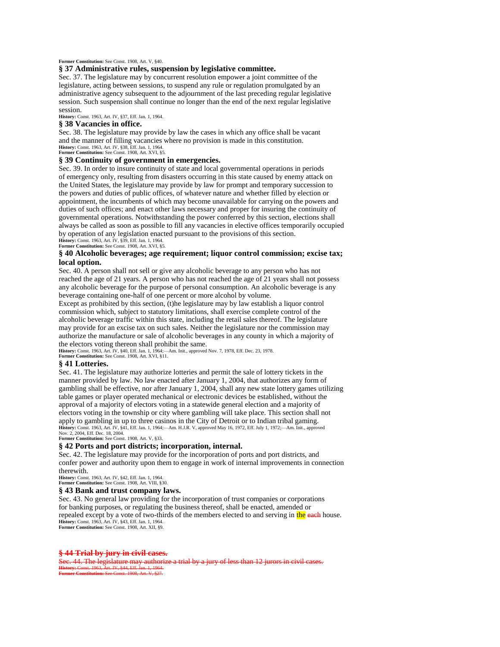**Former Constitution:** See Const. 1908, Art. V, 840.

#### **§ 37 Administrative rules, suspension by legislative committee.**

Sec. 37. The legislature may by concurrent resolution empower a joint committee of the legislature, acting between sessions, to suspend any rule or regulation promulgated by an administrative agency subsequent to the adjournment of the last preceding regular legislative session. Such suspension shall continue no longer than the end of the next regular legislative session.

**History:** Const. 1963, Art. IV, §37, Eff. Jan. 1, 1964.

#### **§ 38 Vacancies in office.**

Sec. 38. The legislature may provide by law the cases in which any office shall be vacant and the manner of filling vacancies where no provision is made in this constitution. **History:** Const. 1963, Art. IV, §38, Eff. Jan. 1, 1964. **Former Constitution:** See Const. 1908, Art. XVI, §5.

#### **§ 39 Continuity of government in emergencies.**

Sec. 39. In order to insure continuity of state and local governmental operations in periods of emergency only, resulting from disasters occurring in this state caused by enemy attack on the United States, the legislature may provide by law for prompt and temporary succession to the powers and duties of public offices, of whatever nature and whether filled by election or appointment, the incumbents of which may become unavailable for carrying on the powers and duties of such offices; and enact other laws necessary and proper for insuring the continuity of governmental operations. Notwithstanding the power conferred by this section, elections shall always be called as soon as possible to fill any vacancies in elective offices temporarily occupied by operation of any legislation enacted pursuant to the provisions of this section. **History:** Const. 1963, Art. IV, §39, Eff. Jan. 1, 1964.

**Former Constitution:** See Const. 1908, Art. XVI, §5.

#### **§ 40 Alcoholic beverages; age requirement; liquor control commission; excise tax; local option.**

Sec. 40. A person shall not sell or give any alcoholic beverage to any person who has not reached the age of 21 years. A person who has not reached the age of 21 years shall not possess any alcoholic beverage for the purpose of personal consumption. An alcoholic beverage is any beverage containing one-half of one percent or more alcohol by volume.

Except as prohibited by this section, (t)he legislature may by law establish a liquor control commission which, subject to statutory limitations, shall exercise complete control of the alcoholic beverage traffic within this state, including the retail sales thereof. The legislature may provide for an excise tax on such sales. Neither the legislature nor the commission may authorize the manufacture or sale of alcoholic beverages in any county in which a majority of the electors voting thereon shall prohibit the same.

**History:** Const. 1963, Art. IV, §40, Eff. Jan. 1, 1964;—Am. Init., approved Nov. 7, 1978, Eff. Dec. 23, 1978. **Former Constitution:** See Const. 1908, Art. XVI, §11.

## **§ 41 Lotteries.**

Sec. 41. The legislature may authorize lotteries and permit the sale of lottery tickets in the manner provided by law. No law enacted after January 1, 2004, that authorizes any form of gambling shall be effective, nor after January 1, 2004, shall any new state lottery games utilizing table games or player operated mechanical or electronic devices be established, without the approval of a majority of electors voting in a statewide general election and a majority of electors voting in the township or city where gambling will take place. This section shall not apply to gambling in up to three casinos in the City of Detroit or to Indian tribal gaming. **History:** Const. 1963, Art. IV, §41, Eff. Jan. 1, 1964;—Am. H.J.R. V, approved May 16, 1972, Eff. July 1, 1972;—Am. Init., approved Nov. 2, 2004, Eff. Dec. 18, 2004.

**Former Constitution:** See Const. 1908, Art. V, §33.

## **§ 42 Ports and port districts; incorporation, internal.**

Sec. 42. The legislature may provide for the incorporation of ports and port districts, and confer power and authority upon them to engage in work of internal improvements in connection therewith.

**History:** Const. 1963, Art. IV, §42, Eff. Jan. 1, 1964. **Former Constitution:** See Const. 1908, Art. VIII, §30.

#### **§ 43 Bank and trust company laws.**

Sec. 43. No general law providing for the incorporation of trust companies or corporations for banking purposes, or regulating the business thereof, shall be enacted, amended or repealed except by a vote of two-thirds of the members elected to and serving in the each house. **History:** Const. 1963, Art. IV, §43, Eff. Jan. 1, 1964. **Former Constitution:** See Const. 1908, Art. XII, §9.

# **§ 44 Trial by jury in civil cases.**

a jury of less than 12 jurors in civil cas **History:** Const. 1963, Art. IV, §44, Eff. Jan. 1, 1964. **Former Constitution:** See Const. 1908, Art. V, §27.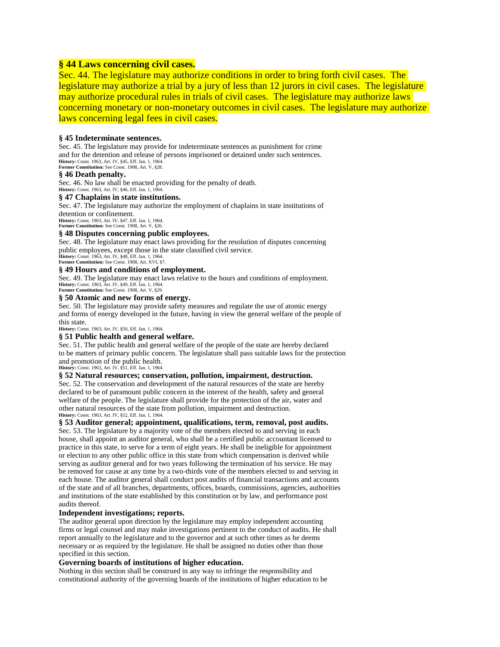## **§ 44 Laws concerning civil cases.**

Sec. 44. The legislature may authorize conditions in order to bring forth civil cases. The legislature may authorize a trial by a jury of less than 12 jurors in civil cases. The legislature may authorize procedural rules in trials of civil cases. The legislature may authorize laws concerning monetary or non-monetary outcomes in civil cases. The legislature may authorize laws concerning legal fees in civil cases.

## **§ 45 Indeterminate sentences.**

Sec. 45. The legislature may provide for indeterminate sentences as punishment for crime and for the detention and release of persons imprisoned or detained under such sentences. **History:** Const. 1963, Art. IV, §45, Eff. Jan. 1, 1964. **Former Constitution:** See Const. 1908, Art. V, §28.

#### **§ 46 Death penalty.**

Sec. 46. No law shall be enacted providing for the penalty of death.

#### **History:** Const. 1963, Art. IV, §46, Eff. Jan. 1, 1964. **§ 47 Chaplains in state institutions.**

Sec. 47. The legislature may authorize the employment of chaplains in state institutions of detention or confinement.

**History:** Const. 1963, Art. IV, §47, Eff. Jan. 1, 1964. **Former Constitution:** See Const. 1908, Art. V, §26.

## **§ 48 Disputes concerning public employees.**

Sec. 48. The legislature may enact laws providing for the resolution of disputes concerning public employees, except those in the state classified civil service. **History:** Const. 1963, Art. IV, §48, Eff. Jan. 1, 1964. **Former Constitution:** See Const. 1908, Art. XVI, §7.

## **§ 49 Hours and conditions of employment.**

Sec. 49. The legislature may enact laws relative to the hours and conditions of employment. **History:** Const. 1963, Art. IV, §49, Eff. Jan. 1, 1964. **Former Constitution:** See Const. 1908, Art. V, §29.

#### **§ 50 Atomic and new forms of energy.**

Sec. 50. The legislature may provide safety measures and regulate the use of atomic energy and forms of energy developed in the future, having in view the general welfare of the people of this state.

**History:** Const. 1963, Art. IV, §50, Eff. Jan. 1, 1964.

## **§ 51 Public health and general welfare.**

Sec. 51. The public health and general welfare of the people of the state are hereby declared to be matters of primary public concern. The legislature shall pass suitable laws for the protection and promotion of the public health.

**History:** Const. 1963, Art. IV, §51, Eff. Jan. 1, 1964.

## **§ 52 Natural resources; conservation, pollution, impairment, destruction.**

Sec. 52. The conservation and development of the natural resources of the state are hereby declared to be of paramount public concern in the interest of the health, safety and general welfare of the people. The legislature shall provide for the protection of the air, water and other natural resources of the state from pollution, impairment and destruction. **History:** Const. 1963, Art. IV, §52, Eff. Jan. 1, 1964.

#### **§ 53 Auditor general; appointment, qualifications, term, removal, post audits.**

Sec. 53. The legislature by a majority vote of the members elected to and serving in each house, shall appoint an auditor general, who shall be a certified public accountant licensed to practice in this state, to serve for a term of eight years. He shall be ineligible for appointment or election to any other public office in this state from which compensation is derived while serving as auditor general and for two years following the termination of his service. He may be removed for cause at any time by a two-thirds vote of the members elected to and serving in each house. The auditor general shall conduct post audits of financial transactions and accounts of the state and of all branches, departments, offices, boards, commissions, agencies, authorities and institutions of the state established by this constitution or by law, and performance post audits thereof.

#### **Independent investigations; reports.**

The auditor general upon direction by the legislature may employ independent accounting firms or legal counsel and may make investigations pertinent to the conduct of audits. He shall report annually to the legislature and to the governor and at such other times as he deems necessary or as required by the legislature. He shall be assigned no duties other than those specified in this section.

#### **Governing boards of institutions of higher education.**

Nothing in this section shall be construed in any way to infringe the responsibility and constitutional authority of the governing boards of the institutions of higher education to be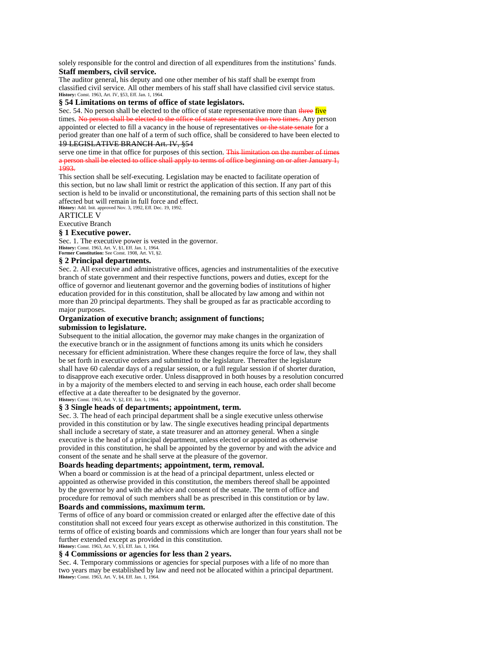solely responsible for the control and direction of all expenditures from the institutions' funds. **Staff members, civil service.**

The auditor general, his deputy and one other member of his staff shall be exempt from classified civil service. All other members of his staff shall have classified civil service status. **History:** Const. 1963, Art. IV, §53, Eff. Jan. 1, 1964.

#### **§ 54 Limitations on terms of office of state legislators.**

Sec. 54. No person shall be elected to the office of state representative more than three five times. No person shall be elected to the office of state senate more than two times. Any person appointed or elected to fill a vacancy in the house of representatives or the state senate for a period greater than one half of a term of such office, shall be considered to have been elected to 19 LEGISLATIVE BRANCH Art. IV, §54

serve one time in that office for purposes of this section. This limitation on the number of times a person shall be elected to office shall apply to terms of office beginning on or after January 1, 1993.

This section shall be self-executing. Legislation may be enacted to facilitate operation of this section, but no law shall limit or restrict the application of this section. If any part of this section is held to be invalid or unconstitutional, the remaining parts of this section shall not be affected but will remain in full force and effect. **History:** Add. Init. approved Nov. 3, 1992, Eff. Dec. 19, 1992.

ARTICLE V

Executive Branch

#### **§ 1 Executive power.**

Sec. 1. The executive power is vested in the governor. **History:** Const. 1963, Art. V, §1, Eff. Jan. 1, 1964. **Former Constitution:** See Const. 1908, Art. VI, §2.

#### **§ 2 Principal departments.**

Sec. 2. All executive and administrative offices, agencies and instrumentalities of the executive branch of state government and their respective functions, powers and duties, except for the office of governor and lieutenant governor and the governing bodies of institutions of higher education provided for in this constitution, shall be allocated by law among and within not more than 20 principal departments. They shall be grouped as far as practicable according to major purposes.

# **Organization of executive branch; assignment of functions;**

## **submission to legislature.**

Subsequent to the initial allocation, the governor may make changes in the organization of the executive branch or in the assignment of functions among its units which he considers necessary for efficient administration. Where these changes require the force of law, they shall be set forth in executive orders and submitted to the legislature. Thereafter the legislature shall have 60 calendar days of a regular session, or a full regular session if of shorter duration, to disapprove each executive order. Unless disapproved in both houses by a resolution concurred in by a majority of the members elected to and serving in each house, each order shall become effective at a date thereafter to be designated by the governor. **History:** Const. 1963, Art. V, §2, Eff. Jan. 1, 1964.

# **§ 3 Single heads of departments; appointment, term.**

Sec. 3. The head of each principal department shall be a single executive unless otherwise provided in this constitution or by law. The single executives heading principal departments shall include a secretary of state, a state treasurer and an attorney general. When a single executive is the head of a principal department, unless elected or appointed as otherwise provided in this constitution, he shall be appointed by the governor by and with the advice and consent of the senate and he shall serve at the pleasure of the governor.

#### **Boards heading departments; appointment, term, removal.**

When a board or commission is at the head of a principal department, unless elected or appointed as otherwise provided in this constitution, the members thereof shall be appointed by the governor by and with the advice and consent of the senate. The term of office and procedure for removal of such members shall be as prescribed in this constitution or by law.

#### **Boards and commissions, maximum term.**

Terms of office of any board or commission created or enlarged after the effective date of this constitution shall not exceed four years except as otherwise authorized in this constitution. The terms of office of existing boards and commissions which are longer than four years shall not be further extended except as provided in this constitution. **History:** Const. 1963, Art. V, §3, Eff. Jan. 1, 1964.

## **§ 4 Commissions or agencies for less than 2 years.**

Sec. 4. Temporary commissions or agencies for special purposes with a life of no more than two years may be established by law and need not be allocated within a principal department. **History:** Const. 1963, Art. V, §4, Eff. Jan. 1, 1964.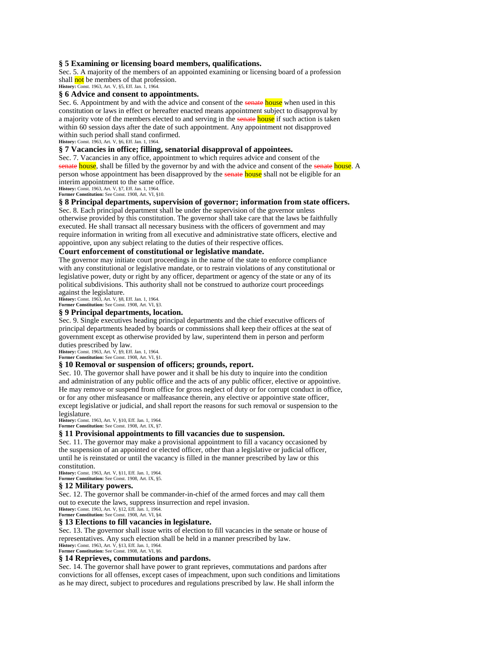#### **§ 5 Examining or licensing board members, qualifications.**

Sec. 5. A majority of the members of an appointed examining or licensing board of a profession shall not be members of that profession.

**History:** Const. 1963, Art. V, §5, Eff. Jan. 1, 1964.

## **§ 6 Advice and consent to appointments.**

Sec. 6. Appointment by and with the advice and consent of the senate house when used in this constitution or laws in effect or hereafter enacted means appointment subject to disapproval by a majority vote of the members elected to and serving in the senate house if such action is taken within 60 session days after the date of such appointment. Any appointment not disapproved within such period shall stand confirmed.

**History:** Const. 1963, Art. V, §6, Eff. Jan. 1, 1964.

## **§ 7 Vacancies in office; filling, senatorial disapproval of appointees.**

Sec. 7. Vacancies in any office, appointment to which requires advice and consent of the senate house, shall be filled by the governor by and with the advice and consent of the senate house. A person whose appointment has been disapproved by the senate house shall not be eligible for an interim appointment to the same office.

**History:** Const. 1963, Art. V, §7, Eff. Jan. 1, 1964. **Former Constitution:** See Const. 1908, Art. VI, §10.

#### **§ 8 Principal departments, supervision of governor; information from state officers.**

Sec. 8. Each principal department shall be under the supervision of the governor unless otherwise provided by this constitution. The governor shall take care that the laws be faithfully executed. He shall transact all necessary business with the officers of government and may require information in writing from all executive and administrative state officers, elective and appointive, upon any subject relating to the duties of their respective offices.

## **Court enforcement of constitutional or legislative mandate.**

The governor may initiate court proceedings in the name of the state to enforce compliance with any constitutional or legislative mandate, or to restrain violations of any constitutional or legislative power, duty or right by any officer, department or agency of the state or any of its political subdivisions. This authority shall not be construed to authorize court proceedings against the legislature.

**History:** Const. 1963, Art. V, §8, Eff. Jan. 1, 1964. **Former Constitution:** See Const. 1908, Art. VI, §3.

## **§ 9 Principal departments, location.**

Sec. 9. Single executives heading principal departments and the chief executive officers of principal departments headed by boards or commissions shall keep their offices at the seat of government except as otherwise provided by law, superintend them in person and perform duties prescribed by law.

**History:** Const. 1963, Art. V, §9, Eff. Jan. 1, 1964. **Former Constitution:** See Const. 1908, Art. VI, §1.

#### **§ 10 Removal or suspension of officers; grounds, report.**

Sec. 10. The governor shall have power and it shall be his duty to inquire into the condition and administration of any public office and the acts of any public officer, elective or appointive. He may remove or suspend from office for gross neglect of duty or for corrupt conduct in office, or for any other misfeasance or malfeasance therein, any elective or appointive state officer, except legislative or judicial, and shall report the reasons for such removal or suspension to the legislature.

**History:** Const. 1963, Art. V, §10, Eff. Jan. 1, 1964. Former Constitution: See Const. 1908, Art. IX, §7.

#### **§ 11 Provisional appointments to fill vacancies due to suspension.**

Sec. 11. The governor may make a provisional appointment to fill a vacancy occasioned by the suspension of an appointed or elected officer, other than a legislative or judicial officer, until he is reinstated or until the vacancy is filled in the manner prescribed by law or this constitution.

**History:** Const. 1963, Art. V, §11, Eff. Jan. 1, 1964. **Former Constitution:** See Const. 1908, Art. IX, §5.

#### **§ 12 Military powers.**

Sec. 12. The governor shall be commander-in-chief of the armed forces and may call them out to execute the laws, suppress insurrection and repel invasion. **History:** Const. 1963, Art. V, §12, Eff. Jan. 1, 1964.

**Former Constitution:** See Const. 1908, Art. VI, §4.

## **§ 13 Elections to fill vacancies in legislature.**

Sec. 13. The governor shall issue writs of election to fill vacancies in the senate or house of representatives. Any such election shall be held in a manner prescribed by law. **History:** Const. 1963, Art. V, §13, Eff. Jan. 1, 1964. **Former Constitution:** See Const. 1908, Art. VI, §6.

#### **§ 14 Reprieves, commutations and pardons.**

Sec. 14. The governor shall have power to grant reprieves, commutations and pardons after convictions for all offenses, except cases of impeachment, upon such conditions and limitations as he may direct, subject to procedures and regulations prescribed by law. He shall inform the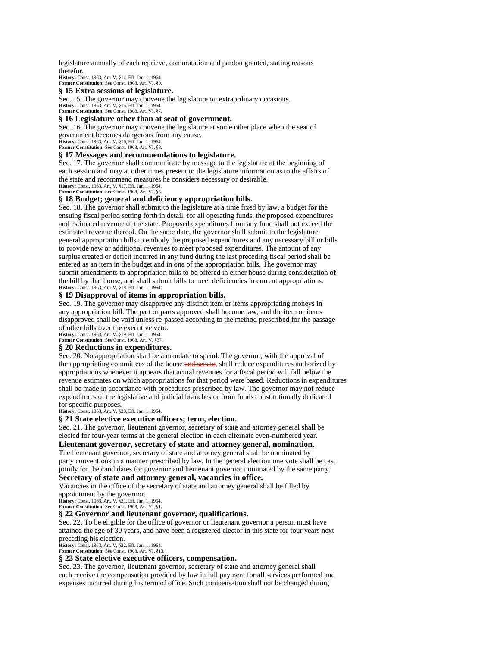legislature annually of each reprieve, commutation and pardon granted, stating reasons therefor.

**History:** Const. 1963, Art. V, §14, Eff. Jan. 1, 1964. **Former Constitution:** See Const. 1908, Art. VI, §9.

## **§ 15 Extra sessions of legislature.**

Sec. 15. The governor may convene the legislature on extraordinary occasions. **History:** Const. 1963, Art. V, §15, Eff. Jan. 1, 1964. **Former Constitution:** See Const. 1908, Art. VI, §7.

#### **§ 16 Legislature other than at seat of government.**

Sec. 16. The governor may convene the legislature at some other place when the seat of government becomes dangerous from any cause. **History:** Const. 1963, Art. V, §16, Eff. Jan. 1, 1964. **Former Constitution:** See Const. 1908, Art. VI, §8.

#### **§ 17 Messages and recommendations to legislature.**

Sec. 17. The governor shall communicate by message to the legislature at the beginning of each session and may at other times present to the legislature information as to the affairs of the state and recommend measures he considers necessary or desirable. **History:** Const. 1963, Art. V, §17, Eff. Jan. 1, 1964.

**Former Constitution:** See Const. 1908, Art. VI, §5.

## **§ 18 Budget; general and deficiency appropriation bills.**

Sec. 18. The governor shall submit to the legislature at a time fixed by law, a budget for the ensuing fiscal period setting forth in detail, for all operating funds, the proposed expenditures and estimated revenue of the state. Proposed expenditures from any fund shall not exceed the estimated revenue thereof. On the same date, the governor shall submit to the legislature general appropriation bills to embody the proposed expenditures and any necessary bill or bills to provide new or additional revenues to meet proposed expenditures. The amount of any surplus created or deficit incurred in any fund during the last preceding fiscal period shall be entered as an item in the budget and in one of the appropriation bills. The governor may submit amendments to appropriation bills to be offered in either house during consideration of the bill by that house, and shall submit bills to meet deficiencies in current appropriations. **History:** Const. 1963, Art. V, §18, Eff. Jan. 1, 1964.

#### **§ 19 Disapproval of items in appropriation bills.**

Sec. 19. The governor may disapprove any distinct item or items appropriating moneys in any appropriation bill. The part or parts approved shall become law, and the item or items disapproved shall be void unless re-passed according to the method prescribed for the passage of other bills over the executive veto.

**History:** Const. 1963, Art. V, §19, Eff. Jan. 1, 1964. **Former Constitution:** See Const. 1908, Art. V, §37.

#### **§ 20 Reductions in expenditures.**

Sec. 20. No appropriation shall be a mandate to spend. The governor, with the approval of the appropriating committees of the house and senate, shall reduce expenditures authorized by appropriations whenever it appears that actual revenues for a fiscal period will fall below the revenue estimates on which appropriations for that period were based. Reductions in expenditures shall be made in accordance with procedures prescribed by law. The governor may not reduce expenditures of the legislative and judicial branches or from funds constitutionally dedicated for specific purposes.

**History:** Const. 1963, Art. V, §20, Eff. Jan. 1, 1964.

#### **§ 21 State elective executive officers; term, election.**

Sec. 21. The governor, lieutenant governor, secretary of state and attorney general shall be elected for four-year terms at the general election in each alternate even-numbered year.

**Lieutenant governor, secretary of state and attorney general, nomination.**

The lieutenant governor, secretary of state and attorney general shall be nominated by party conventions in a manner prescribed by law. In the general election one vote shall be cast jointly for the candidates for governor and lieutenant governor nominated by the same party. **Secretary of state and attorney general, vacancies in office.**

Vacancies in the office of the secretary of state and attorney general shall be filled by appointment by the governor.

**History:** Const. 1963, Art. V, §21, Eff. Jan. 1, 1964. **Former Constitution:** See Const. 1908, Art. VI, §1.

#### **§ 22 Governor and lieutenant governor, qualifications.**

Sec. 22. To be eligible for the office of governor or lieutenant governor a person must have attained the age of 30 years, and have been a registered elector in this state for four years next preceding his election.

**History:** Const. 1963, Art. V, §22, Eff. Jan. 1, 1964. **Former Constitution:** See Const. 1908, Art. VI, §13.

#### **§ 23 State elective executive officers, compensation.**

Sec. 23. The governor, lieutenant governor, secretary of state and attorney general shall each receive the compensation provided by law in full payment for all services performed and expenses incurred during his term of office. Such compensation shall not be changed during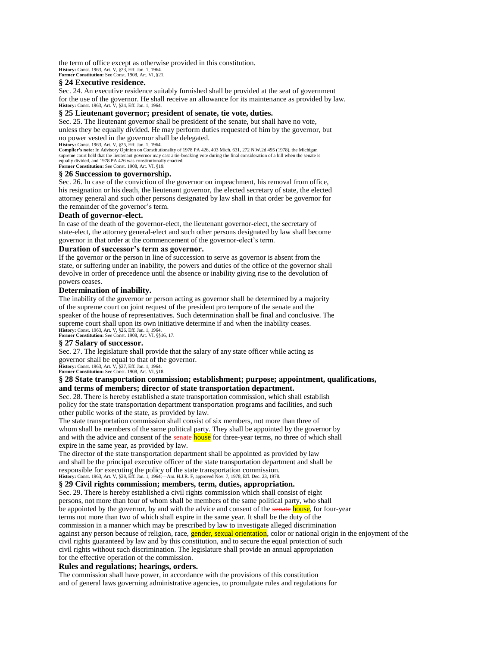the term of office except as otherwise provided in this constitution. **History:** Const. 1963, Art. V, §23, Eff. Jan. 1, 1964. **Former Constitution:** See Const. 1908, Art. VI, §21.

#### **§ 24 Executive residence.**

Sec. 24. An executive residence suitably furnished shall be provided at the seat of government for the use of the governor. He shall receive an allowance for its maintenance as provided by law. **History:** Const. 1963, Art. V, §24, Eff. Jan. 1, 1964.

#### **§ 25 Lieutenant governor; president of senate, tie vote, duties.**

Sec. 25. The lieutenant governor shall be president of the senate, but shall have no vote, unless they be equally divided. He may perform duties requested of him by the governor, but no power vested in the governor shall be delegated.

**History:** Const. 1963, Art. V, §25, Eff. Jan. 1, 1964.

Compiler's note: In Advisory Opinion on Constitutionality of 1978 PA 426, 403 Mich. 631, 272 N.W.2d 495 (1978), the Michigan<br>supreme court held that the lieutenant governor may cast a tie-breaking vote during the final con equally divided, and 1978 PA 426 was constitutionally enacted. **Former Constitution:** See Const. 1908, Art. VI, §19.

#### **§ 26 Succession to governorship.**

Sec. 26. In case of the conviction of the governor on impeachment, his removal from office, his resignation or his death, the lieutenant governor, the elected secretary of state, the elected attorney general and such other persons designated by law shall in that order be governor for the remainder of the governor's term.

#### **Death of governor-elect.**

In case of the death of the governor-elect, the lieutenant governor-elect, the secretary of state-elect, the attorney general-elect and such other persons designated by law shall become governor in that order at the commencement of the governor-elect's term.

#### **Duration of successor's term as governor.**

If the governor or the person in line of succession to serve as governor is absent from the state, or suffering under an inability, the powers and duties of the office of the governor shall devolve in order of precedence until the absence or inability giving rise to the devolution of powers ceases.

#### **Determination of inability.**

The inability of the governor or person acting as governor shall be determined by a majority of the supreme court on joint request of the president pro tempore of the senate and the speaker of the house of representatives. Such determination shall be final and conclusive. The supreme court shall upon its own initiative determine if and when the inability ceases. **History:** Const. 1963, Art. V, §26, Eff. Jan. 1, 1964. **Former Constitution:** See Const. 1908, Art. VI, §§16, 17.

#### **§ 27 Salary of successor.**

Sec. 27. The legislature shall provide that the salary of any state officer while acting as governor shall be equal to that of the governor. **History:** Const. 1963, Art. V, §27, Eff. Jan. 1, 1964. **Former Constitution:** See Const. 1908, Art. VI, §18.

#### **§ 28 State transportation commission; establishment; purpose; appointment, qualifications, and terms of members; director of state transportation department.**

Sec. 28. There is hereby established a state transportation commission, which shall establish policy for the state transportation department transportation programs and facilities, and such other public works of the state, as provided by law.

The state transportation commission shall consist of six members, not more than three of whom shall be members of the same political party. They shall be appointed by the governor by and with the advice and consent of the senate house for three-year terms, no three of which shall expire in the same year, as provided by law.

The director of the state transportation department shall be appointed as provided by law and shall be the principal executive officer of the state transportation department and shall be responsible for executing the policy of the state transportation commission. **History:** Const. 1963, Art. V, §28, Eff. Jan. 1, 1964;—Am. H.J.R. F, approved Nov. 7, 1978, Eff. Dec. 23, 1978.

#### **§ 29 Civil rights commission; members, term, duties, appropriation.**

Sec. 29. There is hereby established a civil rights commission which shall consist of eight persons, not more than four of whom shall be members of the same political party, who shall be appointed by the governor, by and with the advice and consent of the senate house, for four-year terms not more than two of which shall expire in the same year. It shall be the duty of the commission in a manner which may be prescribed by law to investigate alleged discrimination against any person because of religion, race, **gender, sexual orientation**, color or national origin in the enjoyment of the civil rights guaranteed by law and by this constitution, and to secure the equal protection of such civil rights without such discrimination. The legislature shall provide an annual appropriation for the effective operation of the commission.

#### **Rules and regulations; hearings, orders.**

The commission shall have power, in accordance with the provisions of this constitution and of general laws governing administrative agencies, to promulgate rules and regulations for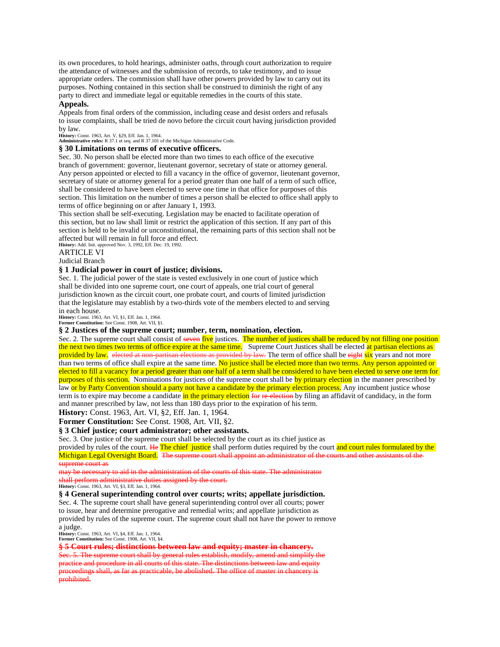its own procedures, to hold hearings, administer oaths, through court authorization to require the attendance of witnesses and the submission of records, to take testimony, and to issue appropriate orders. The commission shall have other powers provided by law to carry out its purposes. Nothing contained in this section shall be construed to diminish the right of any party to direct and immediate legal or equitable remedies in the courts of this state.

#### **Appeals.**

Appeals from final orders of the commission, including cease and desist orders and refusals to issue complaints, shall be tried de novo before the circuit court having jurisdiction provided by law.

**History:** Const. 1963, Art. V, §29, Eff. Jan. 1, 1964. **Administrative rules:** R 37.1 et seq. and R 37.101 of the Michigan Administrative Code.

## **§ 30 Limitations on terms of executive officers.**

Sec. 30. No person shall be elected more than two times to each office of the executive branch of government: governor, lieutenant governor, secretary of state or attorney general. Any person appointed or elected to fill a vacancy in the office of governor, lieutenant governor, secretary of state or attorney general for a period greater than one half of a term of such office, shall be considered to have been elected to serve one time in that office for purposes of this section. This limitation on the number of times a person shall be elected to office shall apply to terms of office beginning on or after January 1, 1993.

This section shall be self-executing. Legislation may be enacted to facilitate operation of this section, but no law shall limit or restrict the application of this section. If any part of this section is held to be invalid or unconstitutional, the remaining parts of this section shall not be affected but will remain in full force and effect.

**History:** Add. Init. approved Nov. 3, 1992, Eff. Dec. 19, 1992.

ARTICLE VI

## Judicial Branch

## **§ 1 Judicial power in court of justice; divisions.**

Sec. 1. The judicial power of the state is vested exclusively in one court of justice which shall be divided into one supreme court, one court of appeals, one trial court of general jurisdiction known as the circuit court, one probate court, and courts of limited jurisdiction that the legislature may establish by a two-thirds vote of the members elected to and serving in each house.

**History:** Const. 1963, Art. VI, §1, Eff. Jan. 1, 1964.

**Former Constitution:** See Const. 1908, Art. VII, §1.

## **§ 2 Justices of the supreme court; number, term, nomination, election.**

Sec. 2. The supreme court shall consist of seven five justices. The number of justices shall be reduced by not filling one position the next two times two terms of office expire at the same time. Supreme Court Justices shall be elected at partisan elections as provided by law. elected at non-partisan elections as provided by law. The term of office shall be eight six years and not more than two terms of office shall expire at the same time. No justice shall be elected more than two terms. Any person appointed or elected to fill a vacancy for a period greater than one half of a term shall be considered to have been elected to serve one term for purposes of this section. Nominations for justices of the supreme court shall be by primary election in the manner prescribed by law or by Party Convention should a party not have a candidate by the primary election process. Any incumbent justice whose term is to expire may become a candidate in the primary election for re-election by filing an affidavit of candidacy, in the form and manner prescribed by law, not less than 180 days prior to the expiration of his term.

**History:** Const. 1963, Art. VI, §2, Eff. Jan. 1, 1964.

**Former Constitution:** See Const. 1908, Art. VII, §2.

## **§ 3 Chief justice; court administrator; other assistants.**

Sec. 3. One justice of the supreme court shall be selected by the court as its chief justice as

provided by rules of the court. He The chief justice shall perform duties required by the court and court rules formulated by the Michigan Legal Oversight Board. The supreme court shall appoint an administrator of the courts and other assistants

supreme court as

may be necessary to aid in the administration of the courts of this state. The administrator shall perform administrative duties assigned by the court.

**History:** Const. 1963, Art. VI, §3, Eff. Jan. 1, 1964.

## **§ 4 General superintending control over courts; writs; appellate jurisdiction.**

Sec. 4. The supreme court shall have general superintending control over all courts; power to issue, hear and determine prerogative and remedial writs; and appellate jurisdiction as provided by rules of the supreme court. The supreme court shall not have the power to remove a judge.

**History:** Const. 1963, Art. VI, §4, Eff. Jan. 1, 1964.

**Former Constitution:** See Const. 1908, Art. VII, §4.

## **§ 5 Court rules; distinctions between law and equity; master in chancery.**

Sec. 5. The supreme court shall by general rules establish, modify, amend and simplify the practice and procedure in all courts of this state. The distinctions between law and equity proceedings shall, as far as practicable, be abolished. The office of master in chancery is prohibited.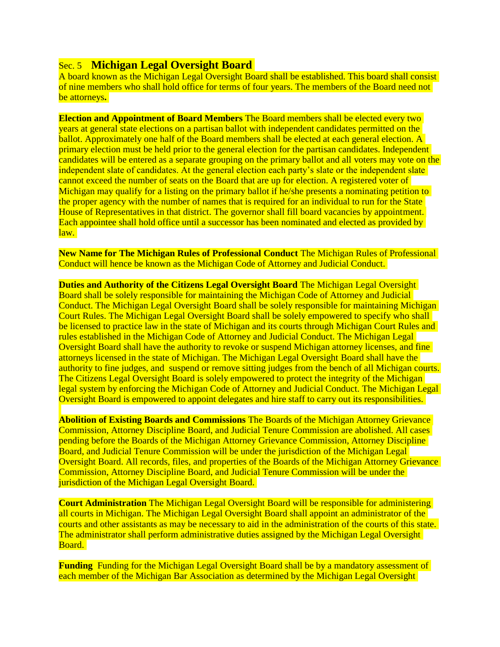# Sec. 5 **Michigan Legal Oversight Board**

A board known as the Michigan Legal Oversight Board shall be established. This board shall consist of nine members who shall hold office for terms of four years. The members of the Board need not be attorneys**.** 

**Election and Appointment of Board Members** The Board members shall be elected every two years at general state elections on a partisan ballot with independent candidates permitted on the ballot. Approximately one half of the Board members shall be elected at each general election. A primary election must be held prior to the general election for the partisan candidates. Independent candidates will be entered as a separate grouping on the primary ballot and all voters may vote on the independent slate of candidates. At the general election each party's slate or the independent slate cannot exceed the number of seats on the Board that are up for election. A registered voter of Michigan may qualify for a listing on the primary ballot if he/she presents a nominating petition to the proper agency with the number of names that is required for an individual to run for the State House of Representatives in that district. The governor shall fill board vacancies by appointment. Each appointee shall hold office until a successor has been nominated and elected as provided by law.

**New Name for The Michigan Rules of Professional Conduct** The Michigan Rules of Professional Conduct will hence be known as the Michigan Code of Attorney and Judicial Conduct.

**Duties and Authority of the Citizens Legal Oversight Board** The Michigan Legal Oversight Board shall be solely responsible for maintaining the Michigan Code of Attorney and Judicial Conduct. The Michigan Legal Oversight Board shall be solely responsible for maintaining Michigan Court Rules. The Michigan Legal Oversight Board shall be solely empowered to specify who shall be licensed to practice law in the state of Michigan and its courts through Michigan Court Rules and rules established in the Michigan Code of Attorney and Judicial Conduct. The Michigan Legal Oversight Board shall have the authority to revoke or suspend Michigan attorney licenses, and fine attorneys licensed in the state of Michigan. The Michigan Legal Oversight Board shall have the authority to fine judges, and suspend or remove sitting judges from the bench of all Michigan courts. The Citizens Legal Oversight Board is solely empowered to protect the integrity of the Michigan legal system by enforcing the Michigan Code of Attorney and Judicial Conduct. The Michigan Legal Oversight Board is empowered to appoint delegates and hire staff to carry out its responsibilities.

**Abolition of Existing Boards and Commissions** The Boards of the Michigan Attorney Grievance Commission, Attorney Discipline Board, and Judicial Tenure Commission are abolished. All cases pending before the Boards of the Michigan Attorney Grievance Commission, Attorney Discipline Board, and Judicial Tenure Commission will be under the jurisdiction of the Michigan Legal Oversight Board. All records, files, and properties of the Boards of the Michigan Attorney Grievance Commission, Attorney Discipline Board, and Judicial Tenure Commission will be under the jurisdiction of the Michigan Legal Oversight Board.

**Court Administration** The Michigan Legal Oversight Board will be responsible for administering all courts in Michigan. The Michigan Legal Oversight Board shall appoint an administrator of the courts and other assistants as may be necessary to aid in the administration of the courts of this state. The administrator shall perform administrative duties assigned by the Michigan Legal Oversight Board.

**Funding** Funding for the Michigan Legal Oversight Board shall be by a mandatory assessment of each member of the Michigan Bar Association as determined by the Michigan Legal Oversight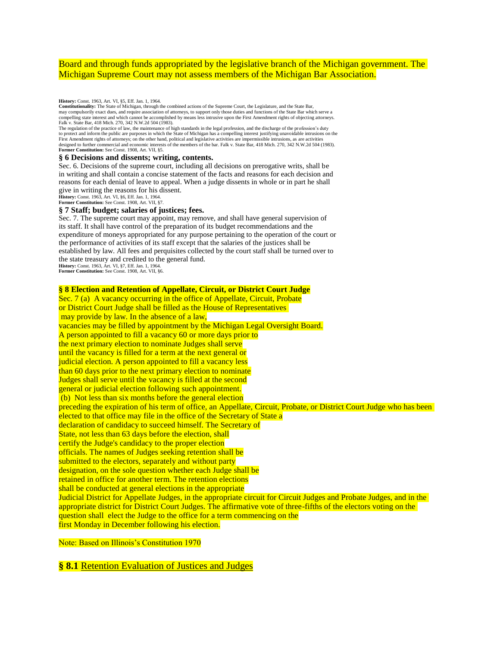## Board and through funds appropriated by the legislative branch of the Michigan government. The Michigan Supreme Court may not assess members of the Michigan Bar Association.

**History:** Const. 1963, Art. VI, §5, Eff. Jan. 1, 1964.

**Constitutionality:** The State of Michigan, through the combined actions of the Supreme Court, the Legislature, and the State Bar, may compulsorily exact dues, and require association of attorneys, to support only those duties and functions of the State Bar which serve a<br>compelling state interest and which cannot be accomplished by means less intrusiv Falk v. State Bar, 418 Mich. 270, 342 N.W.2d 504 (1983).

The regulation of the practice of law, the maintenance of high standards in the legal profession, and the discharge of the profession's duty to protect and inform the public are purposes in which the State of Michigan has a compelling interest justifying unavoidable intrusions on the First Amendment rights of attorneys; on the other hand, political and legislative activities are impermissible intrusions, as are activities<br>designed to further commercial and economic interests of the members of the bar. **Former Constitution:** See Const. 1908, Art. VII, §5.

## **§ 6 Decisions and dissents; writing, contents.**

Sec. 6. Decisions of the supreme court, including all decisions on prerogative writs, shall be in writing and shall contain a concise statement of the facts and reasons for each decision and reasons for each denial of leave to appeal. When a judge dissents in whole or in part he shall give in writing the reasons for his dissent. **History:** Const. 1963, Art. VI, §6, Eff. Jan. 1, 1964.

**Former Constitution:** See Const. 1908, Art. VII, §7.

## **§ 7 Staff; budget; salaries of justices; fees.**

Sec. 7. The supreme court may appoint, may remove, and shall have general supervision of its staff. It shall have control of the preparation of its budget recommendations and the expenditure of moneys appropriated for any purpose pertaining to the operation of the court or the performance of activities of its staff except that the salaries of the justices shall be established by law. All fees and perquisites collected by the court staff shall be turned over to the state treasury and credited to the general fund. **History:** Const. 1963, Art. VI, §7, Eff. Jan. 1, 1964.

**Former Constitution:** See Const. 1908, Art. VII, §6.

## **§ 8 Election and Retention of Appellate, Circuit, or District Court Judge**

Sec. 7 (a) A vacancy occurring in the office of Appellate, Circuit, Probate or District Court Judge shall be filled as the House of Representatives may provide by law. In the absence of a law, vacancies may be filled by appointment by the Michigan Legal Oversight Board. A person appointed to fill a vacancy 60 or more days prior to the next primary election to nominate Judges shall serve until the vacancy is filled for a term at the next general or judicial election. A person appointed to fill a vacancy less than 60 days prior to the next primary election to nominate Judges shall serve until the vacancy is filled at the second general or judicial election following such appointment. (b) Not less than six months before the general election preceding the expiration of his term of office, an Appellate, Circuit, Probate, or District Court Judge who has been elected to that office may file in the office of the Secretary of State a declaration of candidacy to succeed himself. The Secretary of State, not less than 63 days before the election, shall certify the Judge's candidacy to the proper election officials. The names of Judges seeking retention shall be submitted to the electors, separately and without party designation, on the sole question whether each Judge shall be retained in office for another term. The retention elections shall be conducted at general elections in the appropriate Judicial District for Appellate Judges, in the appropriate circuit for Circuit Judges and Probate Judges, and in the appropriate district for District Court Judges. The affirmative vote of three-fifths of the electors voting on the question shall elect the Judge to the office for a term commencing on the first Monday in December following his election.

Note: Based on Illinois's Constitution 1970

**§ 8.1** Retention Evaluation of Justices and Judges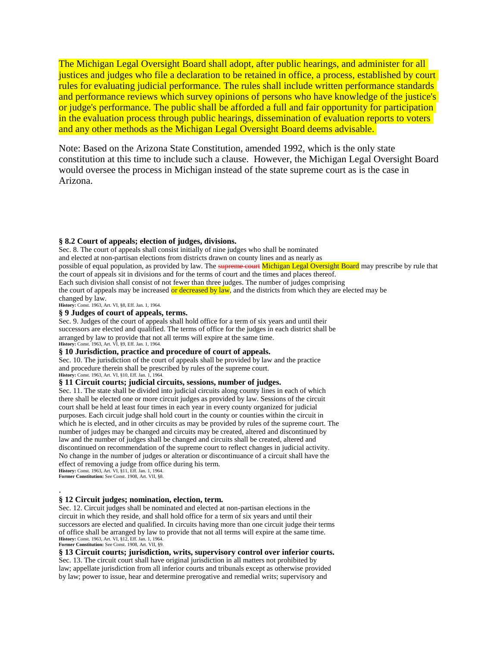The Michigan Legal Oversight Board shall adopt, after public hearings, and administer for all justices and judges who file a declaration to be retained in office, a process, established by court rules for evaluating judicial performance. The rules shall include written performance standards and performance reviews which survey opinions of persons who have knowledge of the justice's or judge's performance. The public shall be afforded a full and fair opportunity for participation in the evaluation process through public hearings, dissemination of evaluation reports to voters and any other methods as the Michigan Legal Oversight Board deems advisable.

Note: Based on the Arizona State Constitution, amended 1992, which is the only state constitution at this time to include such a clause. However, the Michigan Legal Oversight Board would oversee the process in Michigan instead of the state supreme court as is the case in Arizona.

#### **§ 8.2 Court of appeals; election of judges, divisions.**

Sec. 8. The court of appeals shall consist initially of nine judges who shall be nominated

and elected at non-partisan elections from districts drawn on county lines and as nearly as

possible of equal population, as provided by law. The supreme court Michigan Legal Oversight Board may prescribe by rule that the court of appeals sit in divisions and for the terms of court and the times and places thereof.

Each such division shall consist of not fewer than three judges. The number of judges comprising the court of appeals may be increased or decreased by law, and the districts from which they are elected may be changed by law.

**History:** Const. 1963, Art. VI, §8, Eff. Jan. 1, 1964.

#### **§ 9 Judges of court of appeals, terms.**

Sec. 9. Judges of the court of appeals shall hold office for a term of six years and until their successors are elected and qualified. The terms of office for the judges in each district shall be arranged by law to provide that not all terms will expire at the same time. **History:** Const. 1963, Art. VI, §9, Eff. Jan. 1, 1964.

## **§ 10 Jurisdiction, practice and procedure of court of appeals.**

Sec. 10. The jurisdiction of the court of appeals shall be provided by law and the practice and procedure therein shall be prescribed by rules of the supreme court. **History:** Const. 1963, Art. VI, §10, Eff. Jan. 1, 1964.

## **§ 11 Circuit courts; judicial circuits, sessions, number of judges.**

Sec. 11. The state shall be divided into judicial circuits along county lines in each of which there shall be elected one or more circuit judges as provided by law. Sessions of the circuit court shall be held at least four times in each year in every county organized for judicial purposes. Each circuit judge shall hold court in the county or counties within the circuit in which he is elected, and in other circuits as may be provided by rules of the supreme court. The number of judges may be changed and circuits may be created, altered and discontinued by law and the number of judges shall be changed and circuits shall be created, altered and discontinued on recommendation of the supreme court to reflect changes in judicial activity. No change in the number of judges or alteration or discontinuance of a circuit shall have the effect of removing a judge from office during his term. **History:** Const. 1963, Art. VI, §11, Eff. Jan. 1, 1964. **Former Constitution:** See Const. 1908, Art. VII, §8.

.

#### **§ 12 Circuit judges; nomination, election, term.**

Sec. 12. Circuit judges shall be nominated and elected at non-partisan elections in the circuit in which they reside, and shall hold office for a term of six years and until their successors are elected and qualified. In circuits having more than one circuit judge their terms of office shall be arranged by law to provide that not all terms will expire at the same time. **History:** Const. 1963, Art. VI, §12, Eff. Jan. 1, 1964. **Former Constitution:** See Const. 1908, Art. VII, §9.

**§ 13 Circuit courts; jurisdiction, writs, supervisory control over inferior courts.**

Sec. 13. The circuit court shall have original jurisdiction in all matters not prohibited by law; appellate jurisdiction from all inferior courts and tribunals except as otherwise provided by law; power to issue, hear and determine prerogative and remedial writs; supervisory and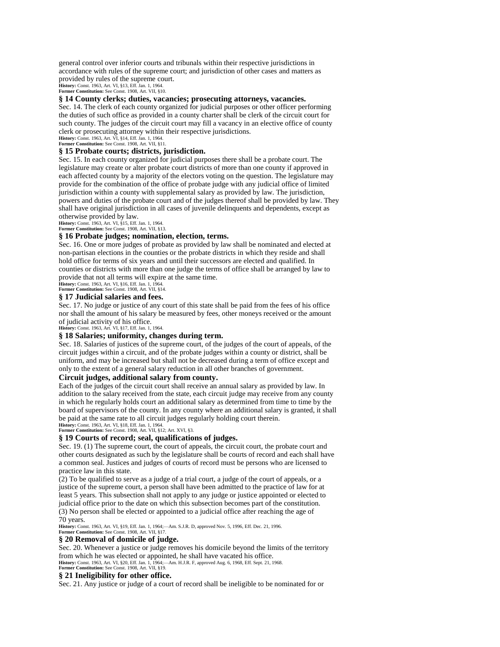general control over inferior courts and tribunals within their respective jurisdictions in accordance with rules of the supreme court; and jurisdiction of other cases and matters as provided by rules of the supreme court. **History:** Const. 1963, Art. VI, §13, Eff. Jan. 1, 1964. **Former Constitution:** See Const. 1908, Art. VII, §10.

#### **§ 14 County clerks; duties, vacancies; prosecuting attorneys, vacancies.**

Sec. 14. The clerk of each county organized for judicial purposes or other officer performing the duties of such office as provided in a county charter shall be clerk of the circuit court for such county. The judges of the circuit court may fill a vacancy in an elective office of county clerk or prosecuting attorney within their respective jurisdictions. **History:** Const. 1963, Art. VI, §14, Eff. Jan. 1, 1964. **Former Constitution:** See Const. 1908, Art. VII, §11.

#### **§ 15 Probate courts; districts, jurisdiction.**

Sec. 15. In each county organized for judicial purposes there shall be a probate court. The legislature may create or alter probate court districts of more than one county if approved in each affected county by a majority of the electors voting on the question. The legislature may provide for the combination of the office of probate judge with any judicial office of limited jurisdiction within a county with supplemental salary as provided by law. The jurisdiction, powers and duties of the probate court and of the judges thereof shall be provided by law. They shall have original jurisdiction in all cases of juvenile delinquents and dependents, except as

otherwise provided by law. **History:** Const. 1963, Art. VI, §15, Eff. Jan. 1, 1964. **Former Constitution:** See Const. 1908, Art. VII, §13.

## **§ 16 Probate judges; nomination, election, terms.**

Sec. 16. One or more judges of probate as provided by law shall be nominated and elected at non-partisan elections in the counties or the probate districts in which they reside and shall hold office for terms of six years and until their successors are elected and qualified. In counties or districts with more than one judge the terms of office shall be arranged by law to provide that not all terms will expire at the same time. **History:** Const. 1963, Art. VI, §16, Eff. Jan. 1, 1964. **Former Constitution:** See Const. 1908, Art. VII, §14.

## **§ 17 Judicial salaries and fees.**

Sec. 17. No judge or justice of any court of this state shall be paid from the fees of his office nor shall the amount of his salary be measured by fees, other moneys received or the amount of judicial activity of his office.

**History:** Const. 1963, Art. VI, §17, Eff. Jan. 1, 1964.

## **§ 18 Salaries; uniformity, changes during term.**

Sec. 18. Salaries of justices of the supreme court, of the judges of the court of appeals, of the circuit judges within a circuit, and of the probate judges within a county or district, shall be uniform, and may be increased but shall not be decreased during a term of office except and only to the extent of a general salary reduction in all other branches of government.

## **Circuit judges, additional salary from county.**

Each of the judges of the circuit court shall receive an annual salary as provided by law. In addition to the salary received from the state, each circuit judge may receive from any county in which he regularly holds court an additional salary as determined from time to time by the board of supervisors of the county. In any county where an additional salary is granted, it shall be paid at the same rate to all circuit judges regularly holding court therein.

**History:** Const. 1963, Art. VI, §18, Eff. Jan. 1, 1964. **Former Constitution:** See Const. 1908, Art. VII, §12; Art. XVI, §3.

## **§ 19 Courts of record; seal, qualifications of judges.**

Sec. 19. (1) The supreme court, the court of appeals, the circuit court, the probate court and other courts designated as such by the legislature shall be courts of record and each shall have a common seal. Justices and judges of courts of record must be persons who are licensed to practice law in this state.

(2) To be qualified to serve as a judge of a trial court, a judge of the court of appeals, or a justice of the supreme court, a person shall have been admitted to the practice of law for at least 5 years. This subsection shall not apply to any judge or justice appointed or elected to judicial office prior to the date on which this subsection becomes part of the constitution. (3) No person shall be elected or appointed to a judicial office after reaching the age of 70 years.

**History:** Const. 1963, Art. VI, §19, Eff. Jan. 1, 1964;—Am. S.J.R. D, approved Nov. 5, 1996, Eff. Dec. 21, 1996. **Former Constitution:** See Const. 1908, Art. VII, §17.

#### **§ 20 Removal of domicile of judge.**

Sec. 20. Whenever a justice or judge removes his domicile beyond the limits of the territory from which he was elected or appointed, he shall have vacated his office. **History:** Const. 1963, Art. VI, §20, Eff. Jan. 1, 1964;—Am. H.J.R. F, approved Aug. 6, 1968, Eff. Sept. 21, 1968.<br>**Former Constitution:** See Const. 1908, Art. VII, §19.

## **§ 21 Ineligibility for other office.**

Sec. 21. Any justice or judge of a court of record shall be ineligible to be nominated for or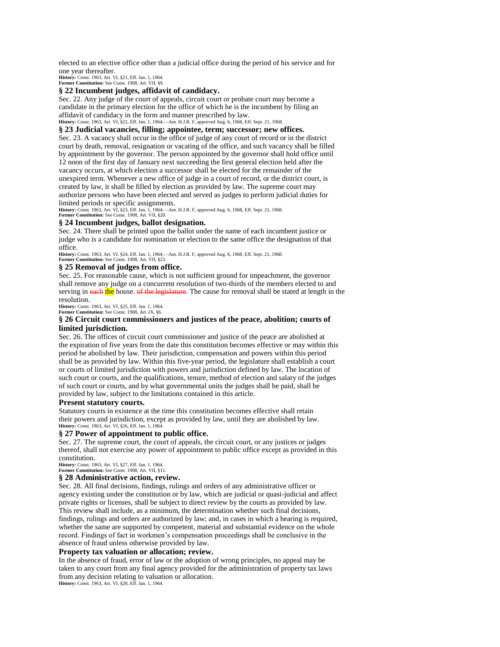elected to an elective office other than a judicial office during the period of his service and for one year thereafter.

**History:** Const. 1963, Art. VI, §21, Eff. Jan. 1, 1964. **Former Constitution:** See Const. 1908, Art. VII, §9.

#### **§ 22 Incumbent judges, affidavit of candidacy.**

Sec. 22. Any judge of the court of appeals, circuit court or probate court may become a candidate in the primary election for the office of which he is the incumbent by filing an affidavit of candidacy in the form and manner prescribed by law.

**History:** Const. 1963, Art. VI, §22, Eff. Jan. 1, 1964;—Am. H.J.R. F, approved Aug. 6, 1968, Eff. Sept. 21, 1968.

## **§ 23 Judicial vacancies, filling; appointee, term; successor; new offices.**

Sec. 23. A vacancy shall occur in the office of judge of any court of record or in the district court by death, removal, resignation or vacating of the office, and such vacancy shall be filled by appointment by the governor. The person appointed by the governor shall hold office until 12 noon of the first day of January next succeeding the first general election held after the vacancy occurs, at which election a successor shall be elected for the remainder of the unexpired term. Whenever a new office of judge in a court of record, or the district court, is created by law, it shall be filled by election as provided by law. The supreme court may authorize persons who have been elected and served as judges to perform judicial duties for limited periods or specific assignments.

**History:** Const. 1963, Art. VI, §23, Eff. Jan. 1, 1964;—Am. H.J.R. F, approved Aug. 6, 1968, Eff. Sept. 21, 1968. **Former Constitution:** See Const. 1908, Art. VII, §20.

## **§ 24 Incumbent judges, ballot designation.**

Sec. 24. There shall be printed upon the ballot under the name of each incumbent justice or judge who is a candidate for nomination or election to the same office the designation of that office.

**History:** Const. 1963, Art. VI, §24, Eff. Jan. 1, 1964;—Am. H.J.R. F, approved Aug. 6, 1968, Eff. Sept. 21, 1968.<br>**Former Constitution:** See Const. 1908, Art. VII, §23.

## **§ 25 Removal of judges from office.**

Sec. 25. For reasonable cause, which is not sufficient ground for impeachment, the governor shall remove any judge on a concurrent resolution of two-thirds of the members elected to and serving in each the house. of the legislature. The cause for removal shall be stated at length in the resolution.

**History:** Const. 1963, Art. VI, §25, Eff. Jan. 1, 1964.

**Former Constitution:** See Const. 1908, Art. IX, §6.

#### **§ 26 Circuit court commissioners and justices of the peace, abolition; courts of limited jurisdiction.**

Sec. 26. The offices of circuit court commissioner and justice of the peace are abolished at the expiration of five years from the date this constitution becomes effective or may within this period be abolished by law. Their jurisdiction, compensation and powers within this period shall be as provided by law. Within this five-year period, the legislature shall establish a court or courts of limited jurisdiction with powers and jurisdiction defined by law. The location of such court or courts, and the qualifications, tenure, method of election and salary of the judges of such court or courts, and by what governmental units the judges shall be paid, shall be provided by law, subject to the limitations contained in this article.

#### **Present statutory courts.**

Statutory courts in existence at the time this constitution becomes effective shall retain their powers and jurisdiction, except as provided by law, until they are abolished by law. **History:** Const. 1963, Art. VI, §26, Eff. Jan. 1, 1964.

#### **§ 27 Power of appointment to public office.**

Sec. 27. The supreme court, the court of appeals, the circuit court, or any justices or judges thereof, shall not exercise any power of appointment to public office except as provided in this constitution.

**History:** Const. 1963, Art. VI, §27, Eff. Jan. 1, 1964. **Former Constitution:** See Const. 1908, Art. VII, §11.

## **§ 28 Administrative action, review.**

Sec. 28. All final decisions, findings, rulings and orders of any administrative officer or agency existing under the constitution or by law, which are judicial or quasi-judicial and affect private rights or licenses, shall be subject to direct review by the courts as provided by law. This review shall include, as a minimum, the determination whether such final decisions, findings, rulings and orders are authorized by law; and, in cases in which a hearing is required, whether the same are supported by competent, material and substantial evidence on the whole record. Findings of fact in workmen's compensation proceedings shall be conclusive in the absence of fraud unless otherwise provided by law.

#### **Property tax valuation or allocation; review.**

In the absence of fraud, error of law or the adoption of wrong principles, no appeal may be taken to any court from any final agency provided for the administration of property tax laws from any decision relating to valuation or allocation. **History:** Const. 1963, Art. VI, §28, Eff. Jan. 1, 1964.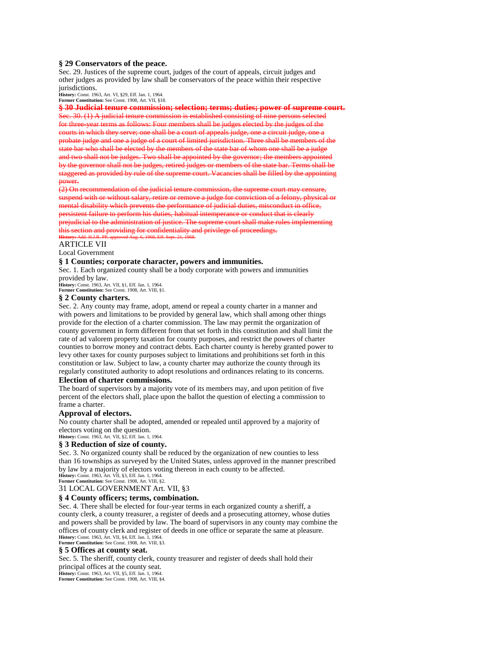#### **§ 29 Conservators of the peace.**

Sec. 29. Justices of the supreme court, judges of the court of appeals, circuit judges and other judges as provided by law shall be conservators of the peace within their respective jurisdictions.

**History:** Const. 1963, Art. VI, §29, Eff. Jan. 1, 1964. **Former Constitution:** See Const. 1908, Art. VII, §18.

**§ 30 Judicial tenure commission; selection; terms; duties; power of supreme court.**

Sec. 30. (1) A judicial tenure commission is established consisting of nine persons selected for three-year terms as follows: Four members shall be judges elected by the judges of the courts in which they serve; one shall be a court of appeals judge, one a circuit judge, one a probate judge and one a judge of a court of limited jurisdiction. Three shall be members of the state bar who shall be elected by the members of the state bar of whom one shall be a judge and two shall not be judges. Two shall be appointed by the governor; the members appointed by the governor shall not be judges, retired judges or members of the state bar. Terms shall be staggered as provided by rule of the supreme court. Vacancies shall be filled by the appointing power.

(2) On recommendation of the judicial tenure commission, the supreme court may censure, suspend with or without salary, retire or remove a judge for conviction of a felony, physical or mental disability which prevents the performance of judicial duties, misconduct in office, persistent failure to perform his duties, habitual intemperance or conduct that is clearly prejudicial to the administration of justice. The supreme court shall make rules implementing this section and providing for confidentiality and privilege of proceedings.

**History: Add. P.F. Sept. 21, 1968.** 

## ARTICLE VII

#### Local Government

#### **§ 1 Counties; corporate character, powers and immunities.**

Sec. 1. Each organized county shall be a body corporate with powers and immunities provided by law.

**History:** Const. 1963, Art. VII, §1, Eff. Jan. 1, 1964. **Former Constitution:** See Const. 1908, Art. VIII, §1.

#### **§ 2 County charters.**

Sec. 2. Any county may frame, adopt, amend or repeal a county charter in a manner and with powers and limitations to be provided by general law, which shall among other things provide for the election of a charter commission. The law may permit the organization of county government in form different from that set forth in this constitution and shall limit the rate of ad valorem property taxation for county purposes, and restrict the powers of charter counties to borrow money and contract debts. Each charter county is hereby granted power to levy other taxes for county purposes subject to limitations and prohibitions set forth in this constitution or law. Subject to law, a county charter may authorize the county through its regularly constituted authority to adopt resolutions and ordinances relating to its concerns.

#### **Election of charter commissions.**

The board of supervisors by a majority vote of its members may, and upon petition of five percent of the electors shall, place upon the ballot the question of electing a commission to frame a charter.

#### **Approval of electors.**

No county charter shall be adopted, amended or repealed until approved by a majority of electors voting on the question. **History:** Const. 1963, Art. VII, §2, Eff. Jan. 1, 1964.

## **§ 3 Reduction of size of county.**

Sec. 3. No organized county shall be reduced by the organization of new counties to less than 16 townships as surveyed by the United States, unless approved in the manner prescribed by law by a majority of electors voting thereon in each county to be affected.

**History:** Const. 1963, Art. VII, §3, Eff. Jan. 1, 1964. **Former Constitution:** See Const. 1908, Art. VIII, §2.

#### 31 LOCAL GOVERNMENT Art. VII, §3

#### **§ 4 County officers; terms, combination.**

Sec. 4. There shall be elected for four-year terms in each organized county a sheriff, a county clerk, a county treasurer, a register of deeds and a prosecuting attorney, whose duties and powers shall be provided by law. The board of supervisors in any county may combine the offices of county clerk and register of deeds in one office or separate the same at pleasure. **History:** Const. 1963, Art. VII, §4, Eff. Jan. 1, 1964. **Former Constitution:** See Const. 1908, Art. VIII, §3.

## **§ 5 Offices at county seat.**

Sec. 5. The sheriff, county clerk, county treasurer and register of deeds shall hold their principal offices at the county seat.

**History:** Const. 1963, Art. VII, §5, Eff. Jan. 1, 1964.

**Former Constitution:** See Const. 1908, Art. VIII, §4.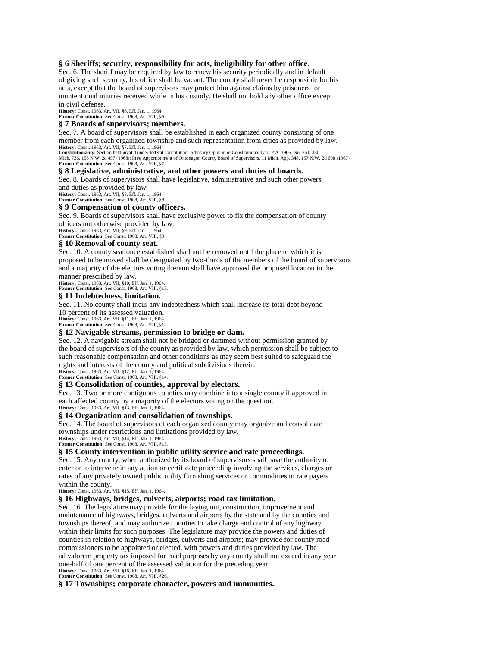#### **§ 6 Sheriffs; security, responsibility for acts, ineligibility for other office.**

Sec. 6. The sheriff may be required by law to renew his security periodically and in default of giving such security, his office shall be vacant. The county shall never be responsible for his acts, except that the board of supervisors may protect him against claims by prisoners for unintentional injuries received while in his custody. He shall not hold any other office except in civil defense.

**History:** Const. 1963, Art. VII, §6, Eff. Jan. 1, 1964. **Former Constitution:** See Const. 1908, Art. VIII, §5.

## **§ 7 Boards of supervisors; members.**

Sec. 7. A board of supervisors shall be established in each organized county consisting of one member from each organized township and such representation from cities as provided by law. **History:** Const. 1963, Art. VII, §7, Eff. Jan. 1, 1964.

**Constitutionality:** Section held invalid under federal constitution. Advisory Opinion re Constitutionality of P.A. 1966, No. 261, 380<br>Mich. 736, 158 N.W. 2d 497 (1968); In re Apportionment of Ontonagon County Board of Sup

#### **§ 8 Legislative, administrative, and other powers and duties of boards.**

Sec. 8. Boards of supervisors shall have legislative, administrative and such other powers and duties as provided by law.

**History:** Const. 1963, Art. VII, §8, Eff. Jan. 1, 1964. **Former Constitution:** See Const. 1908, Art. VIII, §8.

## **§ 9 Compensation of county officers.**

Sec. 9. Boards of supervisors shall have exclusive power to fix the compensation of county officers not otherwise provided by law. **History:** Const. 1963, Art. VII, §9, Eff. Jan. 1, 1964. **Former Constitution:** See Const. 1908, Art. VIII, §9.

#### **§ 10 Removal of county seat.**

Sec. 10. A county seat once established shall not be removed until the place to which it is proposed to be moved shall be designated by two-thirds of the members of the board of supervisors and a majority of the electors voting thereon shall have approved the proposed location in the manner prescribed by law.

**History:** Const. 1963, Art. VII, §10, Eff. Jan. 1, 1964. **Former Constitution:** See Const. 1908, Art. VIII, §13.

## **§ 11 Indebtedness, limitation.**

Sec. 11. No county shall incur any indebtedness which shall increase its total debt beyond 10 percent of its assessed valuation. **History:** Const. 1963, Art. VII, §11, Eff. Jan. 1, 1964.

**Former Constitution:** See Const. 1908, Art. VIII, §12.

#### **§ 12 Navigable streams, permission to bridge or dam.**

Sec. 12. A navigable stream shall not be bridged or dammed without permission granted by the board of supervisors of the county as provided by law, which permission shall be subject to such reasonable compensation and other conditions as may seem best suited to safeguard the rights and interests of the county and political subdivisions therein.

**History:** Const. 1963, Art. VII, §12, Eff. Jan. 1, 1964. **Former Constitution:** See Const. 1908, Art. VIII, §14.

#### **§ 13 Consolidation of counties, approval by electors.**

Sec. 13. Two or more contiguous counties may combine into a single county if approved in each affected county by a majority of the electors voting on the question. **History:** Const. 1963, Art. VII, §13, Eff. Jan. 1, 1964.

## **§ 14 Organization and consolidation of townships.**

Sec. 14. The board of supervisors of each organized county may organize and consolidate townships under restrictions and limitations provided by law.

**History:** Const. 1963, Art. VII, §14, Eff. Jan. 1, 1964. **Former Constitution:** See Const. 1908, Art. VIII, §15.

#### **§ 15 County intervention in public utility service and rate proceedings.**

Sec. 15. Any county, when authorized by its board of supervisors shall have the authority to enter or to intervene in any action or certificate proceeding involving the services, charges or rates of any privately owned public utility furnishing services or commodities to rate payers within the county.

**History:** Const. 1963, Art. VII, §15, Eff. Jan. 1, 1964.

#### **§ 16 Highways, bridges, culverts, airports; road tax limitation.**

Sec. 16. The legislature may provide for the laying out, construction, improvement and maintenance of highways, bridges, culverts and airports by the state and by the counties and townships thereof; and may authorize counties to take charge and control of any highway within their limits for such purposes. The legislature may provide the powers and duties of counties in relation to highways, bridges, culverts and airports; may provide for county road commissioners to be appointed or elected, with powers and duties provided by law. The ad valorem property tax imposed for road purposes by any county shall not exceed in any year one-half of one percent of the assessed valuation for the preceding year. **History:** Const. 1963, Art. VII, §16, Eff. Jan. 1, 1964. **Former Constitution:** See Const. 1908, Art. VIII, §26.

#### **§ 17 Townships; corporate character, powers and immunities.**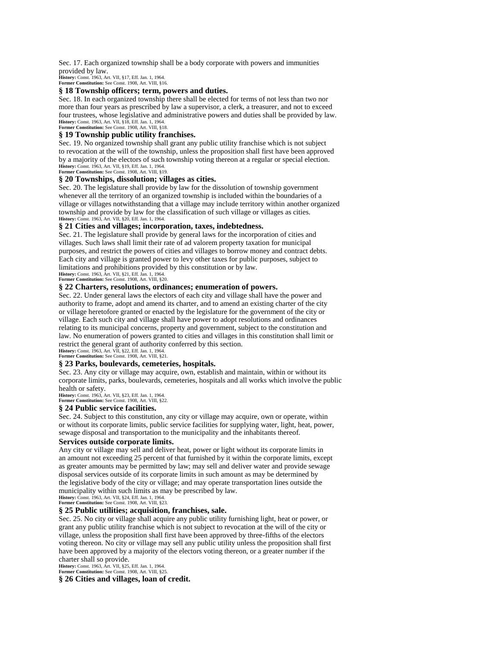Sec. 17. Each organized township shall be a body corporate with powers and immunities

provided by law. **History:** Const. 1963, Art. VII, §17, Eff. Jan. 1, 1964. **Former Constitution:** See Const. 1908, Art. VIII, §16.

#### **§ 18 Township officers; term, powers and duties.**

Sec. 18. In each organized township there shall be elected for terms of not less than two nor more than four years as prescribed by law a supervisor, a clerk, a treasurer, and not to exceed four trustees, whose legislative and administrative powers and duties shall be provided by law. **History:** Const. 1963, Art. VII, §18, Eff. Jan. 1, 1964. **Former Constitution:** See Const. 1908, Art. VIII, §18.

#### **§ 19 Township public utility franchises.**

Sec. 19. No organized township shall grant any public utility franchise which is not subject to revocation at the will of the township, unless the proposition shall first have been approved by a majority of the electors of such township voting thereon at a regular or special election. **History:** Const. 1963, Art. VII, §19, Eff. Jan. 1, 1964. **Former Constitution:** See Const. 1908, Art. VIII, §19.

#### **§ 20 Townships, dissolution; villages as cities.**

Sec. 20. The legislature shall provide by law for the dissolution of township government whenever all the territory of an organized township is included within the boundaries of a village or villages notwithstanding that a village may include territory within another organized township and provide by law for the classification of such village or villages as cities. **History:** Const. 1963, Art. VII, §20, Eff. Jan. 1, 1964.

#### **§ 21 Cities and villages; incorporation, taxes, indebtedness.**

Sec. 21. The legislature shall provide by general laws for the incorporation of cities and villages. Such laws shall limit their rate of ad valorem property taxation for municipal purposes, and restrict the powers of cities and villages to borrow money and contract debts. Each city and village is granted power to levy other taxes for public purposes, subject to limitations and prohibitions provided by this constitution or by law. **History:** Const. 1963, Art. VII, §21, Eff. Jan. 1, 1964.

**Former Constitution:** See Const. 1908, Art. VIII, §20.

#### **§ 22 Charters, resolutions, ordinances; enumeration of powers.**

Sec. 22. Under general laws the electors of each city and village shall have the power and authority to frame, adopt and amend its charter, and to amend an existing charter of the city or village heretofore granted or enacted by the legislature for the government of the city or village. Each such city and village shall have power to adopt resolutions and ordinances relating to its municipal concerns, property and government, subject to the constitution and law. No enumeration of powers granted to cities and villages in this constitution shall limit or restrict the general grant of authority conferred by this section.

**History:** Const. 1963, Art. VII, §22, Eff. Jan. 1, 1964. **Former Constitution:** See Const. 1908, Art. VIII, §21.

#### **§ 23 Parks, boulevards, cemeteries, hospitals.**

Sec. 23. Any city or village may acquire, own, establish and maintain, within or without its corporate limits, parks, boulevards, cemeteries, hospitals and all works which involve the public health or safety.

**History:** Const. 1963, Art. VII, §23, Eff. Jan. 1, 1964. **Former Constitution:** See Const. 1908, Art. VIII, §22.

#### **§ 24 Public service facilities.**

Sec. 24. Subject to this constitution, any city or village may acquire, own or operate, within or without its corporate limits, public service facilities for supplying water, light, heat, power, sewage disposal and transportation to the municipality and the inhabitants thereof.

#### **Services outside corporate limits.**

Any city or village may sell and deliver heat, power or light without its corporate limits in an amount not exceeding 25 percent of that furnished by it within the corporate limits, except as greater amounts may be permitted by law; may sell and deliver water and provide sewage disposal services outside of its corporate limits in such amount as may be determined by the legislative body of the city or village; and may operate transportation lines outside the municipality within such limits as may be prescribed by law.

**History:** Const. 1963, Art. VII, §24, Eff. Jan. 1, 1964. **Former Constitution:** See Const. 1908, Art. VIII, §23.

#### **§ 25 Public utilities; acquisition, franchises, sale.**

Sec. 25. No city or village shall acquire any public utility furnishing light, heat or power, or grant any public utility franchise which is not subject to revocation at the will of the city or village, unless the proposition shall first have been approved by three-fifths of the electors voting thereon. No city or village may sell any public utility unless the proposition shall first have been approved by a majority of the electors voting thereon, or a greater number if the charter shall so provide.

**History:** Const. 1963, Art. VII, §25, Eff. Jan. 1, 1964. **Former Constitution:** See Const. 1908, Art. VIII, §25.

**§ 26 Cities and villages, loan of credit.**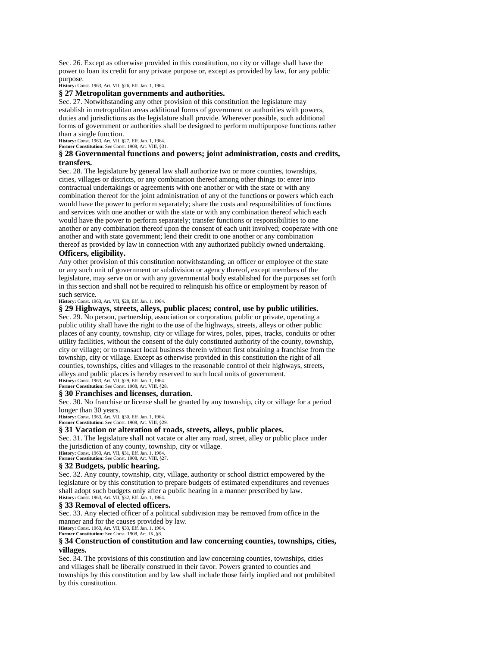Sec. 26. Except as otherwise provided in this constitution, no city or village shall have the power to loan its credit for any private purpose or, except as provided by law, for any public purpose. **History:** Const. 1963, Art. VII, §26, Eff. Jan. 1, 1964.

## **§ 27 Metropolitan governments and authorities.**

Sec. 27. Notwithstanding any other provision of this constitution the legislature may establish in metropolitan areas additional forms of government or authorities with powers, duties and jurisdictions as the legislature shall provide. Wherever possible, such additional forms of government or authorities shall be designed to perform multipurpose functions rather than a single function.

**History:** Const. 1963, Art. VII, §27, Eff. Jan. 1, 1964. **Former Constitution:** See Const. 1908, Art. VIII, §31.

#### **§ 28 Governmental functions and powers; joint administration, costs and credits, transfers.**

Sec. 28. The legislature by general law shall authorize two or more counties, townships, cities, villages or districts, or any combination thereof among other things to: enter into contractual undertakings or agreements with one another or with the state or with any combination thereof for the joint administration of any of the functions or powers which each would have the power to perform separately; share the costs and responsibilities of functions and services with one another or with the state or with any combination thereof which each would have the power to perform separately; transfer functions or responsibilities to one another or any combination thereof upon the consent of each unit involved; cooperate with one another and with state government; lend their credit to one another or any combination

thereof as provided by law in connection with any authorized publicly owned undertaking. **Officers, eligibility.**

Any other provision of this constitution notwithstanding, an officer or employee of the state or any such unit of government or subdivision or agency thereof, except members of the legislature, may serve on or with any governmental body established for the purposes set forth in this section and shall not be required to relinquish his office or employment by reason of such service.

**History:** Const. 1963, Art. VII, §28, Eff. Jan. 1, 1964.

#### **§ 29 Highways, streets, alleys, public places; control, use by public utilities.**

Sec. 29. No person, partnership, association or corporation, public or private, operating a public utility shall have the right to the use of the highways, streets, alleys or other public places of any county, township, city or village for wires, poles, pipes, tracks, conduits or other utility facilities, without the consent of the duly constituted authority of the county, township, city or village; or to transact local business therein without first obtaining a franchise from the township, city or village. Except as otherwise provided in this constitution the right of all counties, townships, cities and villages to the reasonable control of their highways, streets, alleys and public places is hereby reserved to such local units of government. **History:** Const. 1963, Art. VII, §29, Eff. Jan. 1, 1964. **Former Constitution:** See Const. 1908, Art. VIII, §28.

**§ 30 Franchises and licenses, duration.**

Sec. 30. No franchise or license shall be granted by any township, city or village for a period longer than 30 years.

**History:** Const. 1963, Art. VII, §30, Eff. Jan. 1, 1964. **Former Constitution:** See Const. 1908, Art. VIII, §29.

#### **§ 31 Vacation or alteration of roads, streets, alleys, public places.**

Sec. 31. The legislature shall not vacate or alter any road, street, alley or public place under the jurisdiction of any county, township, city or village.

**History:** Const. 1963, Art. VII, §31, Eff. Jan. 1, 1964. **Former Constitution:** See Const. 1908, Art. VIII, §27.

## **§ 32 Budgets, public hearing.**

Sec. 32. Any county, township, city, village, authority or school district empowered by the legislature or by this constitution to prepare budgets of estimated expenditures and revenues shall adopt such budgets only after a public hearing in a manner prescribed by law. **History:** Const. 1963, Art. VII, §32, Eff. Jan. 1, 1964.

#### **§ 33 Removal of elected officers.**

Sec. 33. Any elected officer of a political subdivision may be removed from office in the manner and for the causes provided by law.

**History:** Const. 1963, Art. VII, §33, Eff. Jan. 1, 1964. **Former Constitution:** See Const. 1908, Art. IX, §8.

#### **§ 34 Construction of constitution and law concerning counties, townships, cities, villages.**

Sec. 34. The provisions of this constitution and law concerning counties, townships, cities and villages shall be liberally construed in their favor. Powers granted to counties and townships by this constitution and by law shall include those fairly implied and not prohibited by this constitution.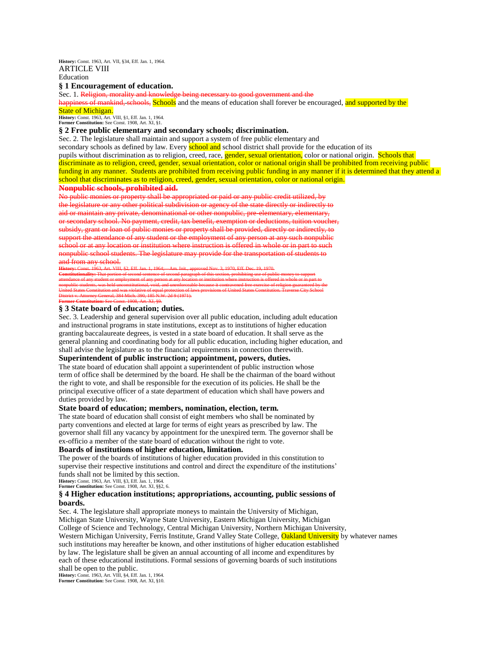#### **History:** Const. 1963, Art. VII, §34, Eff. Jan. 1, 1964. ARTICLE VIII Education

**§ 1 Encouragement of education.**

Sec. 1. Religion, morality and knowledge being necessary to good government and the

happiness of mankind, schools, Schools and the means of education shall forever be encouraged, and supported by the State of Michigan.

**History:** Const. 1963, Art. VIII, §1, Eff. Jan. 1, 1964. **Former Constitution:** See Const. 1908, Art. XI, §1.

#### **§ 2 Free public elementary and secondary schools; discrimination.**

Sec. 2. The legislature shall maintain and support a system of free public elementary and

secondary schools as defined by law. Every school and school district shall provide for the education of its pupils without discrimination as to religion, creed, race, gender, sexual orientation, color or national origin. Schools that discriminate as to religion, creed, gender, sexual orientation, color or national origin shall be prohibited from receiving public funding in any manner. Students are prohibited from receiving public funding in any manner if it is determined that they attend a school that discriminates as to religion, creed, gender, sexual orientation, color or national origin.

**Nonpublic schools, prohibited aid.**

No public monies or property shall be appropriated or paid or any public credit utilized, by the legislature or any other political subdivision or agency of the state directly or indirectly to aid or maintain any private, denominational or other nonpublic, pre-elementary, ondary school. No payment, credit, tax benefit, exemption or deduction subsidy, grant or loan of public monies or property shall be provided, directly or indirectly, to support the attendance of any student or the employment of any person at any such nonpublic school or at any location or institution where instruction is offered in whole or in part to such nonpublic school students. The legislature may provide for the transportation of students to and from any school.

**History:** Const. 1963, Art. VIII, §2, Eff. Jan. 1, 1964;—Am. Init., approved Nov. 3, 1970, Eff. Dec. 19, 1970.

**Constitutionality:** That portion of second sentence of second paragraph of this section, prohibiting use of public money to support attendance of any student or employment of any person at any location or institution where instruction is offered in whole or in part to nonpublic students, was held unconstitutional, void, and unenforceable because it contravened free exercise of religion guaranteed by the United States Constitution and was violative of equal protection of laws provisions of United States Constitution. Traverse City School District v. Attorney General, 384 Mich. 390, 185 N.W. 2d 9 (1971).

 $\text{cot} 1008$   $\text{A} \div \text{V} \cdot \text{R} \cdot \text{O}$ 

## **§ 3 State board of education; duties.**

Sec. 3. Leadership and general supervision over all public education, including adult education and instructional programs in state institutions, except as to institutions of higher education granting baccalaureate degrees, is vested in a state board of education. It shall serve as the general planning and coordinating body for all public education, including higher education, and shall advise the legislature as to the financial requirements in connection therewith.

#### **Superintendent of public instruction; appointment, powers, duties.**

The state board of education shall appoint a superintendent of public instruction whose term of office shall be determined by the board. He shall be the chairman of the board without the right to vote, and shall be responsible for the execution of its policies. He shall be the principal executive officer of a state department of education which shall have powers and duties provided by law.

#### **State board of education; members, nomination, election, term.**

The state board of education shall consist of eight members who shall be nominated by party conventions and elected at large for terms of eight years as prescribed by law. The governor shall fill any vacancy by appointment for the unexpired term. The governor shall be ex-officio a member of the state board of education without the right to vote.

## **Boards of institutions of higher education, limitation.**

The power of the boards of institutions of higher education provided in this constitution to supervise their respective institutions and control and direct the expenditure of the institutions' funds shall not be limited by this section.

**History:** Const. 1963, Art. VIII, §3, Eff. Jan. 1, 1964. **Former Constitution:** See Const. 1908, Art. XI, §§2, 6.

#### **§ 4 Higher education institutions; appropriations, accounting, public sessions of boards.**

Sec. 4. The legislature shall appropriate moneys to maintain the University of Michigan, Michigan State University, Wayne State University, Eastern Michigan University, Michigan College of Science and Technology, Central Michigan University, Northern Michigan University, Western Michigan University, Ferris Institute, Grand Valley State College, Oakland University by whatever names such institutions may hereafter be known, and other institutions of higher education established by law. The legislature shall be given an annual accounting of all income and expenditures by each of these educational institutions. Formal sessions of governing boards of such institutions shall be open to the public.

**History:** Const. 1963, Art. VIII, §4, Eff. Jan. 1, 1964. **Former Constitution:** See Const. 1908, Art. XI, §10.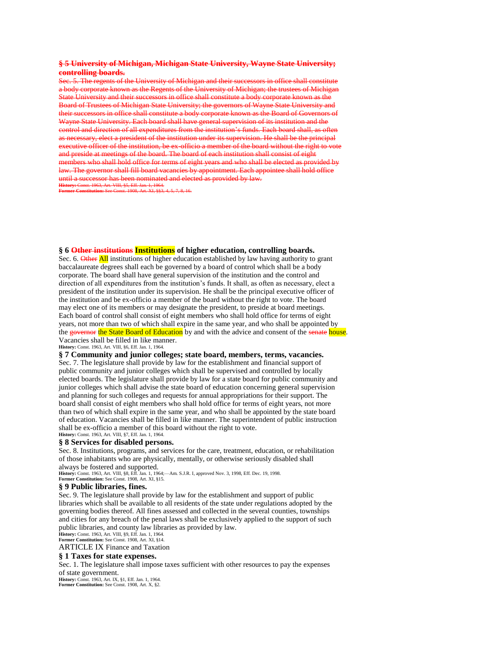#### **§ 5 University of Michigan, Michigan State University, Wayne State University; controlling boards.**

Sec. 5. The regents of the University of Michigan and their successors in office shall constitute a body corporate known as the Regents of the University of Michigan; the trustees of Michigan State University and their successors in office shall constitute a body corporate known as the Board of Trustees of Michigan State University; the governors of Wayne State University and their successors in office shall constitute a body corporate known as the Board of Governors of Wayne State University. Each board shall have general supervision of its institution and the control and direction of all expenditures from the institution's funds. Each board shall, as often as necessary, elect a president of the institution under its supervision. He shall be the principal executive officer of the institution, be ex-officio a member of the board without the right to vote and preside at meetings of the board. The board of each institution shall consist of eight members who shall hold office for terms of eight years and who shall be elected as provided by law. The governor shall fill board vacancies by appointment. Each appointee shall hold office until a successor has been nominated and elected as provided by law. **History:** Const. 1963, Art. VIII, §5, Eff. Jan. 1, 1964.

**Former Constitution:** See Const. 1908, Art. XI, §§3, 4, 5, 7, 8, 16.

#### **§ 6 Other institutions Institutions of higher education, controlling boards.**

Sec. 6. Other All institutions of higher education established by law having authority to grant baccalaureate degrees shall each be governed by a board of control which shall be a body corporate. The board shall have general supervision of the institution and the control and direction of all expenditures from the institution's funds. It shall, as often as necessary, elect a president of the institution under its supervision. He shall be the principal executive officer of the institution and be ex-officio a member of the board without the right to vote. The board may elect one of its members or may designate the president, to preside at board meetings. Each board of control shall consist of eight members who shall hold office for terms of eight years, not more than two of which shall expire in the same year, and who shall be appointed by the governor the State Board of Education by and with the advice and consent of the senate house. Vacancies shall be filled in like manner.

**History:** Const. 1963, Art. VIII, §6, Eff. Jan. 1, 1964.

#### **§ 7 Community and junior colleges; state board, members, terms, vacancies.** Sec. 7. The legislature shall provide by law for the establishment and financial support of

public community and junior colleges which shall be supervised and controlled by locally elected boards. The legislature shall provide by law for a state board for public community and junior colleges which shall advise the state board of education concerning general supervision and planning for such colleges and requests for annual appropriations for their support. The board shall consist of eight members who shall hold office for terms of eight years, not more than two of which shall expire in the same year, and who shall be appointed by the state board of education. Vacancies shall be filled in like manner. The superintendent of public instruction shall be ex-officio a member of this board without the right to vote. **History:** Const. 1963, Art. VIII, §7, Eff. Jan. 1, 1964.

#### **§ 8 Services for disabled persons.**

Sec. 8. Institutions, programs, and services for the care, treatment, education, or rehabilitation of those inhabitants who are physically, mentally, or otherwise seriously disabled shall always be fostered and supported.

**History:** Const. 1963, Art. VIII, §8, Eff. Jan. 1, 1964;—Am. S.J.R. I, approved Nov. 3, 1998, Eff. Dec. 19, 1998. **Former Constitution:** See Const. 1908, Art. XI, §15.

#### **§ 9 Public libraries, fines.**

Sec. 9. The legislature shall provide by law for the establishment and support of public libraries which shall be available to all residents of the state under regulations adopted by the governing bodies thereof. All fines assessed and collected in the several counties, townships and cities for any breach of the penal laws shall be exclusively applied to the support of such public libraries, and county law libraries as provided by law.

**History:** Const. 1963, Art. VIII, §9, Eff. Jan. 1, 1964. **Former Constitution:** See Const. 1908, Art. XI, §14.

ARTICLE IX Finance and Taxation

#### **§ 1 Taxes for state expenses.**

Sec. 1. The legislature shall impose taxes sufficient with other resources to pay the expenses of state government.

**History:** Const. 1963, Art. IX, §1, Eff. Jan. 1, 1964. **Former Constitution:** See Const. 1908, Art. X, §2.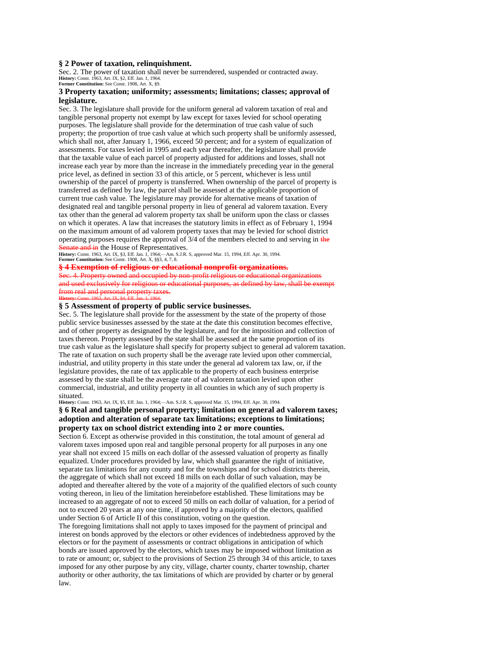#### **§ 2 Power of taxation, relinquishment.**

Sec. 2. The power of taxation shall never be surrendered, suspended or contracted away. **History:** Const. 1963, Art. IX, §2, Eff. Jan. 1, 1964. **Former Constitution:** See Const. 1908, Art. X, §9.

#### **3 Property taxation; uniformity; assessments; limitations; classes; approval of legislature.**

Sec. 3. The legislature shall provide for the uniform general ad valorem taxation of real and tangible personal property not exempt by law except for taxes levied for school operating purposes. The legislature shall provide for the determination of true cash value of such property; the proportion of true cash value at which such property shall be uniformly assessed, which shall not, after January 1, 1966, exceed 50 percent; and for a system of equalization of assessments. For taxes levied in 1995 and each year thereafter, the legislature shall provide that the taxable value of each parcel of property adjusted for additions and losses, shall not increase each year by more than the increase in the immediately preceding year in the general price level, as defined in section 33 of this article, or 5 percent, whichever is less until ownership of the parcel of property is transferred. When ownership of the parcel of property is transferred as defined by law, the parcel shall be assessed at the applicable proportion of current true cash value. The legislature may provide for alternative means of taxation of designated real and tangible personal property in lieu of general ad valorem taxation. Every tax other than the general ad valorem property tax shall be uniform upon the class or classes on which it operates. A law that increases the statutory limits in effect as of February 1, 1994 on the maximum amount of ad valorem property taxes that may be levied for school district operating purposes requires the approval of 3/4 of the members elected to and serving in the Senate and in the House of Representatives.

**History:** Const. 1963, Art. IX, §3, Eff. Jan. 1, 1964;—Am. S.J.R. S, approved Mar. 15, 1994, Eff. Apr. 30, 1994. **Former Constitution:** See Const. 1908, Art. X, §§3, 4, 7, 8.

#### **§ 4 Exemption of religious or educational nonprofit organizations.**

Sec. 4. Property owned and occupied by non-profit religious or educational organizations and used exclusively for religious or educational purposes, as defined by law, shall be exempt from real and personal property taxes.

**History:** Const. 1963, Art. IX, §4, Eff. Jan. 1, 1964.

## **§ 5 Assessment of property of public service businesses.**

Sec. 5. The legislature shall provide for the assessment by the state of the property of those public service businesses assessed by the state at the date this constitution becomes effective, and of other property as designated by the legislature, and for the imposition and collection of taxes thereon. Property assessed by the state shall be assessed at the same proportion of its true cash value as the legislature shall specify for property subject to general ad valorem taxation. The rate of taxation on such property shall be the average rate levied upon other commercial, industrial, and utility property in this state under the general ad valorem tax law, or, if the legislature provides, the rate of tax applicable to the property of each business enterprise assessed by the state shall be the average rate of ad valorem taxation levied upon other commercial, industrial, and utility property in all counties in which any of such property is situated.

**History:** Const. 1963, Art. IX, §5, Eff. Jan. 1, 1964;—Am. S.J.R. S, approved Mar. 15, 1994, Eff. Apr. 30, 1994.

#### **§ 6 Real and tangible personal property; limitation on general ad valorem taxes; adoption and alteration of separate tax limitations; exceptions to limitations; property tax on school district extending into 2 or more counties.**

Section 6. Except as otherwise provided in this constitution, the total amount of general ad valorem taxes imposed upon real and tangible personal property for all purposes in any one year shall not exceed 15 mills on each dollar of the assessed valuation of property as finally equalized. Under procedures provided by law, which shall guarantee the right of initiative, separate tax limitations for any county and for the townships and for school districts therein, the aggregate of which shall not exceed 18 mills on each dollar of such valuation, may be adopted and thereafter altered by the vote of a majority of the qualified electors of such county voting thereon, in lieu of the limitation hereinbefore established. These limitations may be increased to an aggregate of not to exceed 50 mills on each dollar of valuation, for a period of not to exceed 20 years at any one time, if approved by a majority of the electors, qualified under Section 6 of Article II of this constitution, voting on the question.

The foregoing limitations shall not apply to taxes imposed for the payment of principal and interest on bonds approved by the electors or other evidences of indebtedness approved by the electors or for the payment of assessments or contract obligations in anticipation of which bonds are issued approved by the electors, which taxes may be imposed without limitation as to rate or amount; or, subject to the provisions of Section 25 through 34 of this article, to taxes imposed for any other purpose by any city, village, charter county, charter township, charter authority or other authority, the tax limitations of which are provided by charter or by general law.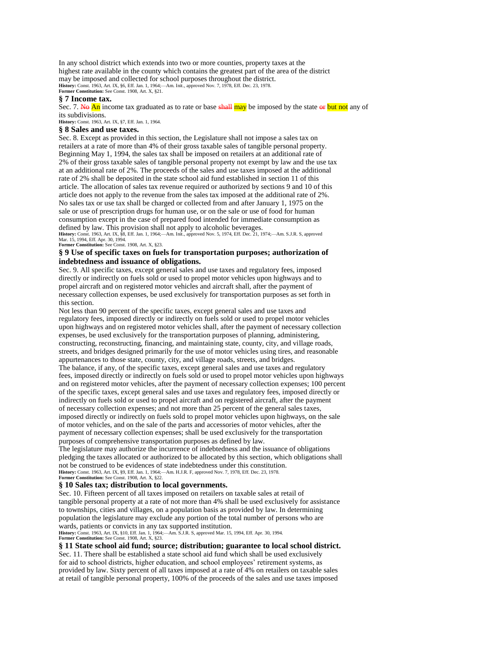In any school district which extends into two or more counties, property taxes at the highest rate available in the county which contains the greatest part of the area of the district may be imposed and collected for school purposes throughout the district. **History:** Const. 1963, Art. IX, §6, Eff. Jan. 1, 1964;—Am. Init., approved Nov. 7, 1978, Eff. Dec. 23, 1978. **Former Constitution:** See Const. 1908, Art. X, §21.

#### **§ 7 Income tax.**

Sec. 7. No An income tax graduated as to rate or base shall may be imposed by the state or but not any of its subdivisions.

**History:** Const. 1963, Art. IX, §7, Eff. Jan. 1, 1964.

## **§ 8 Sales and use taxes.**

Sec. 8. Except as provided in this section, the Legislature shall not impose a sales tax on retailers at a rate of more than 4% of their gross taxable sales of tangible personal property. Beginning May 1, 1994, the sales tax shall be imposed on retailers at an additional rate of 2% of their gross taxable sales of tangible personal property not exempt by law and the use tax at an additional rate of 2%. The proceeds of the sales and use taxes imposed at the additional rate of 2% shall be deposited in the state school aid fund established in section 11 of this article. The allocation of sales tax revenue required or authorized by sections 9 and 10 of this article does not apply to the revenue from the sales tax imposed at the additional rate of 2%. No sales tax or use tax shall be charged or collected from and after January 1, 1975 on the sale or use of prescription drugs for human use, or on the sale or use of food for human consumption except in the case of prepared food intended for immediate consumption as defined by law. This provision shall not apply to alcoholic beverages. **History:** Const. 1963, Art. IX, §8, Eff. Jan. 1, 1964;—Am. Init., approved Nov. 5, 1974, Eff. Dec. 21, 1974;—Am. S.J.R. S, approved<br>Mar. 15, 1994, Eff. Apr. 30, 1994.

**Former Constitution:** See Const. 1908, Art. X, §23.

#### **§ 9 Use of specific taxes on fuels for transportation purposes; authorization of indebtedness and issuance of obligations.**

Sec. 9. All specific taxes, except general sales and use taxes and regulatory fees, imposed directly or indirectly on fuels sold or used to propel motor vehicles upon highways and to propel aircraft and on registered motor vehicles and aircraft shall, after the payment of necessary collection expenses, be used exclusively for transportation purposes as set forth in this section.

Not less than 90 percent of the specific taxes, except general sales and use taxes and regulatory fees, imposed directly or indirectly on fuels sold or used to propel motor vehicles upon highways and on registered motor vehicles shall, after the payment of necessary collection expenses, be used exclusively for the transportation purposes of planning, administering, constructing, reconstructing, financing, and maintaining state, county, city, and village roads, streets, and bridges designed primarily for the use of motor vehicles using tires, and reasonable appurtenances to those state, county, city, and village roads, streets, and bridges.

The balance, if any, of the specific taxes, except general sales and use taxes and regulatory fees, imposed directly or indirectly on fuels sold or used to propel motor vehicles upon highways and on registered motor vehicles, after the payment of necessary collection expenses; 100 percent of the specific taxes, except general sales and use taxes and regulatory fees, imposed directly or indirectly on fuels sold or used to propel aircraft and on registered aircraft, after the payment of necessary collection expenses; and not more than 25 percent of the general sales taxes, imposed directly or indirectly on fuels sold to propel motor vehicles upon highways, on the sale of motor vehicles, and on the sale of the parts and accessories of motor vehicles, after the payment of necessary collection expenses; shall be used exclusively for the transportation purposes of comprehensive transportation purposes as defined by law.

The legislature may authorize the incurrence of indebtedness and the issuance of obligations pledging the taxes allocated or authorized to be allocated by this section, which obligations shall not be construed to be evidences of state indebtedness under this constitution. **History:** Const. 1963, Art. IX, §9, Eff. Jan. 1, 1964;—Am. H.J.R. F, approved Nov. 7, 1978, Eff. Dec. 23, 1978. **Former Constitution:** See Const. 1908, Art. X, §22.

#### **§ 10 Sales tax; distribution to local governments.**

Sec. 10. Fifteen percent of all taxes imposed on retailers on taxable sales at retail of tangible personal property at a rate of not more than 4% shall be used exclusively for assistance to townships, cities and villages, on a population basis as provided by law. In determining population the legislature may exclude any portion of the total number of persons who are wards, patients or convicts in any tax supported institution. **History:** Const. 1963, Art. IX, §10, Eff. Jan. 1, 1964;—Am. S.J.R. S, approved Mar. 15, 1994, Eff. Apr. 30, 1994.

**Former Constitution:** See Const. 1908, Art. X, §23.

**§ 11 State school aid fund; source; distribution; guarantee to local school district.**

Sec. 11. There shall be established a state school aid fund which shall be used exclusively for aid to school districts, higher education, and school employees' retirement systems, as provided by law. Sixty percent of all taxes imposed at a rate of 4% on retailers on taxable sales at retail of tangible personal property, 100% of the proceeds of the sales and use taxes imposed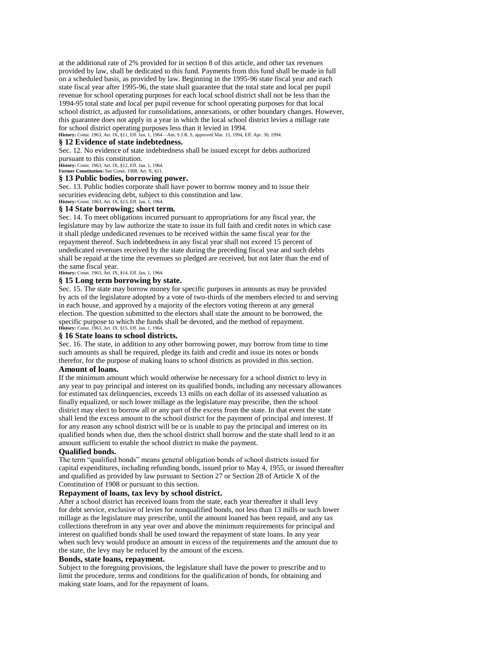at the additional rate of 2% provided for in section 8 of this article, and other tax revenues provided by law, shall be dedicated to this fund. Payments from this fund shall be made in full on a scheduled basis, as provided by law. Beginning in the 1995-96 state fiscal year and each state fiscal year after 1995-96, the state shall guarantee that the total state and local per pupil revenue for school operating purposes for each local school district shall not be less than the 1994-95 total state and local per pupil revenue for school operating purposes for that local school district, as adjusted for consolidations, annexations, or other boundary changes. However, this guarantee does not apply in a year in which the local school district levies a millage rate for school district operating purposes less than it levied in 1994.

**History:** Const. 1963, Art. IX, §11, Eff. Jan. 1, 1964—Am. S.J.R. S, approved Mar. 15, 1994, Eff. Apr. 30, 1994.

#### **§ 12 Evidence of state indebtedness.**

Sec. 12. No evidence of state indebtedness shall be issued except for debts authorized pursuant to this constitution.

**History:** Const. 1963, Art. IX, §12, Eff. Jan. 1, 1964. **Former Constitution:** See Const. 1908, Art. X, §11.

## **§ 13 Public bodies, borrowing power.**

Sec. 13. Public bodies corporate shall have power to borrow money and to issue their securities evidencing debt, subject to this constitution and law.

#### **History:** Const. 1963, Art. IX, §13, Eff. Jan. 1, 1964. **§ 14 State borrowing; short term.**

Sec. 14. To meet obligations incurred pursuant to appropriations for any fiscal year, the legislature may by law authorize the state to issue its full faith and credit notes in which case it shall pledge undedicated revenues to be received within the same fiscal year for the repayment thereof. Such indebtedness in any fiscal year shall not exceed 15 percent of undedicated revenues received by the state during the preceding fiscal year and such debts shall be repaid at the time the revenues so pledged are received, but not later than the end of the same fiscal year.

**History:** Const. 1963, Art. IX, §14, Eff. Jan. 1, 1964.

#### **§ 15 Long term borrowing by state.**

Sec. 15. The state may borrow money for specific purposes in amounts as may be provided by acts of the legislature adopted by a vote of two-thirds of the members elected to and serving in each house, and approved by a majority of the electors voting thereon at any general election. The question submitted to the electors shall state the amount to be borrowed, the specific purpose to which the funds shall be devoted, and the method of repayment. **History:** Const. 1963, Art. IX, §15, Eff. Jan. 1, 1964.

#### **§ 16 State loans to school districts.**

Sec. 16. The state, in addition to any other borrowing power, may borrow from time to time such amounts as shall be required, pledge its faith and credit and issue its notes or bonds therefor, for the purpose of making loans to school districts as provided in this section.

#### **Amount of loans.**

If the minimum amount which would otherwise be necessary for a school district to levy in any year to pay principal and interest on its qualified bonds, including any necessary allowances for estimated tax delinquencies, exceeds 13 mills on each dollar of its assessed valuation as finally equalized, or such lower millage as the legislature may prescribe, then the school district may elect to borrow all or any part of the excess from the state. In that event the state shall lend the excess amount to the school district for the payment of principal and interest. If for any reason any school district will be or is unable to pay the principal and interest on its qualified bonds when due, then the school district shall borrow and the state shall lend to it an amount sufficient to enable the school district to make the payment.

#### **Qualified bonds.**

The term "qualified bonds" means general obligation bonds of school districts issued for capital expenditures, including refunding bonds, issued prior to May 4, 1955, or issued thereafter and qualified as provided by law pursuant to Section 27 or Section 28 of Article X of the Constitution of 1908 or pursuant to this section.

## **Repayment of loans, tax levy by school district.**

After a school district has received loans from the state, each year thereafter it shall levy for debt service, exclusive of levies for nonqualified bonds, not less than 13 mills or such lower millage as the legislature may prescribe, until the amount loaned has been repaid, and any tax collections therefrom in any year over and above the minimum requirements for principal and interest on qualified bonds shall be used toward the repayment of state loans. In any year when such levy would produce an amount in excess of the requirements and the amount due to the state, the levy may be reduced by the amount of the excess.

#### **Bonds, state loans, repayment.**

Subject to the foregoing provisions, the legislature shall have the power to prescribe and to limit the procedure, terms and conditions for the qualification of bonds, for obtaining and making state loans, and for the repayment of loans.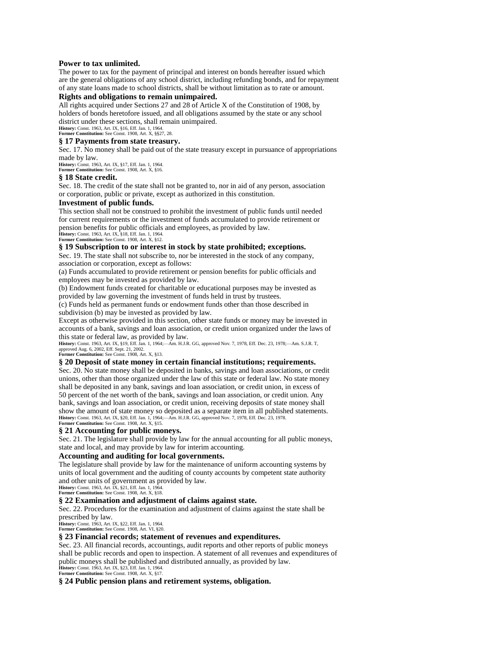#### **Power to tax unlimited.**

The power to tax for the payment of principal and interest on bonds hereafter issued which are the general obligations of any school district, including refunding bonds, and for repayment of any state loans made to school districts, shall be without limitation as to rate or amount.

#### **Rights and obligations to remain unimpaired.**

All rights acquired under Sections 27 and 28 of Article X of the Constitution of 1908, by holders of bonds heretofore issued, and all obligations assumed by the state or any school district under these sections, shall remain unimpaired. **History:** Const. 1963, Art. IX, §16, Eff. Jan. 1, 1964.

**Former Constitution:** See Const. 1908, Art. X, §§27, 28.

#### **§ 17 Payments from state treasury.**

Sec. 17. No money shall be paid out of the state treasury except in pursuance of appropriations made by law.

**History:** Const. 1963, Art. IX, §17, Eff. Jan. 1, 1964. **Former Constitution:** See Const. 1908, Art. X, §16.

#### **§ 18 State credit.**

Sec. 18. The credit of the state shall not be granted to, nor in aid of any person, association or corporation, public or private, except as authorized in this constitution.

#### **Investment of public funds.**

This section shall not be construed to prohibit the investment of public funds until needed for current requirements or the investment of funds accumulated to provide retirement or pension benefits for public officials and employees, as provided by law.

**History:** Const. 1963, Art. IX, §18, Eff. Jan. 1, 1964. **Former Constitution:** See Const. 1908, Art. X, §12.

#### **§ 19 Subscription to or interest in stock by state prohibited; exceptions.**

Sec. 19. The state shall not subscribe to, nor be interested in the stock of any company, association or corporation, except as follows:

(a) Funds accumulated to provide retirement or pension benefits for public officials and employees may be invested as provided by law.

(b) Endowment funds created for charitable or educational purposes may be invested as provided by law governing the investment of funds held in trust by trustees.

(c) Funds held as permanent funds or endowment funds other than those described in subdivision (b) may be invested as provided by law.

Except as otherwise provided in this section, other state funds or money may be invested in accounts of a bank, savings and loan association, or credit union organized under the laws of this state or federal law, as provided by law.

**History:** Const. 1963, Art. IX, §19, Eff. Jan. 1, 1964;—Am. H.J.R. GG, approved Nov. 7, 1978, Eff. Dec. 23, 1978;—Am. S.J.R. T, approved Aug. 6, 2002, Eff. Sept. 21, 2002. **Former Constitution:** See Const. 1908, Art. X, §13.

## **§ 20 Deposit of state money in certain financial institutions; requirements.**

Sec. 20. No state money shall be deposited in banks, savings and loan associations, or credit unions, other than those organized under the law of this state or federal law. No state money shall be deposited in any bank, savings and loan association, or credit union, in excess of 50 percent of the net worth of the bank, savings and loan association, or credit union. Any bank, savings and loan association, or credit union, receiving deposits of state money shall show the amount of state money so deposited as a separate item in all published statements. **History:** Const. 1963, Art. IX, §20, Eff. Jan. 1, 1964;—Am. H.J.R. GG, approved Nov. 7, 1978, Eff. Dec. 23, 1978.<br>**Former Constitution:** See Const. 1908, Art. X, §15.

#### **§ 21 Accounting for public moneys.**

Sec. 21. The legislature shall provide by law for the annual accounting for all public moneys, state and local, and may provide by law for interim accounting.

#### **Accounting and auditing for local governments.**

The legislature shall provide by law for the maintenance of uniform accounting systems by units of local government and the auditing of county accounts by competent state authority and other units of government as provided by law.

**History:** Const. 1963, Art. IX, §21, Eff. Jan. 1, 1964. **Former Constitution:** See Const. 1908, Art. X, §18.

#### **§ 22 Examination and adjustment of claims against state.**

Sec. 22. Procedures for the examination and adjustment of claims against the state shall be prescribed by law.

**History:** Const. 1963, Art. IX, §22, Eff. Jan. 1, 1964. **Former Constitution:** See Const. 1908, Art. VI, §20.

#### **§ 23 Financial records; statement of revenues and expenditures.**

Sec. 23. All financial records, accountings, audit reports and other reports of public moneys shall be public records and open to inspection. A statement of all revenues and expenditures of public moneys shall be published and distributed annually, as provided by law. **History:** Const. 1963, Art. IX, §23, Eff. Jan. 1, 1964. **Former Constitution:** See Const. 1908, Art. X, §17.

**§ 24 Public pension plans and retirement systems, obligation.**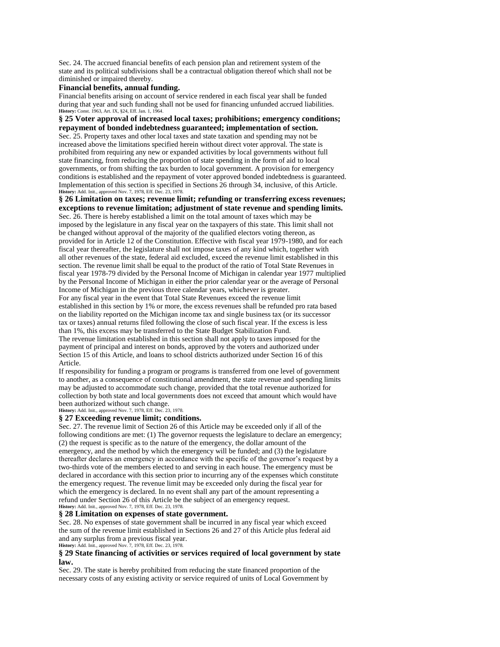Sec. 24. The accrued financial benefits of each pension plan and retirement system of the state and its political subdivisions shall be a contractual obligation thereof which shall not be diminished or impaired thereby.

#### **Financial benefits, annual funding.**

Financial benefits arising on account of service rendered in each fiscal year shall be funded during that year and such funding shall not be used for financing unfunded accrued liabilities. **History:** Const. 1963, Art. IX, §24, Eff. Jan. 1, 1964.

**§ 25 Voter approval of increased local taxes; prohibitions; emergency conditions; repayment of bonded indebtedness guaranteed; implementation of section.** Sec. 25. Property taxes and other local taxes and state taxation and spending may not be increased above the limitations specified herein without direct voter approval. The state is prohibited from requiring any new or expanded activities by local governments without full state financing, from reducing the proportion of state spending in the form of aid to local governments, or from shifting the tax burden to local government. A provision for emergency conditions is established and the repayment of voter approved bonded indebtedness is guaranteed. Implementation of this section is specified in Sections 26 through 34, inclusive, of this Article. **History:** Add. Init., approved Nov. 7, 1978, Eff. Dec. 23, 1978.

**§ 26 Limitation on taxes; revenue limit; refunding or transferring excess revenues; exceptions to revenue limitation; adjustment of state revenue and spending limits.** Sec. 26. There is hereby established a limit on the total amount of taxes which may be

imposed by the legislature in any fiscal year on the taxpayers of this state. This limit shall not be changed without approval of the majority of the qualified electors voting thereon, as provided for in Article 12 of the Constitution. Effective with fiscal year 1979-1980, and for each fiscal year thereafter, the legislature shall not impose taxes of any kind which, together with all other revenues of the state, federal aid excluded, exceed the revenue limit established in this section. The revenue limit shall be equal to the product of the ratio of Total State Revenues in fiscal year 1978-79 divided by the Personal Income of Michigan in calendar year 1977 multiplied by the Personal Income of Michigan in either the prior calendar year or the average of Personal Income of Michigan in the previous three calendar years, whichever is greater.

For any fiscal year in the event that Total State Revenues exceed the revenue limit established in this section by 1% or more, the excess revenues shall be refunded pro rata based on the liability reported on the Michigan income tax and single business tax (or its successor tax or taxes) annual returns filed following the close of such fiscal year. If the excess is less than 1%, this excess may be transferred to the State Budget Stabilization Fund. The revenue limitation established in this section shall not apply to taxes imposed for the

payment of principal and interest on bonds, approved by the voters and authorized under Section 15 of this Article, and loans to school districts authorized under Section 16 of this Article.

If responsibility for funding a program or programs is transferred from one level of government to another, as a consequence of constitutional amendment, the state revenue and spending limits may be adjusted to accommodate such change, provided that the total revenue authorized for collection by both state and local governments does not exceed that amount which would have been authorized without such change.

**History:** Add. Init., approved Nov. 7, 1978, Eff. Dec. 23, 1978.

## **§ 27 Exceeding revenue limit; conditions.**

Sec. 27. The revenue limit of Section 26 of this Article may be exceeded only if all of the following conditions are met: (1) The governor requests the legislature to declare an emergency; (2) the request is specific as to the nature of the emergency, the dollar amount of the emergency, and the method by which the emergency will be funded; and (3) the legislature thereafter declares an emergency in accordance with the specific of the governor's request by a two-thirds vote of the members elected to and serving in each house. The emergency must be declared in accordance with this section prior to incurring any of the expenses which constitute the emergency request. The revenue limit may be exceeded only during the fiscal year for which the emergency is declared. In no event shall any part of the amount representing a refund under Section 26 of this Article be the subject of an emergency request. **History:** Add. Init., approved Nov. 7, 1978, Eff. Dec. 23, 1978.

#### **§ 28 Limitation on expenses of state government.**

Sec. 28. No expenses of state government shall be incurred in any fiscal year which exceed the sum of the revenue limit established in Sections 26 and 27 of this Article plus federal aid and any surplus from a previous fiscal year. **History:** Add. Init., approved Nov. 7, 1978, Eff. Dec. 23, 1978.

#### **§ 29 State financing of activities or services required of local government by state law.**

Sec. 29. The state is hereby prohibited from reducing the state financed proportion of the necessary costs of any existing activity or service required of units of Local Government by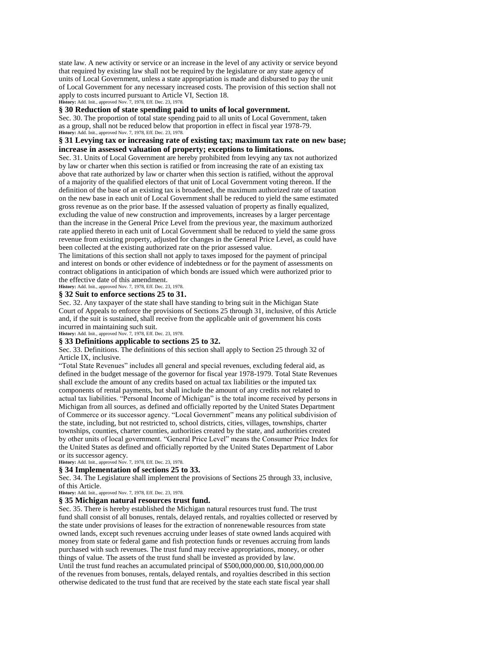state law. A new activity or service or an increase in the level of any activity or service beyond that required by existing law shall not be required by the legislature or any state agency of units of Local Government, unless a state appropriation is made and disbursed to pay the unit of Local Government for any necessary increased costs. The provision of this section shall not apply to costs incurred pursuant to Article VI, Section 18. **History:** Add. Init., approved Nov. 7, 1978, Eff. Dec. 23, 1978.

#### **§ 30 Reduction of state spending paid to units of local government.**

Sec. 30. The proportion of total state spending paid to all units of Local Government, taken as a group, shall not be reduced below that proportion in effect in fiscal year 1978-79. **History:** Add. Init., approved Nov. 7, 1978, Eff. Dec. 23, 1978.

#### **§ 31 Levying tax or increasing rate of existing tax; maximum tax rate on new base; increase in assessed valuation of property; exceptions to limitations.**

Sec. 31. Units of Local Government are hereby prohibited from levying any tax not authorized by law or charter when this section is ratified or from increasing the rate of an existing tax above that rate authorized by law or charter when this section is ratified, without the approval of a majority of the qualified electors of that unit of Local Government voting thereon. If the definition of the base of an existing tax is broadened, the maximum authorized rate of taxation on the new base in each unit of Local Government shall be reduced to yield the same estimated gross revenue as on the prior base. If the assessed valuation of property as finally equalized, excluding the value of new construction and improvements, increases by a larger percentage than the increase in the General Price Level from the previous year, the maximum authorized rate applied thereto in each unit of Local Government shall be reduced to yield the same gross revenue from existing property, adjusted for changes in the General Price Level, as could have been collected at the existing authorized rate on the prior assessed value.

The limitations of this section shall not apply to taxes imposed for the payment of principal and interest on bonds or other evidence of indebtedness or for the payment of assessments on contract obligations in anticipation of which bonds are issued which were authorized prior to the effective date of this amendment. **History:** Add. Init., approved Nov. 7, 1978, Eff. Dec. 23, 1978.

## **§ 32 Suit to enforce sections 25 to 31.**

Sec. 32. Any taxpayer of the state shall have standing to bring suit in the Michigan State

Court of Appeals to enforce the provisions of Sections 25 through 31, inclusive, of this Article and, if the suit is sustained, shall receive from the applicable unit of government his costs incurred in maintaining such suit.

**History:** Add. Init., approved Nov. 7, 1978, Eff. Dec. 23, 1978.

#### **§ 33 Definitions applicable to sections 25 to 32.**

Sec. 33. Definitions. The definitions of this section shall apply to Section 25 through 32 of Article IX, inclusive.

"Total State Revenues" includes all general and special revenues, excluding federal aid, as defined in the budget message of the governor for fiscal year 1978-1979. Total State Revenues shall exclude the amount of any credits based on actual tax liabilities or the imputed tax components of rental payments, but shall include the amount of any credits not related to actual tax liabilities. "Personal Income of Michigan" is the total income received by persons in Michigan from all sources, as defined and officially reported by the United States Department of Commerce or its successor agency. "Local Government" means any political subdivision of the state, including, but not restricted to, school districts, cities, villages, townships, charter townships, counties, charter counties, authorities created by the state, and authorities created by other units of local government. "General Price Level" means the Consumer Price Index for the United States as defined and officially reported by the United States Department of Labor or its successor agency. **History:** Add. Init., approved Nov. 7, 1978, Eff. Dec. 23, 1978.

#### **§ 34 Implementation of sections 25 to 33.**

Sec. 34. The Legislature shall implement the provisions of Sections 25 through 33, inclusive, of this Article.

**History:** Add. Init., approved Nov. 7, 1978, Eff. Dec. 23, 1978.

#### **§ 35 Michigan natural resources trust fund.**

Sec. 35. There is hereby established the Michigan natural resources trust fund. The trust fund shall consist of all bonuses, rentals, delayed rentals, and royalties collected or reserved by the state under provisions of leases for the extraction of nonrenewable resources from state owned lands, except such revenues accruing under leases of state owned lands acquired with money from state or federal game and fish protection funds or revenues accruing from lands purchased with such revenues. The trust fund may receive appropriations, money, or other things of value. The assets of the trust fund shall be invested as provided by law.

Until the trust fund reaches an accumulated principal of \$500,000,000.00, \$10,000,000.00 of the revenues from bonuses, rentals, delayed rentals, and royalties described in this section otherwise dedicated to the trust fund that are received by the state each state fiscal year shall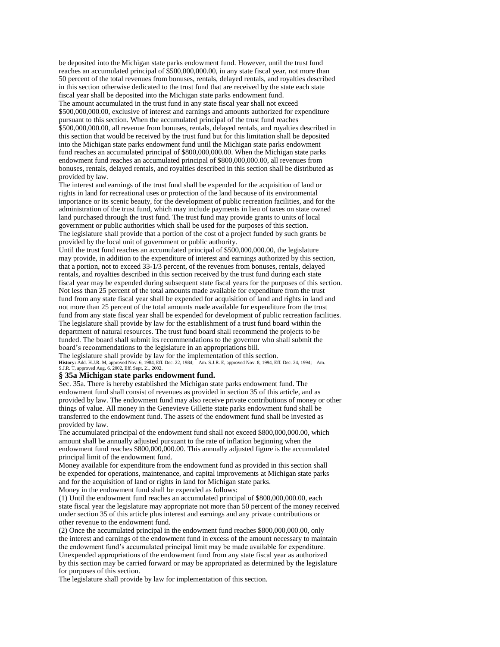be deposited into the Michigan state parks endowment fund. However, until the trust fund reaches an accumulated principal of \$500,000,000.00, in any state fiscal year, not more than 50 percent of the total revenues from bonuses, rentals, delayed rentals, and royalties described in this section otherwise dedicated to the trust fund that are received by the state each state fiscal year shall be deposited into the Michigan state parks endowment fund. The amount accumulated in the trust fund in any state fiscal year shall not exceed \$500,000,000.00, exclusive of interest and earnings and amounts authorized for expenditure pursuant to this section. When the accumulated principal of the trust fund reaches \$500,000,000.00, all revenue from bonuses, rentals, delayed rentals, and royalties described in this section that would be received by the trust fund but for this limitation shall be deposited into the Michigan state parks endowment fund until the Michigan state parks endowment fund reaches an accumulated principal of \$800,000,000.00. When the Michigan state parks endowment fund reaches an accumulated principal of \$800,000,000.00, all revenues from bonuses, rentals, delayed rentals, and royalties described in this section shall be distributed as provided by law.

The interest and earnings of the trust fund shall be expended for the acquisition of land or rights in land for recreational uses or protection of the land because of its environmental importance or its scenic beauty, for the development of public recreation facilities, and for the administration of the trust fund, which may include payments in lieu of taxes on state owned land purchased through the trust fund. The trust fund may provide grants to units of local government or public authorities which shall be used for the purposes of this section. The legislature shall provide that a portion of the cost of a project funded by such grants be provided by the local unit of government or public authority.

Until the trust fund reaches an accumulated principal of \$500,000,000.00, the legislature may provide, in addition to the expenditure of interest and earnings authorized by this section, that a portion, not to exceed  $33-1/3$  percent, of the revenues from bonuses, rentals, delayed rentals, and royalties described in this section received by the trust fund during each state fiscal year may be expended during subsequent state fiscal years for the purposes of this section. Not less than 25 percent of the total amounts made available for expenditure from the trust fund from any state fiscal year shall be expended for acquisition of land and rights in land and not more than 25 percent of the total amounts made available for expenditure from the trust fund from any state fiscal year shall be expended for development of public recreation facilities. The legislature shall provide by law for the establishment of a trust fund board within the department of natural resources. The trust fund board shall recommend the projects to be funded. The board shall submit its recommendations to the governor who shall submit the board's recommendations to the legislature in an appropriations bill.

The legislature shall provide by law for the implementation of this section. **History:** Add. H.J.R. M, approved Nov. 6, 1984, Eff. Dec. 22, 1984;—Am. S.J.R. E, approved Nov. 8, 1994, Eff. Dec. 24, 1994;—Am.<br>S.J.R. T, approved Aug. 6, 2002, Eff. Sept. 21, 2002.

#### **§ 35a Michigan state parks endowment fund.**

Sec. 35a. There is hereby established the Michigan state parks endowment fund. The endowment fund shall consist of revenues as provided in section 35 of this article, and as provided by law. The endowment fund may also receive private contributions of money or other things of value. All money in the Genevieve Gillette state parks endowment fund shall be transferred to the endowment fund. The assets of the endowment fund shall be invested as provided by law.

The accumulated principal of the endowment fund shall not exceed \$800,000,000.00, which amount shall be annually adjusted pursuant to the rate of inflation beginning when the endowment fund reaches \$800,000,000.00. This annually adjusted figure is the accumulated principal limit of the endowment fund.

Money available for expenditure from the endowment fund as provided in this section shall be expended for operations, maintenance, and capital improvements at Michigan state parks and for the acquisition of land or rights in land for Michigan state parks. Money in the endowment fund shall be expended as follows:

(1) Until the endowment fund reaches an accumulated principal of \$800,000,000.00, each state fiscal year the legislature may appropriate not more than 50 percent of the money received under section 35 of this article plus interest and earnings and any private contributions or other revenue to the endowment fund.

(2) Once the accumulated principal in the endowment fund reaches \$800,000,000.00, only the interest and earnings of the endowment fund in excess of the amount necessary to maintain the endowment fund's accumulated principal limit may be made available for expenditure. Unexpended appropriations of the endowment fund from any state fiscal year as authorized by this section may be carried forward or may be appropriated as determined by the legislature for purposes of this section.

The legislature shall provide by law for implementation of this section.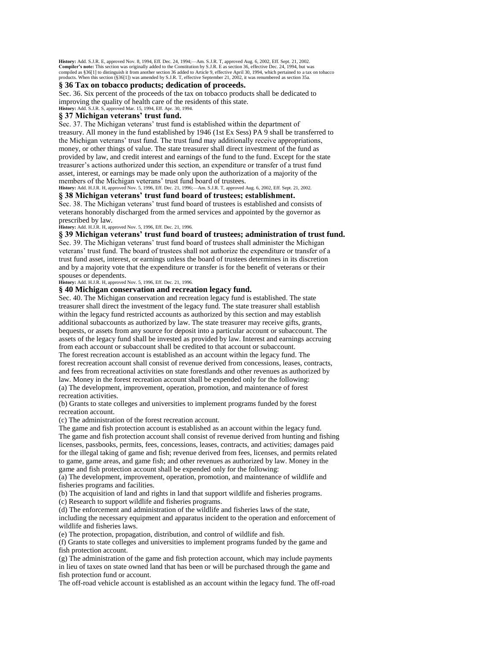**History:** Add. S.J.R. E, approved Nov. 8, 1994, Eff. Dec. 24, 1994;—Am. S.J.R. T, approved Aug. 6, 2002, Eff. Sept. 21, 2002. **Compiler's note:** This section was originally added to the Constitution by S.J.R. E as section 36, effective Dec. 24, 1994, but was compiled as §36[1] to distinguish it from another section 36 added to Article 9, effective April 30, 1994, which pertained to a tax on tobacco<br>products. When this section (§36[1]) was amended by S.J.R. T, effective Septemb

#### **§ 36 Tax on tobacco products; dedication of proceeds.**

Sec. 36. Six percent of the proceeds of the tax on tobacco products shall be dedicated to improving the quality of health care of the residents of this state.

# **History:** Add. S.J.R. S, approved Mar. 15, 1994, Eff. Apr. 30, 1994. **§ 37 Michigan veterans' trust fund.**

Sec. 37. The Michigan veterans' trust fund is established within the department of treasury. All money in the fund established by 1946 (1st Ex Sess) PA  $\hat{9}$  shall be transferred to the Michigan veterans' trust fund. The trust fund may additionally receive appropriations, money, or other things of value. The state treasurer shall direct investment of the fund as provided by law, and credit interest and earnings of the fund to the fund. Except for the state treasurer's actions authorized under this section, an expenditure or transfer of a trust fund asset, interest, or earnings may be made only upon the authorization of a majority of the members of the Michigan veterans' trust fund board of trustees. **History:** Add. H.J.R. H, approved Nov. 5, 1996, Eff. Dec. 21, 1996;—Am. S.J.R. T, approved Aug. 6, 2002, Eff. Sept. 21, 2002.

**§ 38 Michigan veterans' trust fund board of trustees; establishment.** Sec. 38. The Michigan veterans' trust fund board of trustees is established and consists of veterans honorably discharged from the armed services and appointed by the governor as prescribed by law. **History:** Add. H.J.R. H, approved Nov. 5, 1996, Eff. Dec. 21, 1996.

**§ 39 Michigan veterans' trust fund board of trustees; administration of trust fund.**

Sec. 39. The Michigan veterans' trust fund board of trustees shall administer the Michigan veterans' trust fund. The board of trustees shall not authorize the expenditure or transfer of a trust fund asset, interest, or earnings unless the board of trustees determines in its discretion and by a majority vote that the expenditure or transfer is for the benefit of veterans or their

spouses or dependents. **History:** Add. H.J.R. H, approved Nov. 5, 1996, Eff. Dec. 21, 1996.

#### **§ 40 Michigan conservation and recreation legacy fund.**

Sec. 40. The Michigan conservation and recreation legacy fund is established. The state treasurer shall direct the investment of the legacy fund. The state treasurer shall establish within the legacy fund restricted accounts as authorized by this section and may establish additional subaccounts as authorized by law. The state treasurer may receive gifts, grants, bequests, or assets from any source for deposit into a particular account or subaccount. The assets of the legacy fund shall be invested as provided by law. Interest and earnings accruing from each account or subaccount shall be credited to that account or subaccount.

The forest recreation account is established as an account within the legacy fund. The forest recreation account shall consist of revenue derived from concessions, leases, contracts, and fees from recreational activities on state forestlands and other revenues as authorized by law. Money in the forest recreation account shall be expended only for the following: (a) The development, improvement, operation, promotion, and maintenance of forest recreation activities.

(b) Grants to state colleges and universities to implement programs funded by the forest recreation account.

(c) The administration of the forest recreation account.

The game and fish protection account is established as an account within the legacy fund. The game and fish protection account shall consist of revenue derived from hunting and fishing licenses, passbooks, permits, fees, concessions, leases, contracts, and activities; damages paid for the illegal taking of game and fish; revenue derived from fees, licenses, and permits related to game, game areas, and game fish; and other revenues as authorized by law. Money in the game and fish protection account shall be expended only for the following:

(a) The development, improvement, operation, promotion, and maintenance of wildlife and fisheries programs and facilities.

(b) The acquisition of land and rights in land that support wildlife and fisheries programs. (c) Research to support wildlife and fisheries programs.

(d) The enforcement and administration of the wildlife and fisheries laws of the state,

including the necessary equipment and apparatus incident to the operation and enforcement of wildlife and fisheries laws.

(e) The protection, propagation, distribution, and control of wildlife and fish.

(f) Grants to state colleges and universities to implement programs funded by the game and fish protection account.

(g) The administration of the game and fish protection account, which may include payments in lieu of taxes on state owned land that has been or will be purchased through the game and fish protection fund or account.

The off-road vehicle account is established as an account within the legacy fund. The off-road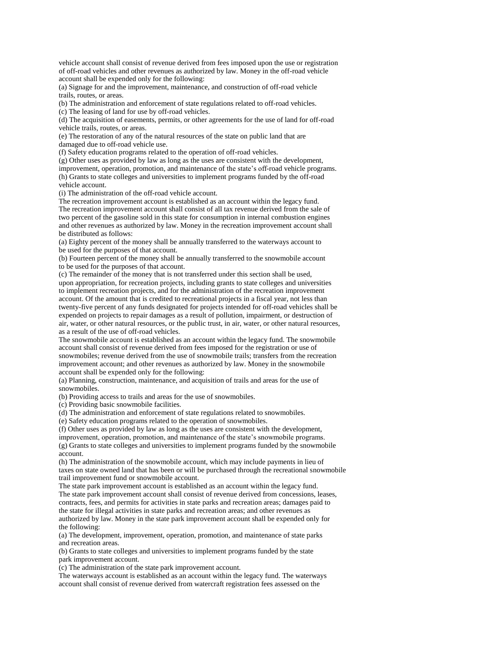vehicle account shall consist of revenue derived from fees imposed upon the use or registration of off-road vehicles and other revenues as authorized by law. Money in the off-road vehicle account shall be expended only for the following:

(a) Signage for and the improvement, maintenance, and construction of off-road vehicle trails, routes, or areas.

(b) The administration and enforcement of state regulations related to off-road vehicles.

(c) The leasing of land for use by off-road vehicles.

(d) The acquisition of easements, permits, or other agreements for the use of land for off-road vehicle trails, routes, or areas.

(e) The restoration of any of the natural resources of the state on public land that are damaged due to off-road vehicle use.

(f) Safety education programs related to the operation of off-road vehicles.

(g) Other uses as provided by law as long as the uses are consistent with the development, improvement, operation, promotion, and maintenance of the state's off-road vehicle programs. (h) Grants to state colleges and universities to implement programs funded by the off-road vehicle account.

(i) The administration of the off-road vehicle account.

The recreation improvement account is established as an account within the legacy fund. The recreation improvement account shall consist of all tax revenue derived from the sale of two percent of the gasoline sold in this state for consumption in internal combustion engines and other revenues as authorized by law. Money in the recreation improvement account shall be distributed as follows:

(a) Eighty percent of the money shall be annually transferred to the waterways account to be used for the purposes of that account.

(b) Fourteen percent of the money shall be annually transferred to the snowmobile account to be used for the purposes of that account.

(c) The remainder of the money that is not transferred under this section shall be used, upon appropriation, for recreation projects, including grants to state colleges and universities to implement recreation projects, and for the administration of the recreation improvement account. Of the amount that is credited to recreational projects in a fiscal year, not less than twenty-five percent of any funds designated for projects intended for off-road vehicles shall be expended on projects to repair damages as a result of pollution, impairment, or destruction of air, water, or other natural resources, or the public trust, in air, water, or other natural resources, as a result of the use of off-road vehicles.

The snowmobile account is established as an account within the legacy fund. The snowmobile account shall consist of revenue derived from fees imposed for the registration or use of snowmobiles; revenue derived from the use of snowmobile trails; transfers from the recreation improvement account; and other revenues as authorized by law. Money in the snowmobile account shall be expended only for the following:

(a) Planning, construction, maintenance, and acquisition of trails and areas for the use of snowmobiles.

(b) Providing access to trails and areas for the use of snowmobiles.

(c) Providing basic snowmobile facilities.

(d) The administration and enforcement of state regulations related to snowmobiles.

(e) Safety education programs related to the operation of snowmobiles.

(f) Other uses as provided by law as long as the uses are consistent with the development, improvement, operation, promotion, and maintenance of the state's snowmobile programs. (g) Grants to state colleges and universities to implement programs funded by the snowmobile account.

(h) The administration of the snowmobile account, which may include payments in lieu of taxes on state owned land that has been or will be purchased through the recreational snowmobile trail improvement fund or snowmobile account.

The state park improvement account is established as an account within the legacy fund. The state park improvement account shall consist of revenue derived from concessions, leases, contracts, fees, and permits for activities in state parks and recreation areas; damages paid to the state for illegal activities in state parks and recreation areas; and other revenues as authorized by law. Money in the state park improvement account shall be expended only for the following:

(a) The development, improvement, operation, promotion, and maintenance of state parks and recreation areas.

(b) Grants to state colleges and universities to implement programs funded by the state park improvement account.

(c) The administration of the state park improvement account.

The waterways account is established as an account within the legacy fund. The waterways account shall consist of revenue derived from watercraft registration fees assessed on the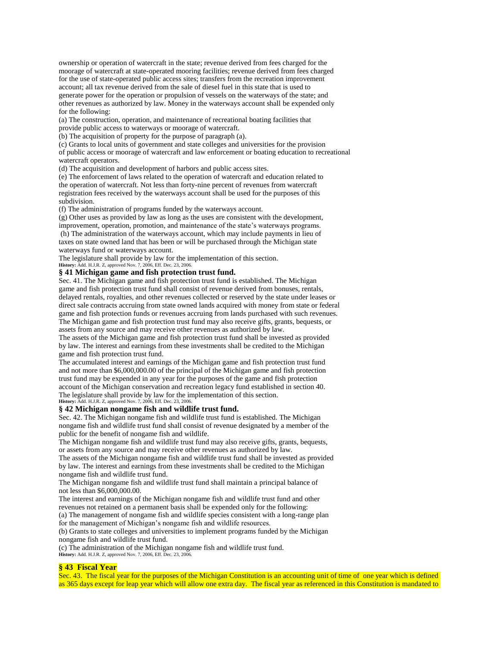ownership or operation of watercraft in the state; revenue derived from fees charged for the moorage of watercraft at state-operated mooring facilities; revenue derived from fees charged for the use of state-operated public access sites; transfers from the recreation improvement account; all tax revenue derived from the sale of diesel fuel in this state that is used to generate power for the operation or propulsion of vessels on the waterways of the state; and other revenues as authorized by law. Money in the waterways account shall be expended only for the following:

(a) The construction, operation, and maintenance of recreational boating facilities that provide public access to waterways or moorage of watercraft.

(b) The acquisition of property for the purpose of paragraph (a).

(c) Grants to local units of government and state colleges and universities for the provision of public access or moorage of watercraft and law enforcement or boating education to recreational watercraft operators.

(d) The acquisition and development of harbors and public access sites.

(e) The enforcement of laws related to the operation of watercraft and education related to the operation of watercraft. Not less than forty-nine percent of revenues from watercraft registration fees received by the waterways account shall be used for the purposes of this subdivision.

(f) The administration of programs funded by the waterways account.

(g) Other uses as provided by law as long as the uses are consistent with the development, improvement, operation, promotion, and maintenance of the state's waterways programs.

(h) The administration of the waterways account, which may include payments in lieu of taxes on state owned land that has been or will be purchased through the Michigan state waterways fund or waterways account.

The legislature shall provide by law for the implementation of this section.

**History:** Add. H.J.R. Z, approved Nov. 7, 2006, Eff. Dec. 23, 2006.

## **§ 41 Michigan game and fish protection trust fund.**

Sec. 41. The Michigan game and fish protection trust fund is established. The Michigan game and fish protection trust fund shall consist of revenue derived from bonuses, rentals, delayed rentals, royalties, and other revenues collected or reserved by the state under leases or direct sale contracts accruing from state owned lands acquired with money from state or federal game and fish protection funds or revenues accruing from lands purchased with such revenues. The Michigan game and fish protection trust fund may also receive gifts, grants, bequests, or assets from any source and may receive other revenues as authorized by law.

The assets of the Michigan game and fish protection trust fund shall be invested as provided by law. The interest and earnings from these investments shall be credited to the Michigan game and fish protection trust fund.

The accumulated interest and earnings of the Michigan game and fish protection trust fund and not more than \$6,000,000.00 of the principal of the Michigan game and fish protection trust fund may be expended in any year for the purposes of the game and fish protection account of the Michigan conservation and recreation legacy fund established in section 40. The legislature shall provide by law for the implementation of this section. **History:** Add. H.J.R. Z, approved Nov. 7, 2006, Eff. Dec. 23, 2006.

#### **§ 42 Michigan nongame fish and wildlife trust fund.**

Sec. 42. The Michigan nongame fish and wildlife trust fund is established. The Michigan nongame fish and wildlife trust fund shall consist of revenue designated by a member of the public for the benefit of nongame fish and wildlife.

The Michigan nongame fish and wildlife trust fund may also receive gifts, grants, bequests, or assets from any source and may receive other revenues as authorized by law.

The assets of the Michigan nongame fish and wildlife trust fund shall be invested as provided by law. The interest and earnings from these investments shall be credited to the Michigan nongame fish and wildlife trust fund.

The Michigan nongame fish and wildlife trust fund shall maintain a principal balance of not less than \$6,000,000.00.

The interest and earnings of the Michigan nongame fish and wildlife trust fund and other revenues not retained on a permanent basis shall be expended only for the following:

(a) The management of nongame fish and wildlife species consistent with a long-range plan for the management of Michigan's nongame fish and wildlife resources.

(b) Grants to state colleges and universities to implement programs funded by the Michigan nongame fish and wildlife trust fund.

(c) The administration of the Michigan nongame fish and wildlife trust fund. **History:** Add. H.J.R. Z, approved Nov. 7, 2006, Eff. Dec. 23, 2006.

## **§ 43 Fiscal Year**

Sec. 43. The fiscal year for the purposes of the Michigan Constitution is an accounting unit of time of one year which is defined as 365 days except for leap year which will allow one extra day. The fiscal year as referenced in this Constitution is mandated to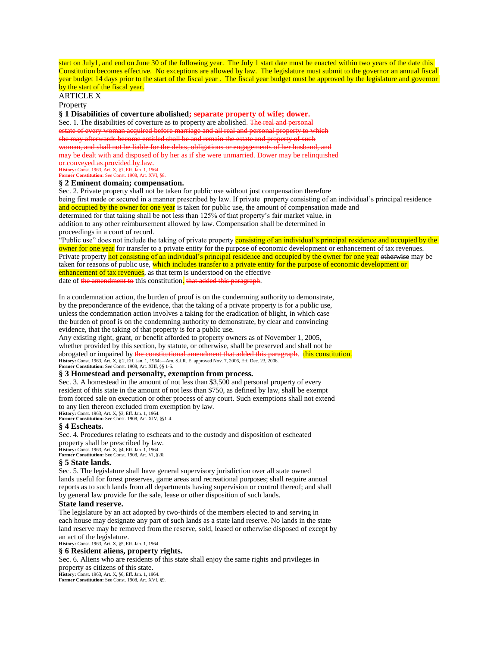start on July1, and end on June 30 of the following year. The July 1 start date must be enacted within two years of the date this Constitution becomes effective. No exceptions are allowed by law. The legislature must submit to the governor an annual fiscal year budget 14 days prior to the start of the fiscal year . The fiscal year budget must be approved by the legislature and governor by the start of the fiscal year.

ARTICLE X

#### Property

#### **§ 1 Disabilities of coverture abolished; separate property of wife; dower.**

Sec. 1. The disabilities of coverture as to property are abolished. The real and personal estate of every woman acquired before marriage and all real and personal property to which she may afterwards become entitled shall be and remain the estate and property of such woman, and shall not be liable for the debts, obligations or engagements of her husband, and may be dealt with and disposed of by her as if she were unmarried. Dower may be relinquished or conveyed as provided by law. **History:** Const. 1963, Art. X, §1, Eff. Jan. 1, 1964.

#### **Former Constitution:** See Const. 1908, Art. XVI, §8. **§ 2 Eminent domain; compensation.**

Sec. 2. Private property shall not be taken for public use without just compensation therefore being first made or secured in a manner prescribed by law. If private property consisting of an individual's principal residence and occupied by the owner for one year is taken for public use, the amount of compensation made and determined for that taking shall be not less than 125% of that property's fair market value, in addition to any other reimbursement allowed by law. Compensation shall be determined in

proceedings in a court of record.

"Public use" does not include the taking of private property consisting of an individual's principal residence and occupied by the owner for one year for transfer to a private entity for the purpose of economic development or enhancement of tax revenues. Private property not consisting of an individual's principal residence and occupied by the owner for one year otherwise may be taken for reasons of public use, which includes transfer to a private entity for the purpose of economic development or enhancement of tax revenues, as that term is understood on the effective date of the amendment to this constitution. that added this paragraph.

In a condemnation action, the burden of proof is on the condemning authority to demonstrate, by the preponderance of the evidence, that the taking of a private property is for a public use, unless the condemnation action involves a taking for the eradication of blight, in which case the burden of proof is on the condemning authority to demonstrate, by clear and convincing evidence, that the taking of that property is for a public use.

Any existing right, grant, or benefit afforded to property owners as of November 1, 2005, whether provided by this section, by statute, or otherwise, shall be preserved and shall not be abrogated or impaired by the constitutional amendment that added this paragraph. this constitutional nendment that added this paragraph. this constitution. **History:** Const. 1963, Art. X, § 2, Eff. Jan. 1, 1964;—Am. S.J.R. E, approved Nov. 7, 2006, Eff. Dec. 23, 2006. **Former Constitution:** See Const. 1908, Art. XIII, §§ 1-5.

#### **§ 3 Homestead and personalty, exemption from process.**

Sec. 3. A homestead in the amount of not less than \$3,500 and personal property of every resident of this state in the amount of not less than \$750, as defined by law, shall be exempt from forced sale on execution or other process of any court. Such exemptions shall not extend to any lien thereon excluded from exemption by law.

**History:** Const. 1963, Art. X, §3, Eff. Jan. 1, 1964. **Former Constitution:** See Const. 1908, Art. XIV, §§1-4.

#### **§ 4 Escheats.**

Sec. 4. Procedures relating to escheats and to the custody and disposition of escheated property shall be prescribed by law. **History:** Const. 1963, Art. X, §4, Eff. Jan. 1, 1964. **Former Constitution:** See Const. 1908, Art. VI, §20.

#### **§ 5 State lands.**

Sec. 5. The legislature shall have general supervisory jurisdiction over all state owned lands useful for forest preserves, game areas and recreational purposes; shall require annual reports as to such lands from all departments having supervision or control thereof; and shall by general law provide for the sale, lease or other disposition of such lands.

#### **State land reserve.**

The legislature by an act adopted by two-thirds of the members elected to and serving in each house may designate any part of such lands as a state land reserve. No lands in the state land reserve may be removed from the reserve, sold, leased or otherwise disposed of except by an act of the legislature.

**History:** Const. 1963, Art. X, §5, Eff. Jan. 1, 1964.

#### **§ 6 Resident aliens, property rights.**

Sec. 6. Aliens who are residents of this state shall enjoy the same rights and privileges in property as citizens of this state. **History:** Const. 1963, Art. X, §6, Eff. Jan. 1, 1964. **Former Constitution:** See Const. 1908, Art. XVI, §9.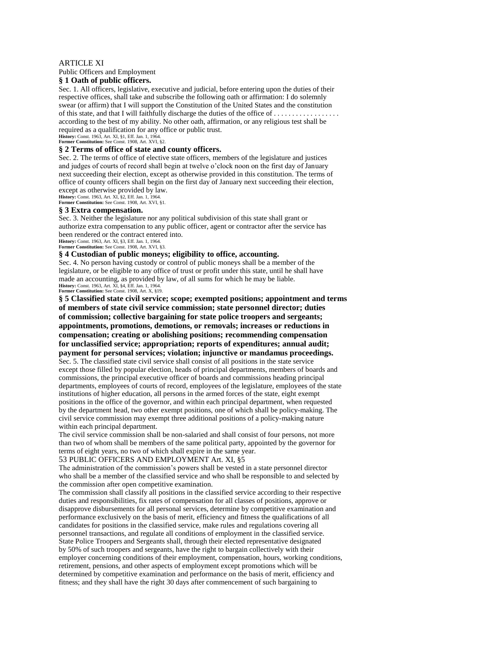## ARTICLE XI

Public Officers and Employment

## **§ 1 Oath of public officers.**

Sec. 1. All officers, legislative, executive and judicial, before entering upon the duties of their respective offices, shall take and subscribe the following oath or affirmation: I do solemnly swear (or affirm) that I will support the Constitution of the United States and the constitution of this state, and that I will faithfully discharge the duties of the office of . . . . . . . . . . . . . . . . . . according to the best of my ability. No other oath, affirmation, or any religious test shall be required as a qualification for any office or public trust. History: Const. 1963, Art. XI, §1, Eff. Jan. 1, 196

**Former Constitution:** See Const. 1908, Art. XVI, §2.

#### **§ 2 Terms of office of state and county officers.**

Sec. 2. The terms of office of elective state officers, members of the legislature and justices and judges of courts of record shall begin at twelve o'clock noon on the first day of January next succeeding their election, except as otherwise provided in this constitution. The terms of office of county officers shall begin on the first day of January next succeeding their election, except as otherwise provided by law. **History:** Const. 1963, Art. XI, §2, Eff. Jan. 1, 1964. **Former Constitution:** See Const. 1908, Art. XVI, §1.

#### **§ 3 Extra compensation.**

Sec. 3. Neither the legislature nor any political subdivision of this state shall grant or authorize extra compensation to any public officer, agent or contractor after the service has been rendered or the contract entered into.

**History:** Const. 1963, Art. XI, §3, Eff. Jan. 1, 1964. **Former Constitution:** See Const. 1908, Art. XVI, §3.

#### **§ 4 Custodian of public moneys; eligibility to office, accounting.**

Sec. 4. No person having custody or control of public moneys shall be a member of the legislature, or be eligible to any office of trust or profit under this state, until he shall have made an accounting, as provided by law, of all sums for which he may be liable. **History:** Const. 1963, Art. XI, §4, Eff. Jan. 1, 1964. **Former Constitution:** See Const. 1908, Art. X, §19.

**§ 5 Classified state civil service; scope; exempted positions; appointment and terms of members of state civil service commission; state personnel director; duties of commission; collective bargaining for state police troopers and sergeants; appointments, promotions, demotions, or removals; increases or reductions in compensation; creating or abolishing positions; recommending compensation for unclassified service; appropriation; reports of expenditures; annual audit; payment for personal services; violation; injunctive or mandamus proceedings.**

Sec. 5. The classified state civil service shall consist of all positions in the state service except those filled by popular election, heads of principal departments, members of boards and commissions, the principal executive officer of boards and commissions heading principal departments, employees of courts of record, employees of the legislature, employees of the state institutions of higher education, all persons in the armed forces of the state, eight exempt positions in the office of the governor, and within each principal department, when requested by the department head, two other exempt positions, one of which shall be policy-making. The civil service commission may exempt three additional positions of a policy-making nature within each principal department.

The civil service commission shall be non-salaried and shall consist of four persons, not more than two of whom shall be members of the same political party, appointed by the governor for terms of eight years, no two of which shall expire in the same year.

#### 53 PUBLIC OFFICERS AND EMPLOYMENT Art. XI, §5

The administration of the commission's powers shall be vested in a state personnel director who shall be a member of the classified service and who shall be responsible to and selected by the commission after open competitive examination.

The commission shall classify all positions in the classified service according to their respective duties and responsibilities, fix rates of compensation for all classes of positions, approve or disapprove disbursements for all personal services, determine by competitive examination and performance exclusively on the basis of merit, efficiency and fitness the qualifications of all candidates for positions in the classified service, make rules and regulations covering all personnel transactions, and regulate all conditions of employment in the classified service. State Police Troopers and Sergeants shall, through their elected representative designated by 50% of such troopers and sergeants, have the right to bargain collectively with their employer concerning conditions of their employment, compensation, hours, working conditions, retirement, pensions, and other aspects of employment except promotions which will be determined by competitive examination and performance on the basis of merit, efficiency and fitness; and they shall have the right 30 days after commencement of such bargaining to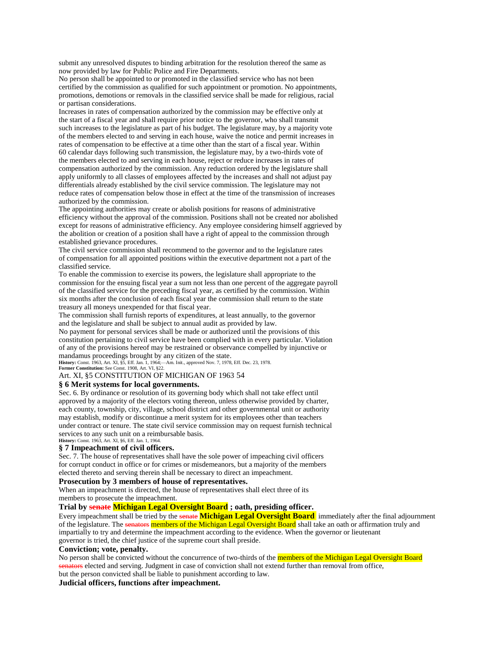submit any unresolved disputes to binding arbitration for the resolution thereof the same as now provided by law for Public Police and Fire Departments.

No person shall be appointed to or promoted in the classified service who has not been certified by the commission as qualified for such appointment or promotion. No appointments, promotions, demotions or removals in the classified service shall be made for religious, racial or partisan considerations.

Increases in rates of compensation authorized by the commission may be effective only at the start of a fiscal year and shall require prior notice to the governor, who shall transmit such increases to the legislature as part of his budget. The legislature may, by a majority vote of the members elected to and serving in each house, waive the notice and permit increases in rates of compensation to be effective at a time other than the start of a fiscal year. Within 60 calendar days following such transmission, the legislature may, by a two-thirds vote of the members elected to and serving in each house, reject or reduce increases in rates of compensation authorized by the commission. Any reduction ordered by the legislature shall apply uniformly to all classes of employees affected by the increases and shall not adjust pay differentials already established by the civil service commission. The legislature may not reduce rates of compensation below those in effect at the time of the transmission of increases authorized by the commission.

The appointing authorities may create or abolish positions for reasons of administrative efficiency without the approval of the commission. Positions shall not be created nor abolished except for reasons of administrative efficiency. Any employee considering himself aggrieved by the abolition or creation of a position shall have a right of appeal to the commission through established grievance procedures.

The civil service commission shall recommend to the governor and to the legislature rates of compensation for all appointed positions within the executive department not a part of the classified service.

To enable the commission to exercise its powers, the legislature shall appropriate to the commission for the ensuing fiscal year a sum not less than one percent of the aggregate payroll of the classified service for the preceding fiscal year, as certified by the commission. Within six months after the conclusion of each fiscal year the commission shall return to the state treasury all moneys unexpended for that fiscal year.

The commission shall furnish reports of expenditures, at least annually, to the governor and the legislature and shall be subject to annual audit as provided by law.

No payment for personal services shall be made or authorized until the provisions of this constitution pertaining to civil service have been complied with in every particular. Violation of any of the provisions hereof may be restrained or observance compelled by injunctive or mandamus proceedings brought by any citizen of the state.

**History:** Const. 1963, Art. XI, §5, Eff. Jan. 1, 1964;—Am. Init., approved Nov. 7, 1978, Eff. Dec. 23, 1978.<br>**Former Constitution:** See Const. 1908, Art. VI, §22.

Art. XI, §5 CONSTITUTION OF MICHIGAN OF 1963 54

#### **§ 6 Merit systems for local governments.**

Sec. 6. By ordinance or resolution of its governing body which shall not take effect until approved by a majority of the electors voting thereon, unless otherwise provided by charter, each county, township, city, village, school district and other governmental unit or authority may establish, modify or discontinue a merit system for its employees other than teachers under contract or tenure. The state civil service commission may on request furnish technical services to any such unit on a reimbursable basis. **History:** Const. 1963, Art. XI, §6, Eff. Jan. 1, 1964.

## **§ 7 Impeachment of civil officers.**

Sec. 7. The house of representatives shall have the sole power of impeaching civil officers for corrupt conduct in office or for crimes or misdemeanors, but a majority of the members elected thereto and serving therein shall be necessary to direct an impeachment.

#### **Prosecution by 3 members of house of representatives.**

When an impeachment is directed, the house of representatives shall elect three of its members to prosecute the impeachment.

**Trial by senate Michigan Legal Oversight Board ; oath, presiding officer.**

Every impeachment shall be tried by the senate **Michigan Legal Oversight Board** immediately after the final adjournment of the legislature. The senators members of the Michigan Legal Oversight Board shall take an oath or affirmation truly and impartially to try and determine the impeachment according to the evidence. When the governor or lieutenant governor is tried, the chief justice of the supreme court shall preside.

#### **Conviction; vote, penalty.**

No person shall be convicted without the concurrence of two-thirds of the members of the Michigan Legal Oversight Board senators elected and serving. Judgment in case of conviction shall not extend further than removal from office, but the person convicted shall be liable to punishment according to law.

**Judicial officers, functions after impeachment.**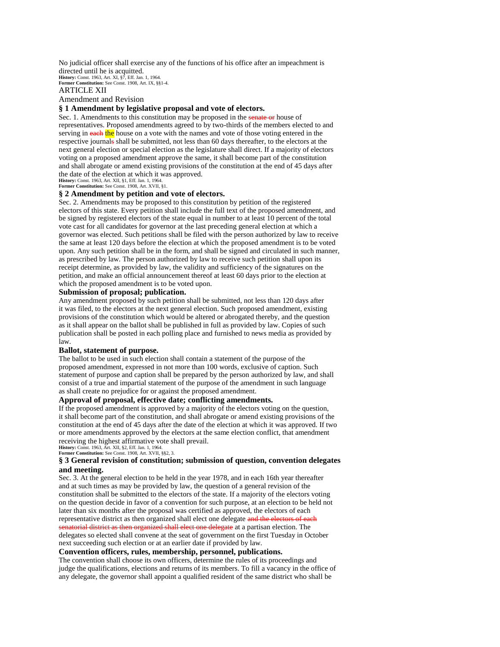No judicial officer shall exercise any of the functions of his office after an impeachment is directed until he is acquitted.

**History:** Const. 1963, Art. XI, §7, Eff. Jan. 1, 1964. **Former Constitution:** See Const. 1908, Art. IX, §§1-4.

## ARTICLE XII

Amendment and Revision

## **§ 1 Amendment by legislative proposal and vote of electors.**

Sec. 1. Amendments to this constitution may be proposed in the senate or house of representatives. Proposed amendments agreed to by two-thirds of the members elected to and serving in each the house on a vote with the names and vote of those voting entered in the respective journals shall be submitted, not less than 60 days thereafter, to the electors at the next general election or special election as the legislature shall direct. If a majority of electors voting on a proposed amendment approve the same, it shall become part of the constitution and shall abrogate or amend existing provisions of the constitution at the end of 45 days after the date of the election at which it was approved.

**History:** Const. 1963, Art. XII, §1, Eff. Jan. 1, 1964. **Former Constitution:** See Const. 1908, Art. XVII, §1.

#### **§ 2 Amendment by petition and vote of electors.**

Sec. 2. Amendments may be proposed to this constitution by petition of the registered electors of this state. Every petition shall include the full text of the proposed amendment, and be signed by registered electors of the state equal in number to at least 10 percent of the total vote cast for all candidates for governor at the last preceding general election at which a governor was elected. Such petitions shall be filed with the person authorized by law to receive the same at least 120 days before the election at which the proposed amendment is to be voted upon. Any such petition shall be in the form, and shall be signed and circulated in such manner, as prescribed by law. The person authorized by law to receive such petition shall upon its receipt determine, as provided by law, the validity and sufficiency of the signatures on the petition, and make an official announcement thereof at least 60 days prior to the election at which the proposed amendment is to be voted upon.

#### **Submission of proposal; publication.**

Any amendment proposed by such petition shall be submitted, not less than 120 days after it was filed, to the electors at the next general election. Such proposed amendment, existing provisions of the constitution which would be altered or abrogated thereby, and the question as it shall appear on the ballot shall be published in full as provided by law. Copies of such publication shall be posted in each polling place and furnished to news media as provided by law.

#### **Ballot, statement of purpose.**

The ballot to be used in such election shall contain a statement of the purpose of the proposed amendment, expressed in not more than 100 words, exclusive of caption. Such statement of purpose and caption shall be prepared by the person authorized by law, and shall consist of a true and impartial statement of the purpose of the amendment in such language as shall create no prejudice for or against the proposed amendment.

## **Approval of proposal, effective date; conflicting amendments.**

If the proposed amendment is approved by a majority of the electors voting on the question, it shall become part of the constitution, and shall abrogate or amend existing provisions of the constitution at the end of 45 days after the date of the election at which it was approved. If two or more amendments approved by the electors at the same election conflict, that amendment receiving the highest affirmative vote shall prevail.

**History:** Const. 1963, Art. XII, §2, Eff. Jan. 1, 1964. **Former Constitution:** See Const. 1908, Art. XVII, §§2, 3.

#### **§ 3 General revision of constitution; submission of question, convention delegates and meeting.**

Sec. 3. At the general election to be held in the year 1978, and in each 16th year thereafter and at such times as may be provided by law, the question of a general revision of the constitution shall be submitted to the electors of the state. If a majority of the electors voting on the question decide in favor of a convention for such purpose, at an election to be held not later than six months after the proposal was certified as approved, the electors of each representative district as then organized shall elect one delegate and the electors of each delegate at a partisan election. The

delegates so elected shall convene at the seat of government on the first Tuesday in October next succeeding such election or at an earlier date if provided by law.

## **Convention officers, rules, membership, personnel, publications.**

The convention shall choose its own officers, determine the rules of its proceedings and judge the qualifications, elections and returns of its members. To fill a vacancy in the office of any delegate, the governor shall appoint a qualified resident of the same district who shall be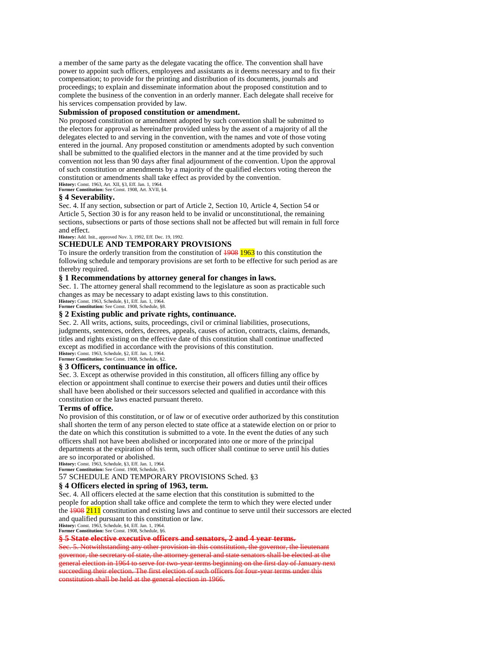a member of the same party as the delegate vacating the office. The convention shall have power to appoint such officers, employees and assistants as it deems necessary and to fix their compensation; to provide for the printing and distribution of its documents, journals and proceedings; to explain and disseminate information about the proposed constitution and to complete the business of the convention in an orderly manner. Each delegate shall receive for his services compensation provided by law.

## **Submission of proposed constitution or amendment.**

No proposed constitution or amendment adopted by such convention shall be submitted to the electors for approval as hereinafter provided unless by the assent of a majority of all the delegates elected to and serving in the convention, with the names and vote of those voting entered in the journal. Any proposed constitution or amendments adopted by such convention shall be submitted to the qualified electors in the manner and at the time provided by such convention not less than 90 days after final adjournment of the convention. Upon the approval of such constitution or amendments by a majority of the qualified electors voting thereon the constitution or amendments shall take effect as provided by the convention.

**History:** Const. 1963, Art. XII, §3, Eff. Jan. 1, 1964. **Former Constitution:** See Const. 1908, Art. XVII, §4.

#### **§ 4 Severability.**

Sec. 4. If any section, subsection or part of Article 2, Section 10, Article 4, Section 54 or Article 5, Section 30 is for any reason held to be invalid or unconstitutional, the remaining sections, subsections or parts of those sections shall not be affected but will remain in full force and effect.

**History:** Add. Init., approved Nov. 3, 1992, Eff. Dec. 19, 1992.

## **SCHEDULE AND TEMPORARY PROVISIONS**

To insure the orderly transition from the constitution of  $\frac{1908}{1963}$  to this constitution the following schedule and temporary provisions are set forth to be effective for such period as are thereby required.

#### **§ 1 Recommendations by attorney general for changes in laws.**

Sec. 1. The attorney general shall recommend to the legislature as soon as practicable such changes as may be necessary to adapt existing laws to this constitution.

**History:** Const. 1963, Schedule, §1, Eff. Jan. 1, 1964. **Former Constitution:** See Const. 1908, Schedule, §8.

#### **§ 2 Existing public and private rights, continuance.**

Sec. 2. All writs, actions, suits, proceedings, civil or criminal liabilities, prosecutions, judgments, sentences, orders, decrees, appeals, causes of action, contracts, claims, demands, titles and rights existing on the effective date of this constitution shall continue unaffected except as modified in accordance with the provisions of this constitution. **History:** Const. 1963, Schedule, §2, Eff. Jan. 1, 1964. **Former Constitution:** See Const. 1908, Schedule, §2.

#### **§ 3 Officers, continuance in office.**

Sec. 3. Except as otherwise provided in this constitution, all officers filling any office by election or appointment shall continue to exercise their powers and duties until their offices shall have been abolished or their successors selected and qualified in accordance with this constitution or the laws enacted pursuant thereto.

#### **Terms of office.**

No provision of this constitution, or of law or of executive order authorized by this constitution shall shorten the term of any person elected to state office at a statewide election on or prior to the date on which this constitution is submitted to a vote. In the event the duties of any such officers shall not have been abolished or incorporated into one or more of the principal departments at the expiration of his term, such officer shall continue to serve until his duties are so incorporated or abolished.

**History:** Const. 1963, Schedule, §3, Eff. Jan. 1, 1964. Former Constitution: See Const. 1908, Schedule, §5.

57 SCHEDULE AND TEMPORARY PROVISIONS Sched. §3

#### **§ 4 Officers elected in spring of 1963, term.**

Sec. 4. All officers elected at the same election that this constitution is submitted to the people for adoption shall take office and complete the term to which they were elected under the 1908 2111 constitution and existing laws and continue to serve until their successors are elected and qualified pursuant to this constitution or law. **History:** Const. 1963, Schedule, §4, Eff. Jan. 1, 1964. **Former Constitution:** See Const. 1908, Schedule, §6.

#### **§ 5 State elective executive officers and senators, 2 and 4 year terms.**

Sec. 5. Notwithstanding any other provision in this constitution, the governor, the lieutenant governor, the secretary of state, the attorney general and state senators shall be elected at the general election in 1964 to serve for two-year terms beginning on the first day of January next succeeding their election. The first election of such officers for four-year terms under this constitution shall be held at the general election in 1966.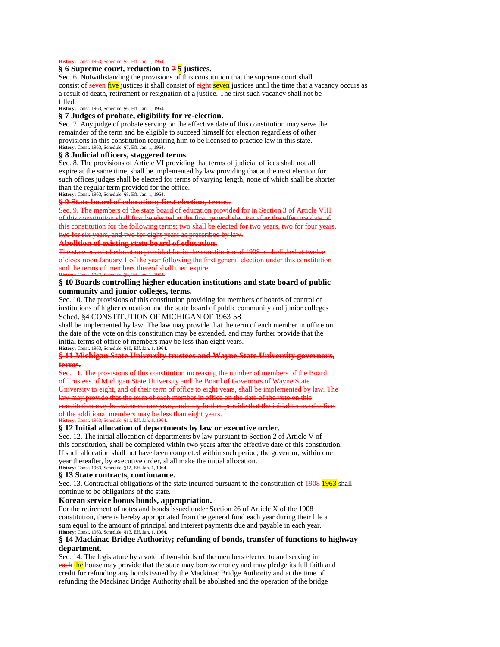#### **History:** Const. 1963, Schedule, §5, Eff. Jan. 1, 1964.

#### **§ 6 Supreme court, reduction to 7 5 justices.**

Sec. 6. Notwithstanding the provisions of this constitution that the supreme court shall consist of seven five justices it shall consist of eight seven justices until the time that a vacancy occurs as a result of death, retirement or resignation of a justice. The first such vacancy shall not be filled.

**History:** Const. 1963, Schedule, §6, Eff. Jan. 1, 1964.

## **§ 7 Judges of probate, eligibility for re-election.**

Sec. 7. Any judge of probate serving on the effective date of this constitution may serve the remainder of the term and be eligible to succeed himself for election regardless of other provisions in this constitution requiring him to be licensed to practice law in this state. **History:** Const. 1963, Schedule, §7, Eff. Jan. 1, 1964.

#### **§ 8 Judicial officers, staggered terms.**

Sec. 8. The provisions of Article VI providing that terms of judicial offices shall not all expire at the same time, shall be implemented by law providing that at the next election for such offices judges shall be elected for terms of varying length, none of which shall be shorter than the regular term provided for the office.

**History:** Const. 1963, Schedule, §8, Eff. Jan. 1, 1964.

**History:** Const. 1963, Schedule, §9, Eff. Jan. 1, 1964.

## **§ 9 State board of education; first election, terms.**

Sec. 9. The members of the state board of education provided for in Section 3 of Article VIII of this constitution shall first be elected at the first general election after the effective date of this constitution for the following terms: two shall be elected for two years, two for four years, two for six years, and two for eight years as prescribed by law.

**Abolition of existing state board of education.**

The state board of education provided for in the constitution of 1908 is abolished at twelve o'clock noon January 1 of the year following the first general election under this constitution and the terms of members thereof shall then expire.

#### **§ 10 Boards controlling higher education institutions and state board of public community and junior colleges, terms.**

Sec. 10. The provisions of this constitution providing for members of boards of control of institutions of higher education and the state board of public community and junior colleges Sched. §4 CONSTITUTION OF MICHIGAN OF 1963 58

shall be implemented by law. The law may provide that the term of each member in office on the date of the vote on this constitution may be extended, and may further provide that the initial terms of office of members may be less than eight years. **History:** Const. 1963, Schedule, §10, Eff. Jan. 1, 1964.

#### **§ 11 Michigan State University trustees and Wayne State University governors, terms.**

Sec. 11. The provisions of this constitution increasing the number of members of the Board of Trustees of Michigan State University and the Board of Governors of Wayne State University to eight, and of their term of office to eight years, shall be implemented by law. The law may provide that the term of each member in office on the date of the vote on this constitution may be extended one year, and may further provide that the initial terms of office of the additional members may be less than eight years. **History:** Const. 1963, Schedule, §11, Eff. Jan. 1, 1964.

#### **§ 12 Initial allocation of departments by law or executive order.**

Sec. 12. The initial allocation of departments by law pursuant to Section 2 of Article V of this constitution, shall be completed within two years after the effective date of this constitution. If such allocation shall not have been completed within such period, the governor, within one year thereafter, by executive order, shall make the initial allocation. **History:** Const. 1963, Schedule, §12, Eff. Jan. 1, 1964.

#### **§ 13 State contracts, continuance.**

Sec. 13. Contractual obligations of the state incurred pursuant to the constitution of  $\frac{1908}{1963}$  shall continue to be obligations of the state.

#### **Korean service bonus bonds, appropriation.**

For the retirement of notes and bonds issued under Section 26 of Article X of the 1908 constitution, there is hereby appropriated from the general fund each year during their life a sum equal to the amount of principal and interest payments due and payable in each year. **History:** Const. 1963, Schedule, §13, Eff. Jan. 1, 1964.

## **§ 14 Mackinac Bridge Authority; refunding of bonds, transfer of functions to highway department.**

Sec. 14. The legislature by a vote of two-thirds of the members elected to and serving in each the house may provide that the state may borrow money and may pledge its full faith and credit for refunding any bonds issued by the Mackinac Bridge Authority and at the time of refunding the Mackinac Bridge Authority shall be abolished and the operation of the bridge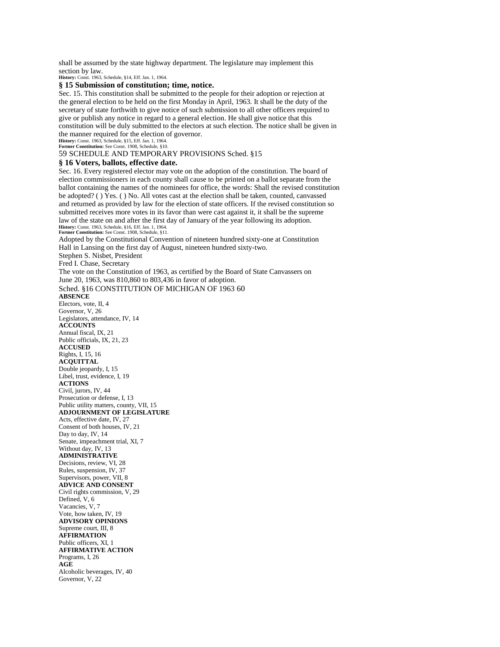shall be assumed by the state highway department. The legislature may implement this section by law.

**History:** Const. 1963, Schedule, §14, Eff. Jan. 1, 1964.

## **§ 15 Submission of constitution; time, notice.**

Sec. 15. This constitution shall be submitted to the people for their adoption or rejection at the general election to be held on the first Monday in April, 1963. It shall be the duty of the secretary of state forthwith to give notice of such submission to all other officers required to give or publish any notice in regard to a general election. He shall give notice that this constitution will be duly submitted to the electors at such election. The notice shall be given in the manner required for the election of governor. **History:** Const. 1963, Schedule, §15, Eff. Jan. 1, 1964.

**Former Constitution:** See Const. 1908, Schedule, §10.

59 SCHEDULE AND TEMPORARY PROVISIONS Sched. §15

#### **§ 16 Voters, ballots, effective date.**

Sec. 16. Every registered elector may vote on the adoption of the constitution. The board of election commissioners in each county shall cause to be printed on a ballot separate from the ballot containing the names of the nominees for office, the words: Shall the revised constitution be adopted? ( ) Yes. ( ) No. All votes cast at the election shall be taken, counted, canvassed and returned as provided by law for the election of state officers. If the revised constitution so submitted receives more votes in its favor than were cast against it, it shall be the supreme law of the state on and after the first day of January of the year following its adoption. **History:** Const. 1963, Schedule, §16, Eff. Jan. 1, 1964. **Former Constitution:** See Const. 1908, Schedule, §11.

Adopted by the Constitutional Convention of nineteen hundred sixty-one at Constitution Hall in Lansing on the first day of August, nineteen hundred sixty-two.

Stephen S. Nisbet, President

Fred I. Chase, Secretary

The vote on the Constitution of 1963, as certified by the Board of State Canvassers on June 20, 1963, was 810,860 to 803,436 in favor of adoption.

Sched. §16 CONSTITUTION OF MICHIGAN OF 1963 60 **ABSENCE** Electors, vote, II, 4 Governor, V, 26 Legislators, attendance, IV, 14 **ACCOUNTS** Annual fiscal, IX, 21 Public officials, IX, 21, 23 **ACCUSED** Rights, I, 15, 16 **ACQUITTAL** Double jeopardy, I, 15 Libel, trust, evidence, I, 19 **ACTIONS** Civil, jurors, IV, 44 Prosecution or defense, I, 13 Public utility matters, county, VII, 15 **ADJOURNMENT OF LEGISLATURE** Acts, effective date, IV, 27 Consent of both houses, IV, 21 Day to day, IV, 14 Senate, impeachment trial, XI, 7 Without day, IV, 13 **ADMINISTRATIVE** Decisions, review, VI, 28 Rules, suspension, IV, 37 Supervisors, power, VII, 8 **ADVICE AND CONSENT** Civil rights commission, V, 29 Defined, V, 6 Vacancies, V, 7 Vote, how taken, IV, 19 **ADVISORY OPINIONS** Supreme court, III, 8 **AFFIRMATION** Public officers, XI, 1 **AFFIRMATIVE ACTION** Programs, I, 26 **AGE** Alcoholic beverages, IV, 40 Governor, V, 22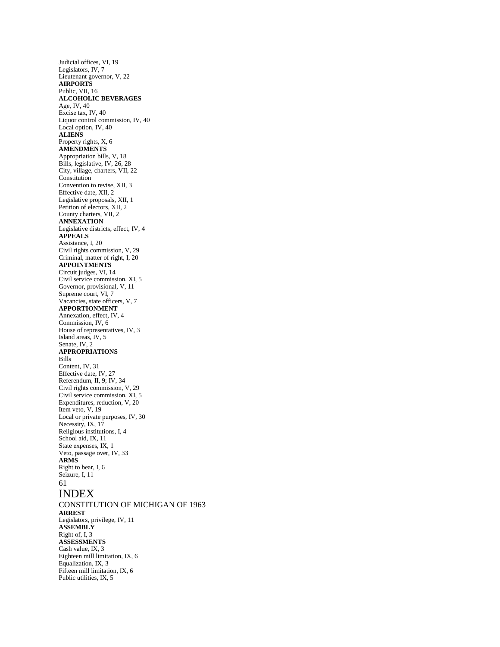Judicial offices, VI, 19 Legislators, IV, 7 Lieutenant governor, V, 22 **AIRPORTS** Public, VII, 16 **ALCOHOLIC BEVERAGES** Age, IV, 40 Excise tax, IV, 40 Liquor control commission, IV, 40 Local option, IV, 40 **ALIENS** Property rights, X, 6 **AMENDMENTS** Appropriation bills, V, 18 Bills, legislative, IV, 26, 28 City, village, charters, VII, 22 **Constitution** Convention to revise, XII, 3 Effective date, XII, 2 Legislative proposals, XII, 1 Petition of electors, XII, 2 County charters, VII, 2 **ANNEXATION** Legislative districts, effect, IV, 4 **APPEALS** Assistance, I, 20 Civil rights commission, V, 29 Criminal, matter of right, I, 20 **APPOINTMENTS** Circuit judges, VI, 14 Civil service commission, XI, 5 Governor, provisional, V, 11 Supreme court, VI, 7 Vacancies, state officers, V, 7 **APPORTIONMENT** Annexation, effect, IV, 4 Commission, IV, 6 House of representatives, IV, 3 Island areas, IV, 5 Senate, IV, 2 **APPROPRIATIONS** Bills Content, IV, 31 Effective date, IV, 27 Referendum, II, 9; IV, 34 Civil rights commission, V, 29 Civil service commission, XI, 5 Expenditures, reduction, V, 20 Item veto, V, 19 Local or private purposes, IV, 30 Necessity, IX,  $17$ Religious institutions, I, 4 School aid, IX, 11 State expenses, IX, 1 Veto, passage over, IV, 33 **ARMS** Right to bear, I, 6 Seizure, I, 11 61

## INDEX

CONSTITUTION OF MICHIGAN OF 1963 **ARREST** Legislators, privilege, IV, 11 **ASSEMBLY** Right of, I, 3 **ASSESSMENTS** Cash value, IX, 3 Eighteen mill limitation, IX, 6 Equalization, IX, 3 Fifteen mill limitation, IX, 6 Public utilities, IX, 5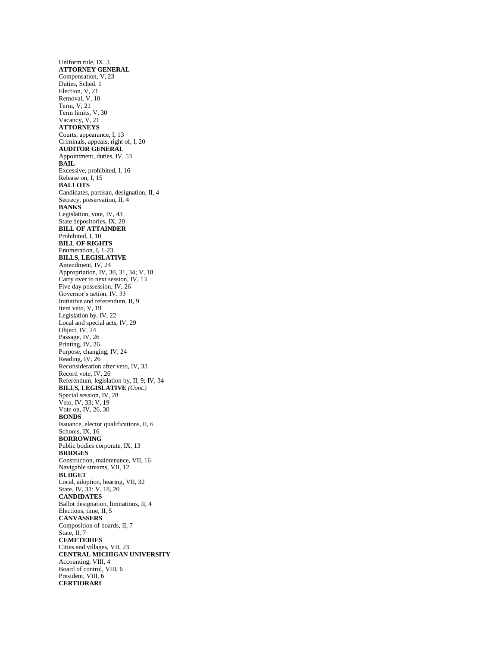Uniform rule, IX, 3 **ATTORNEY GENERAL** Compensation, V, 23 Duties, Sched. 1 Election, V, 21 Removal, V, 10 Term, V, 21 Term limits, V, 30 Vacancy, V, 21 **ATTORNEYS** Courts, appearance, I, 13 Criminals, appeals, right of, I, 20 **AUDITOR GENERAL** Appointment, duties, IV, 53 **BAIL** Excessive, prohibited, I, 16 Release on, I, 15 **BALLOTS** Candidates, partisan, designation, II, 4 Secrecy, preservation, II, 4 **BANKS** Legislation, vote, IV, 43 State depositories, IX, 20 **BILL OF ATTAINDER** Prohibited, I, 10 **BILL OF RIGHTS** Enumeration, I, 1-23 **BILLS, LEGISLATIVE** Amendment, IV, 24 Appropriation, IV, 30, 31, 34; V, 18 Carry over to next session, IV, 13 Five day possession, IV, 26 Governor's action, IV, 33 Initiative and referendum, II, 9 Item veto, V, 19 Legislation by, IV, 22 Local and special acts, IV, 29 Object, IV, 24 Passage, IV, 26 Printing, IV, 26 Purpose, changing, IV, 24 Reading, IV, 26 Reconsideration after veto, IV, 33 Record vote, IV, 26 Referendum, legislation by, II, 9; IV, 34 **BILLS, LEGISLATIVE** *(Cont.)* Special session, IV, 28 Veto, IV, 33; V, 19 Vote on, IV, 26, 30 **BONDS** Issuance, elector qualifications, II, 6 Schools, IX, 16 **BORROWING** Public bodies corporate, IX, 13 **BRIDGES** Construction, maintenance, VII, 16 Navigable streams, VII, 12 **BUDGET** Local, adoption, hearing, VII, 32 State, IV, 31; V, 18, 20 **CANDIDATES** Ballot designation, limitations, II, 4 Elections, time, II, 5 **CANVASSERS** Composition of boards, II, 7 State, II, 7 **CEMETERIES** Cities and villages, VII, 23 **CENTRAL MICHIGAN UNIVERSITY** Accounting, VIII, 4 Board of control, VIII, 6 President, VIII, 6 **CERTIORARI**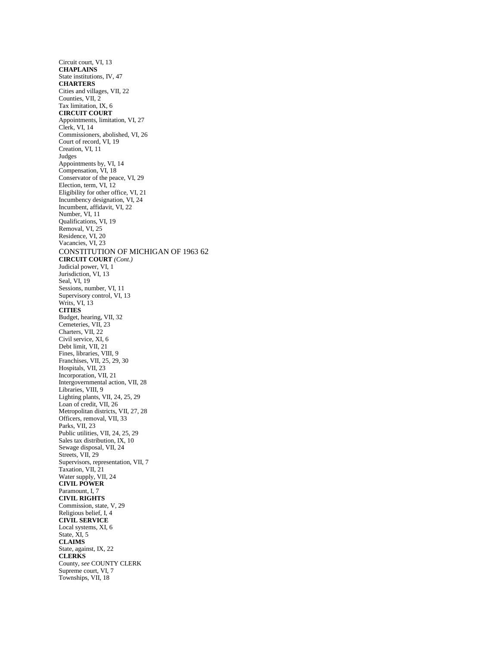Circuit court, VI, 13 **CHAPLAINS** State institutions, IV, 47 **CHARTERS** Cities and villages, VII, 22 Counties, VII, 2 Tax limitation, IX, 6 **CIRCUIT COURT** Appointments, limitation, VI, 27 Clerk, VI, 14 Commissioners, abolished, VI, 26 Court of record, VI, 19 Creation, VI, 11 Judges Appointments by, VI, 14 Compensation, VI, 18 Conservator of the peace, VI, 29 Election, term, VI, 12 Eligibility for other office, VI, 21 Incumbency designation, VI, 24 Incumbent, affidavit, VI, 22 Number, VI, 11 Qualifications, VI, 19 Removal, VI, 25 Residence, VI, 20 Vacancies, VI, 23 CONSTITUTION OF MICHIGAN OF 1963 62 **CIRCUIT COURT** *(Cont.)* Judicial power, VI, 1 Jurisdiction, VI, 13 Seal, VI, 19 Sessions, number, VI, 11 Supervisory control, VI, 13 Writs, VI, 13 **CITIES** Budget, hearing, VII, 32 Cemeteries, VII, 23 Charters, VII, 22 Civil service, XI, 6 Debt limit, VII, 21 Fines, libraries, VIII, 9 Franchises, VII, 25, 29, 30 Hospitals, VII, 23 Incorporation, VII, 21 Intergovernmental action, VII, 28 Libraries, VIII, 9 Lighting plants, VII, 24, 25, 29 Loan of credit, VII, 26 Metropolitan districts, VII, 27, 28 Officers, removal, VII, 33 Parks, VII, 23 Public utilities, VII, 24, 25, 29 Sales tax distribution, IX, 10 Sewage disposal, VII, 24 Streets, VII, 29 Supervisors, representation, VII, 7 Taxation, VII, 21 Water supply, VII, 24 **CIVIL POWER** Paramount, I, 7 **CIVIL RIGHTS** Commission, state, V, 29 Religious belief, I, 4 **CIVIL SERVICE** Local systems, XI, 6 State, XI, 5 **CLAIMS** State, against, IX, 22 **CLERKS** County, *see* COUNTY CLERK Supreme court, VI, 7 Townships, VII, 18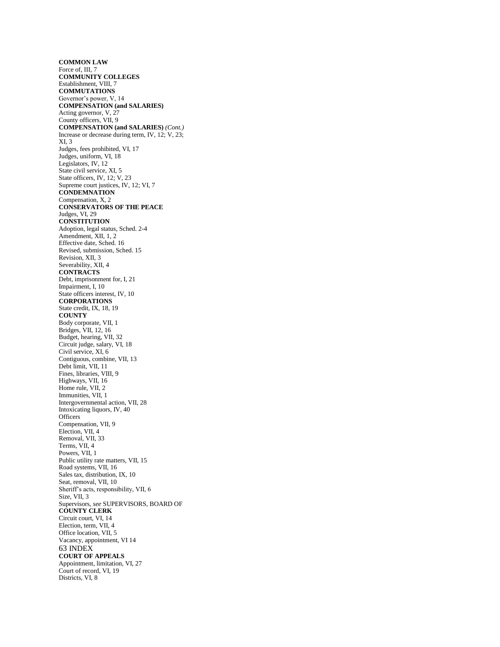**COMMON LAW** Force of, III, 7 **COMMUNITY COLLEGES** Establishment, VIII, 7 **COMMUTATIONS** Governor's power, V, 14 **COMPENSATION (and SALARIES)** Acting governor, V, 27 County officers, VII, 9 **COMPENSATION (and SALARIES)** *(Cont.)* Increase or decrease during term, IV, 12; V, 23; XI, 3 Judges, fees prohibited, VI, 17 Judges, uniform, VI, 18 Legislators, IV, 12 State civil service, XI, 5 State officers, IV, 12; V, 23 Supreme court justices, IV, 12; VI, 7 **CONDEMNATION** Compensation, X, 2 **CONSERVATORS OF THE PEACE** Judges, VI, 29 **CONSTITUTION** Adoption, legal status, Sched. 2-4 Amendment, XII, 1, 2 Effective date, Sched. 16 Revised, submission, Sched. 15 Revision, XII, 3 Severability, XII, 4 **CONTRACTS** Debt, imprisonment for, I, 21 Impairment, I, 10 State officers interest, IV, 10 **CORPORATIONS** State credit, IX, 18, 19 **COUNTY** Body corporate, VII, 1 Bridges, VII, 12, 16 Budget, hearing, VII, 32 Circuit judge, salary, VI, 18 Civil service, XI, 6 Contiguous, combine, VII, 13 Debt limit, VII, 11 Fines, libraries, VIII, 9 Highways, VII, 16 Home rule, VII, 2 Immunities, VII, 1 Intergovernmental action, VII, 28 Intoxicating liquors, IV, 40 **Officers** Compensation, VII, 9 Election, VII, 4 Removal, VII, 33 Terms, VII, 4 Powers, VII, 1 Public utility rate matters, VII, 15 Road systems, VII, 16 Sales tax, distribution, IX, 10 Seat, removal, VII, 10 Sheriff's acts, responsibility, VII, 6 Size, VII, 3 Supervisors, *see* SUPERVISORS, BOARD OF **COUNTY CLERK** Circuit court, VI, 14 Election, term, VII, 4 Office location, VII, 5 Vacancy, appointment, VI 14 63 INDEX **COURT OF APPEALS** Appointment, limitation, VI, 27 Court of record, VI, 19 Districts, VI, 8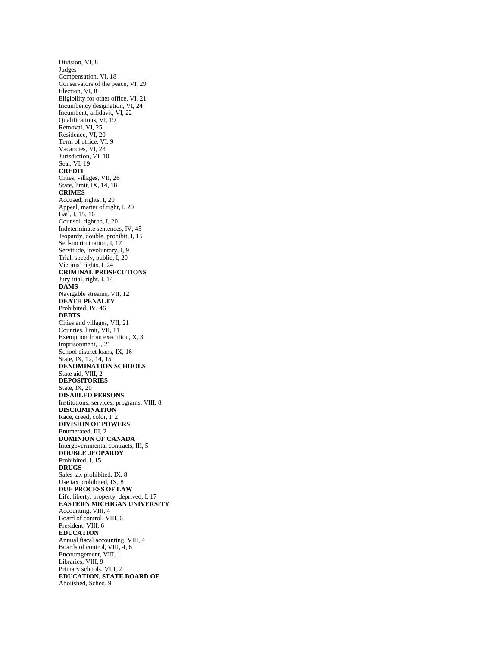Division, VI, 8 Judges Compensation, VI, 18 Conservators of the peace, VI, 29 Election, VI, 8 Eligibility for other office, VI, 21 Incumbency designation, VI, 24 Incumbent, affidavit, VI, 22 Qualifications, VI, 19 Removal, VI, 25 Residence, VI, 20 Term of office, VI, 9 Vacancies, VI, 23 Jurisdiction, VI, 10 Seal, VI, 19 **CREDIT** Cities, villages, VII, 26 State, limit, IX, 14, 18 **CRIMES** Accused, rights, I, 20 Appeal, matter of right, I, 20 Bail, I, 15, 16 Counsel, right to, I, 20 Indeterminate sentences, IV, 45 Jeopardy, double, prohibit, I, 15 Self-incrimination, I, 17 Servitude, involuntary, I, 9 Trial, speedy, public, I, 20 Victims' rights, I, 24 **CRIMINAL PROSECUTIONS** Jury trial, right, I, 14 **DAMS** Navigable streams, VII, 12 **DEATH PENALTY** Prohibited, IV, 46 **DEBTS** Cities and villages, VII, 21 Counties, limit, VII, 11 Exemption from execution, X, 3 Imprisonment, I, 21 School district loans, IX, 16 State, IX, 12, 14, 15 **DENOMINATION SCHOOLS** State aid, VIII, 2 **DEPOSITORIES** State, IX, 20 **DISABLED PERSONS** Institutions, services, programs, VIII, 8 **DISCRIMINATION** Race, creed, color, I, 2 **DIVISION OF POWERS** Enumerated, III, 2 **DOMINION OF CANADA** Intergovernmental contracts, III, 5 **DOUBLE JEOPARDY** Prohibited, I, 15 **DRUGS** Sales tax prohibited, IX, 8 Use tax prohibited, IX, 8 **DUE PROCESS OF LAW** Life, liberty, property, deprived, I, 17 **EASTERN MICHIGAN UNIVERSITY** Accounting, VIII, 4 Board of control, VIII, 6 President, VIII, 6 **EDUCATION** Annual fiscal accounting, VIII, 4 Boards of control, VIII, 4, 6 Encouragement, VIII, 1 Libraries, VIII, 9 Primary schools, VIII, 2 **EDUCATION, STATE BOARD OF** Abolished, Sched. 9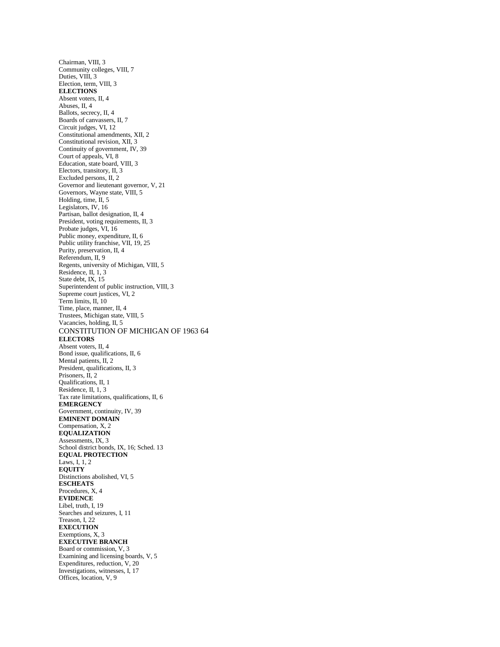Chairman, VIII, 3 Community colleges, VIII, 7 Duties, VIII, 3 Election, term, VIII, 3 **ELECTIONS** Absent voters, II, 4 Abuses, II, 4 Ballots, secrecy, II, 4 Boards of canvassers, II, 7 Circuit judges, VI, 12 Constitutional amendments, XII, 2 Constitutional revision, XII, 3 Continuity of government, IV, 39 Court of appeals, VI, 8 Education, state board, VIII, 3 Electors, transitory, II, 3 Excluded persons, II, 2 Governor and lieutenant governor, V, 21 Governors, Wayne state, VIII, 5 Holding, time, II, 5 Legislators, IV, 16 Partisan, ballot designation, II, 4 President, voting requirements, II, 3 Probate judges, VI, 16 Public money, expenditure, II, 6 Public utility franchise, VII, 19, 25 Purity, preservation, II, 4 Referendum, II, 9 Regents, university of Michigan, VIII, 5 Residence, II, 1, 3 State debt, IX, 15 Superintendent of public instruction, VIII, 3 Supreme court justices, VI, 2 Term limits, II, 10 Time, place, manner, II, 4 Trustees, Michigan state, VIII, 5 Vacancies, holding, II, 5 CONSTITUTION OF MICHIGAN OF 1963 64 **ELECTORS** Absent voters, II, 4 Bond issue, qualifications, II, 6 Mental patients, II, 2 President, qualifications, II, 3 Prisoners, II, 2 Qualifications, II, 1 Residence, II, 1, 3 Tax rate limitations, qualifications, II, 6 **EMERGENCY** Government, continuity, IV, 39 **EMINENT DOMAIN** Compensation, X, 2 **EQUALIZATION** Assessments, IX, 3 School district bonds, IX, 16; Sched. 13 **EQUAL PROTECTION** Laws, I, 1, 2 **EQUITY** Distinctions abolished, VI, 5 **ESCHEATS** Procedures, X, 4 **EVIDENCE** Libel, truth, I, 19 Searches and seizures, I, 11 Treason, I, 22 **EXECUTION** Exemptions, X, 3 **EXECUTIVE BRANCH** Board or commission, V, 3 Examining and licensing boards, V, 5 Expenditures, reduction, V, 20 Investigations, witnesses, I, 17 Offices, location, V, 9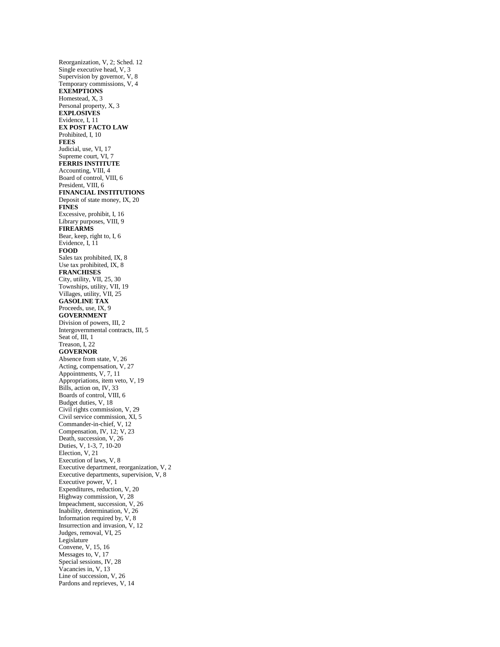Reorganization, V, 2; Sched. 12 Single executive head, V, 3 Supervision by governor, V, 8 Temporary commissions, V, 4 **EXEMPTIONS** Homestead, X, 3 Personal property, X, 3 **EXPLOSIVES** Evidence, I, 11 **EX POST FACTO LAW** Prohibited, I, 10 **FEES** Judicial, use, VI, 17 Supreme court, VI, 7 **FERRIS INSTITUTE** Accounting, VIII, 4 Board of control, VIII, 6 President, VIII, 6 **FINANCIAL INSTITUTIONS** Deposit of state money, IX, 20 **FINES** Excessive, prohibit, I, 16 Library purposes, VIII, 9 **FIREARMS** Bear, keep, right to, I, 6 Evidence, I, 11 **FOOD** Sales tax prohibited, IX, 8 Use tax prohibited, IX, 8 **FRANCHISES** City, utility, VII, 25, 30 Townships, utility, VII, 19 Villages, utility, VII, 25 **GASOLINE TAX** Proceeds, use, IX, 9 **GOVERNMENT** Division of powers, III, 2 Intergovernmental contracts, III, 5 Seat of, III, 1 Treason, I, 22 **GOVERNOR** Absence from state, V, 26 Acting, compensation, V, 27 Appointments, V, 7, 11 Appropriations, item veto, V, 19 Bills, action on, IV, 33 Boards of control, VIII, 6 Budget duties, V, 18 Civil rights commission, V, 29 Civil service commission, XI, 5 Commander-in-chief, V, 12 Compensation, IV, 12; V, 23 Death, succession, V, 26 Duties, V, 1-3, 7, 10-20 Election, V, 21 Execution of laws, V, 8 Executive department, reorganization, V, 2 Executive departments, supervision, V, 8 Executive power, V, 1 Expenditures, reduction, V, 20 Highway commission, V, 28 Impeachment, succession, V, 26 Inability, determination, V, 26 Information required by, V, 8 Insurrection and invasion, V, 12 Judges, removal, VI, 25 Legislature Convene, V, 15, 16 Messages to, V, 17 Special sessions, IV, 28 Vacancies in, V, 13 Line of succession, V, 26 Pardons and reprieves, V, 14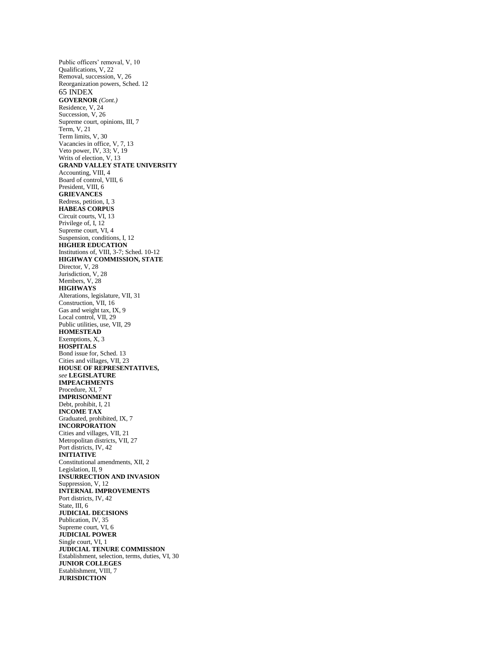Public officers' removal, V, 10 Qualifications, V, 22 Removal, succession, V, 26 Reorganization powers, Sched. 12 65 INDEX **GOVERNOR** *(Cont.)* Residence, V, 24 Succession, V, 26 Supreme court, opinions, III, 7 Term, V, 21 Term limits, V, 30 Vacancies in office, V, 7, 13 Veto power, IV, 33; V, 19 Writs of election, V, 13 **GRAND VALLEY STATE UNIVERSITY** Accounting, VIII, 4 Board of control, VIII, 6 President, VIII, 6 **GRIEVANCES** Redress, petition, I, 3 **HABEAS CORPUS** Circuit courts, VI, 13 Privilege of, I, 12 Supreme court, VI, 4 Suspension, conditions, I, 12 **HIGHER EDUCATION** Institutions of, VIII, 3-7; Sched. 10-12 **HIGHWAY COMMISSION, STATE** Director, V, 28 Jurisdiction, V, 28 Members, V, 28 **HIGHWAYS** Alterations, legislature, VII, 31 Construction, VII, 16 Gas and weight tax, IX, 9 Local control, VII, 29 Public utilities, use, VII, 29 **HOMESTEAD** Exemptions, X, 3 **HOSPITALS** Bond issue for, Sched. 13 Cities and villages, VII, 23 **HOUSE OF REPRESENTATIVES,** *see* **LEGISLATURE IMPEACHMENTS** Procedure, XI, 7 **IMPRISONMENT** Debt, prohibit, I, 21 **INCOME TAX** Graduated, prohibited, IX, 7 **INCORPORATION** Cities and villages, VII, 21 Metropolitan districts, VII, 27 Port districts, IV, 42 **INITIATIVE** Constitutional amendments, XII, 2 Legislation, II, 9 **INSURRECTION AND INVASION** Suppression, V, 12 **INTERNAL IMPROVEMENTS** Port districts, IV, 42 State, III, 6 **JUDICIAL DECISIONS** Publication, IV, 35 Supreme court, VI, 6 **JUDICIAL POWER** Single court, VI, 1 **JUDICIAL TENURE COMMISSION** Establishment, selection, terms, duties, VI, 30 **JUNIOR COLLEGES** Establishment, VIII, 7 **JURISDICTION**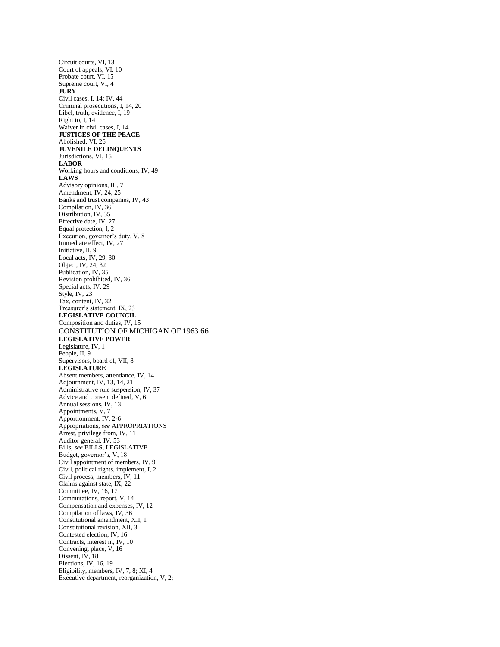Circuit courts, VI, 13 Court of appeals, VI, 10 Probate court, VI, 15 Supreme court, VI, 4 **JURY** Civil cases, I, 14; IV, 44 Criminal prosecutions, I, 14, 20 Libel, truth, evidence, I, 19 Right to, I, 14 Waiver in civil cases, I, 14 **JUSTICES OF THE PEACE** Abolished, VI, 26 **JUVENILE DELINQUENTS** Jurisdictions, VI, 15 **LABOR** Working hours and conditions, IV, 49 **LAWS** Advisory opinions, III, 7 Amendment, IV, 24, 25 Banks and trust companies, IV, 43 Compilation, IV, 36 Distribution, IV, 35 Effective date, IV, 27 Equal protection, I, 2 Execution, governor's duty, V, 8 Immediate effect, IV, 27 Initiative, II, 9 Local acts, IV, 29, 30 Object, IV, 24, 32 Publication, IV, 35 Revision prohibited, IV, 36 Special acts, IV, 29 Style, IV, 23 Tax, content, IV, 32 Treasurer's statement, IX, 23 **LEGISLATIVE COUNCIL** Composition and duties, IV, 15 CONSTITUTION OF MICHIGAN OF 1963 66 **LEGISLATIVE POWER** Legislature, IV, 1 People, II, 9 Supervisors, board of, VII, 8 **LEGISLATURE** Absent members, attendance, IV, 14 Adjournment, IV, 13, 14, 21 Administrative rule suspension, IV, 37 Advice and consent defined, V, 6 Annual sessions, IV, 13 Appointments, V, 7 Apportionment, IV, 2-6 Appropriations, *see* APPROPRIATIONS Arrest, privilege from, IV, 11 Auditor general, IV, 53 Bills, *see* BILLS, LEGISLATIVE Budget, governor's, V, 18 Civil appointment of members, IV, 9 Civil, political rights, implement, I, 2 Civil process, members, IV, 11 Claims against state, IX, 22 Committee, IV, 16, 17 Commutations, report, V, 14 Compensation and expenses, IV, 12 Compilation of laws, IV, 36 Constitutional amendment, XII, 1 Constitutional revision, XII, 3 Contested election, IV, 16 Contracts, interest in, IV, 10 Convening, place, V, 16 Dissent, IV, 18 Elections, IV, 16, 19 Eligibility, members, IV, 7, 8; XI, 4 Executive department, reorganization, V, 2;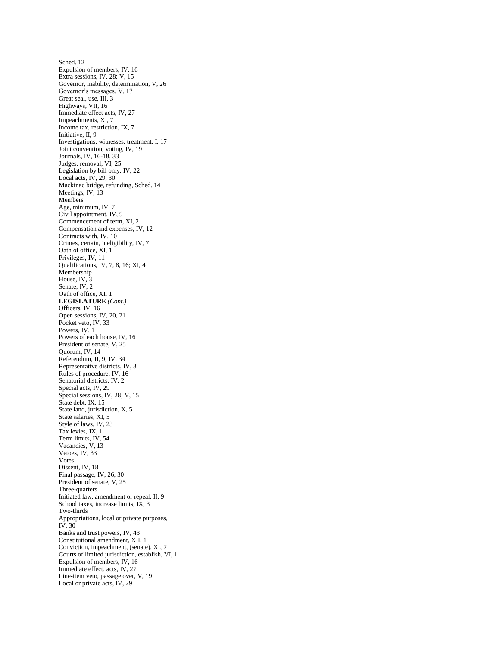Sched. 12 Expulsion of members, IV, 16 Extra sessions, IV, 28; V, 15 Governor, inability, determination, V, 26 Governor's messages, V, 17 Great seal, use, III, 3 Highways, VII, 16 Immediate effect acts, IV, 27 Impeachments, XI, 7 Income tax, restriction, IX, 7 Initiative, II, 9 Investigations, witnesses, treatment, I, 17 Joint convention, voting, IV, 19 Journals, IV, 16-18, 33 Judges, removal, VI, 25 Legislation by bill only, IV, 22 Local acts, IV, 29, 30 Mackinac bridge, refunding, Sched. 14 Meetings, IV, 13 Members Age, minimum, IV, 7 Civil appointment, IV, 9 Commencement of term, XI, 2 Compensation and expenses, IV, 12 Contracts with, IV,  $10$ Crimes, certain, ineligibility, IV, 7 Oath of office, XI, 1 Privileges, IV, 11 Qualifications, IV, 7, 8, 16; XI, 4 Membership House, IV, 3 Senate, IV, 2 Oath of office, XI, 1 **LEGISLATURE** *(Cont.)* Officers, IV, 16 Open sessions, IV, 20, 21 Pocket veto, IV, 33 Powers, IV, 1 Powers of each house, IV, 16 President of senate, V, 25 Quorum, IV, 14 Referendum, II, 9; IV, 34 Representative districts, IV, 3 Rules of procedure, IV, 16 Senatorial districts, IV, 2 Special acts, IV, 29 Special sessions, IV, 28; V, 15 State debt, IX, 15 State land, jurisdiction, X, 5 State salaries, XI, 5 Style of laws, IV, 23 Tax levies, IX, 1 Term limits, IV, 54 Vacancies, V, 13 Vetoes, IV, 33 Votes Dissent, IV, 18 Final passage, IV, 26, 30 President of senate, V, 25 Three-quarters Initiated law, amendment or repeal, II, 9 School taxes, increase limits, IX, 3 Two-thirds Appropriations, local or private purposes, IV, 30 Banks and trust powers, IV, 43 Constitutional amendment, XII, 1 Conviction, impeachment, (senate), XI, 7 Courts of limited jurisdiction, establish, VI, 1 Expulsion of members, IV, 16 Immediate effect, acts, IV, 27 Line-item veto, passage over, V, 19 Local or private acts, IV, 29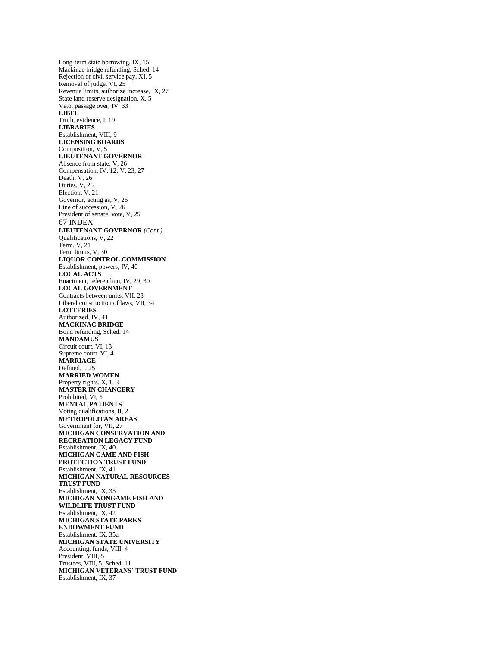Long-term state borrowing, IX, 15 Mackinac bridge refunding, Sched. 14 Rejection of civil service pay, XI, 5 Removal of judge, VI, 25 Revenue limits, authorize increase, IX, 27 State land reserve designation, X, 5 Veto, passage over, IV, 33 **LIBEL** Truth, evidence, I, 19 **LIBRARIES** Establishment, VIII, 9 **LICENSING BOARDS** Composition, V, 5 **LIEUTENANT GOVERNOR** Absence from state, V, 26 Compensation, IV, 12; V, 23, 27 Death, V, 26 Duties, V, 25 Election, V, 21 Governor, acting as, V, 26 Line of succession, V, 26 President of senate, vote, V, 25 67 INDEX **LIEUTENANT GOVERNOR** *(Cont.)* Qualifications, V, 22 Term, V, 21 Term limits, V, 30 **LIQUOR CONTROL COMMISSION** Establishment, powers, IV, 40 **LOCAL ACTS** Enactment, referendum, IV, 29, 30 **LOCAL GOVERNMENT** Contracts between units, VII, 28 Liberal construction of laws, VII, 34 **LOTTERIES** Authorized, IV, 41 **MACKINAC BRIDGE** Bond refunding, Sched. 14 **MANDAMUS** Circuit court, VI, 13 Supreme court, VI, 4 **MARRIAGE** Defined, I, 25 **MARRIED WOMEN** Property rights, X, 1, 3 **MASTER IN CHANCERY** Prohibited, VI, 5 **MENTAL PATIENTS** Voting qualifications, II, 2 **METROPOLITAN AREAS** Government for, VII, 27 **MICHIGAN CONSERVATION AND RECREATION LEGACY FUND** Establishment, IX, 40 **MICHIGAN GAME AND FISH PROTECTION TRUST FUND** Establishment, IX, 41 **MICHIGAN NATURAL RESOURCES TRUST FUND** Establishment, IX, 35 **MICHIGAN NONGAME FISH AND WILDLIFE TRUST FUND** Establishment, IX, 42 **MICHIGAN STATE PARKS ENDOWMENT FUND** Establishment, IX, 35a **MICHIGAN STATE UNIVERSITY** Accounting, funds, VIII, 4 President, VIII, 5 Trustees, VIII, 5; Sched. 11 **MICHIGAN VETERANS' TRUST FUND** Establishment, IX, 37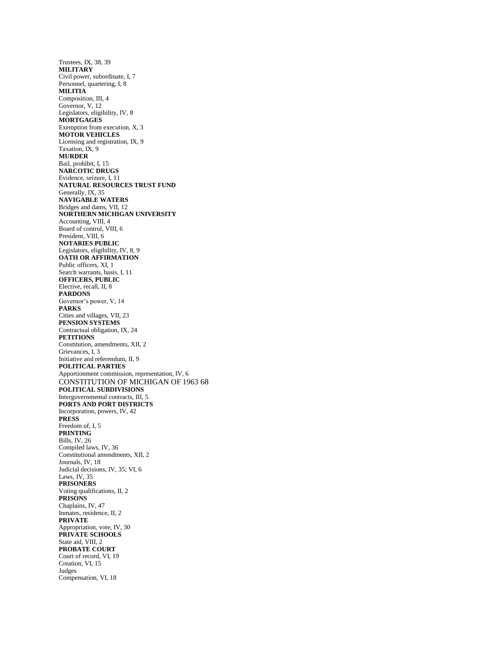Trustees, IX, 38, 39 **MILITARY** Civil power, subordinate, I, 7 Personnel, quartering, I, 8 **MILITIA** Composition, III, 4 Governor, V, 12 Legislators, eligibility, IV, 8 **MORTGAGES** Exemption from execution, X, 3 **MOTOR VEHICLES** Licensing and registration, IX, 9 Taxation, IX, 9 **MURDER** Bail, prohibit, I, 15 **NARCOTIC DRUGS** Evidence, seizure, I, 11 **NATURAL RESOURCES TRUST FUND** Generally, IX, 35 **NAVIGABLE WATERS** Bridges and dams, VII, 12 **NORTHERN MICHIGAN UNIVERSITY** Accounting, VIII, 4 Board of control, VIII, 6 President, VIII, 6 **NOTARIES PUBLIC** Legislators, eligibility, IV, 8, 9 **OATH OR AFFIRMATION** Public officers, XI, 1 Search warrants, basis, I, 11 **OFFICERS, PUBLIC** Elective, recall, II, 8 **PARDONS** Governor's power, V, 14 **PARKS** Cities and villages, VII, 23 **PENSION SYSTEMS** Contractual obligation, IX, 24 **PETITIONS** Constitution, amendments, XII, 2 Grievances, I, 3 Initiative and referendum, II, 9 **POLITICAL PARTIES** Apportionment commission, representation, IV, 6 CONSTITUTION OF MICHIGAN OF 1963 68 **POLITICAL SUBDIVISIONS** Intergovernmental contracts, III, 5 **PORTS AND PORT DISTRICTS** Incorporation, powers, IV, 42 **PRESS** Freedom of, I, 5 **PRINTING** Bills, IV, 26 Compiled laws, IV, 36 Constitutional amendments, XII, 2 Journals, IV, 18 Judicial decisions, IV, 35; VI, 6 Laws, IV, 35 **PRISONERS** Voting qualifications, II, 2 **PRISONS** Chaplains, IV, 47 Inmates, residence, II, 2 **PRIVATE** Appropriation, vote, IV, 30 **PRIVATE SCHOOLS** State aid, VIII, 2 **PROBATE COURT** Court of record, VI, 19 Creation, VI, 15 Judges Compensation, VI, 18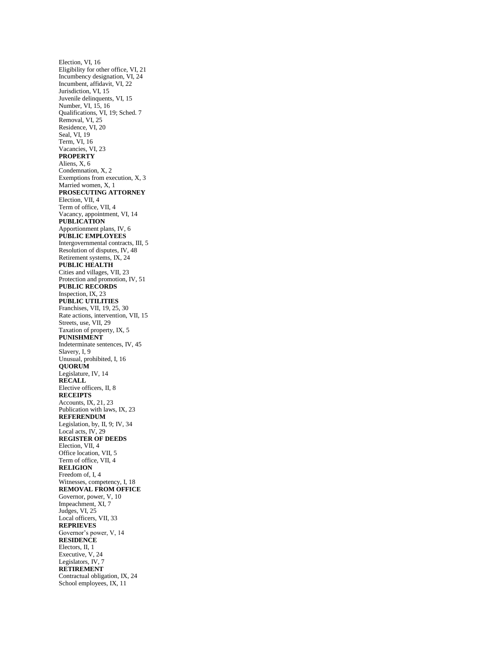Election, VI, 16 Eligibility for other office, VI, 21 Incumbency designation, VI, 24 Incumbent, affidavit, VI, 22 Jurisdiction, VI, 15 Juvenile delinquents, VI, 15 Number, VI, 15, 16 Qualifications, VI, 19; Sched. 7 Removal, VI, 25 Residence, VI, 20 Seal, VI, 19 Term, VI, 16 Vacancies, VI, 23 **PROPERTY** Aliens, X, 6 Condemnation, X, 2 Exemptions from execution, X, 3 Married women, X, 1 **PROSECUTING ATTORNEY** Election, VII, 4 Term of office, VII, 4 Vacancy, appointment, VI, 14 **PUBLICATION** Apportionment plans, IV, 6 **PUBLIC EMPLOYEES** Intergovernmental contracts, III, 5 Resolution of disputes, IV, 48 Retirement systems, IX, 24 **PUBLIC HEALTH** Cities and villages, VII, 23 Protection and promotion, IV, 51 **PUBLIC RECORDS** Inspection, IX, 23 **PUBLIC UTILITIES** Franchises, VII, 19, 25, 30 Rate actions, intervention, VII, 15 Streets, use, VII, 29 Taxation of property, IX, 5 **PUNISHMENT** Indeterminate sentences, IV, 45 Slavery, I, 9 Unusual, prohibited, I, 16 **QUORUM** Legislature, IV, 14 **RECALL** Elective officers, II, 8 **RECEIPTS** Accounts, IX, 21, 23 Publication with laws, IX, 23 **REFERENDUM** Legislation, by, II, 9; IV, 34 Local acts, IV, 29 **REGISTER OF DEEDS** Election, VII, 4 Office location, VII, 5 Term of office, VII, 4 **RELIGION** Freedom of, I, 4 Witnesses, competency, I, 18 **REMOVAL FROM OFFICE** Governor, power, V, 10 Impeachment, XI, 7 Judges, VI, 25 Local officers, VII, 33 **REPRIEVES** Governor's power, V, 14 **RESIDENCE** Electors, II, 1 Executive, V, 24 Legislators, IV, 7 **RETIREMENT** Contractual obligation, IX, 24 School employees, IX, 11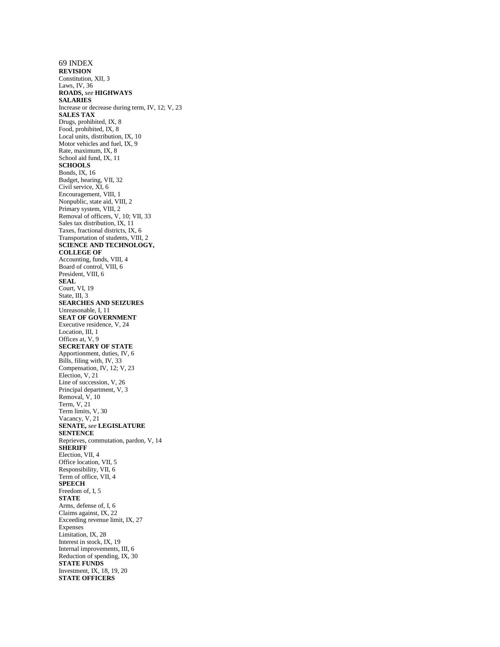69 INDEX **REVISION** Constitution, XII, 3 Laws, IV, 36 **ROADS,** *see* **HIGHWAYS SALARIES** Increase or decrease during term, IV, 12; V, 23 **SALES TAX** Drugs, prohibited, IX, 8 Food, prohibited, IX, 8 Local units, distribution, IX, 10 Motor vehicles and fuel, IX, 9 Rate, maximum, IX, 8 School aid fund, IX, 11 **SCHOOLS** Bonds, IX, 16 Budget, hearing, VII, 32 Civil service, XI, 6 Encouragement, VIII, 1 Nonpublic, state aid, VIII, 2 Primary system, VIII, 2 Removal of officers, V, 10; VII, 33 Sales tax distribution, IX, 11 Taxes, fractional districts, IX, 6 Transportation of students, VIII, 2 **SCIENCE AND TECHNOLOGY, COLLEGE OF** Accounting, funds, VIII, 4 Board of control, VIII, 6 President, VIII, 6 **SEAL** Court, VI, 19 State, III, 3 **SEARCHES AND SEIZURES** Unreasonable, I, 11 **SEAT OF GOVERNMENT** Executive residence, V, 24 Location, III, 1 Offices at, V, 9 **SECRETARY OF STATE** Apportionment, duties, IV, 6 Bills, filing with, IV, 33 Compensation, IV, 12; V, 23 Election, V, 21 Line of succession, V, 26 Principal department, V, 3 Removal, V, 10 Term, V, 21 Term limits, V, 30 Vacancy, V, 21 **SENATE,** *see* **LEGISLATURE SENTENCE** Reprieves, commutation, pardon, V, 14 **SHERIFF** Election, VII, 4 Office location, VII, 5 Responsibility, VII, 6 Term of office, VII, 4 **SPEECH** Freedom of, I, 5 **STATE** Arms, defense of, I, 6 Claims against, IX, 22 Exceeding revenue limit, IX, 27 Expenses Limitation, IX, 28 Interest in stock, IX, 19 Internal improvements, III, 6 Reduction of spending, IX, 30 **STATE FUNDS** Investment, IX, 18, 19, 20 **STATE OFFICERS**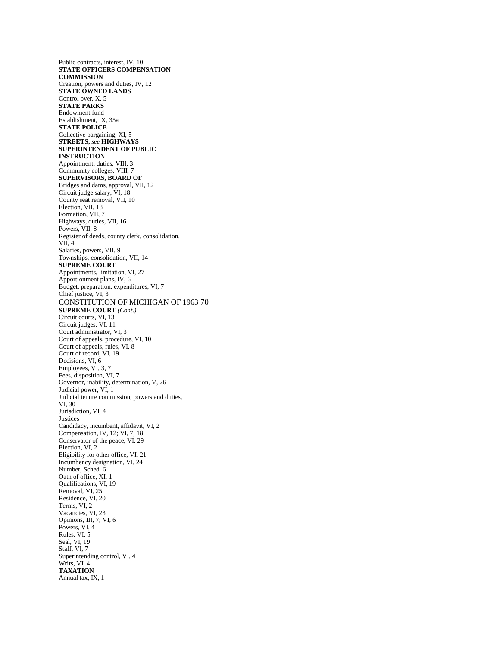Public contracts, interest, IV, 10 **STATE OFFICERS COMPENSATION COMMISSION** Creation, powers and duties, IV, 12 **STATE OWNED LANDS** Control over, X, 5 **STATE PARKS** Endowment fund Establishment, IX, 35a **STATE POLICE** Collective bargaining, XI, 5 **STREETS,** *see* **HIGHWAYS SUPERINTENDENT OF PUBLIC INSTRUCTION** Appointment, duties, VIII, 3 Community colleges, VIII, 7 **SUPERVISORS, BOARD OF** Bridges and dams, approval, VII, 12 Circuit judge salary, VI, 18 County seat removal, VII, 10 Election, VII, 18 Formation, VII, 7 Highways, duties, VII, 16 Powers, VII, 8 Register of deeds, county clerk, consolidation, VII, 4 Salaries, powers, VII, 9 Townships, consolidation, VII, 14 **SUPREME COURT** Appointments, limitation, VI, 27 Apportionment plans, IV, 6 Budget, preparation, expenditures, VI, 7 Chief justice, VI, 3 CONSTITUTION OF MICHIGAN OF 1963 70 **SUPREME COURT** *(Cont.)* Circuit courts, VI, 13 Circuit judges, VI, 11 Court administrator, VI, 3 Court of appeals, procedure, VI, 10 Court of appeals, rules, VI, 8 Court of record, VI, 19 Decisions, VI, 6 Employees, VI, 3, 7 Fees, disposition, VI, 7 Governor, inability, determination, V, 26 Judicial power, VI, 1 Judicial tenure commission, powers and duties, VI, 30 Jurisdiction, VI, 4 **Justices** Candidacy, incumbent, affidavit, VI, 2 Compensation, IV, 12; VI, 7, 18 Conservator of the peace, VI, 29 Election, VI, 2 Eligibility for other office, VI, 21 Incumbency designation, VI, 24 Number, Sched. 6 Oath of office, XI, 1 Qualifications, VI, 19 Removal, VI, 25 Residence, VI, 20 Terms, VI, 2 Vacancies, VI, 23 Opinions, III, 7; VI, 6 Powers, VI, 4 Rules, VI, 5 Seal, VI, 19 Staff, VI, 7 Superintending control, VI, 4 Writs, VI, 4 **TAXATION** Annual tax, IX, 1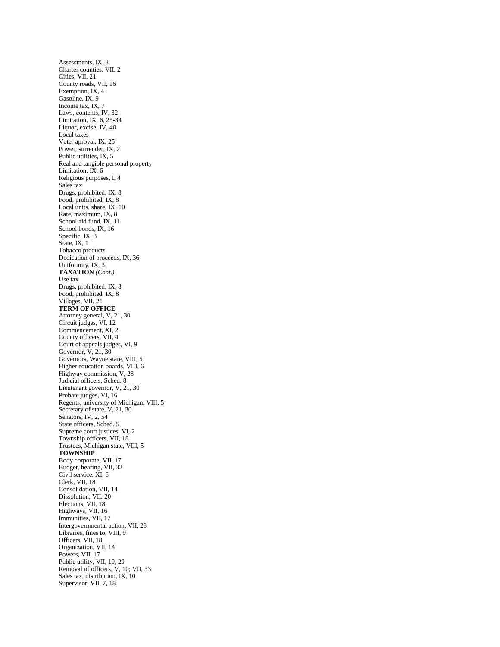Assessments, IX, 3 Charter counties, VII, 2 Cities, VII, 21 County roads, VII, 16 Exemption, IX, 4 Gasoline, IX, 9 Income tax, IX, 7 Laws, contents, IV, 32 Limitation, IX, 6, 25-34 Liquor, excise, IV, 40 Local taxes Voter aproval, IX, 25 Power, surrender, IX, 2 Public utilities, IX, 5 Real and tangible personal property Limitation, IX, 6 Religious purposes, I, 4 Sales tax Drugs, prohibited, IX, 8 Food, prohibited, IX, 8 Local units, share, IX, 10 Rate, maximum, IX, 8 School aid fund, IX, 11 School bonds, IX, 16 Specific, IX, 3 State, IX, 1 Tobacco products Dedication of proceeds, IX, 36 Uniformity, IX, 3 **TAXATION** *(Cont.)* Use tax Drugs, prohibited, IX, 8 Food, prohibited, IX, 8 Villages, VII, 21 **TERM OF OFFICE** Attorney general, V, 21, 30 Circuit judges, VI, 12 Commencement, XI, 2 County officers, VII, 4 Court of appeals judges, VI, 9 Governor,  $V$ , 21, 30 Governors, Wayne state, VIII, 5 Higher education boards, VIII, 6 Highway commission, V, 28 Judicial officers, Sched. 8 Lieutenant governor, V, 21, 30 Probate judges, VI, 16 Regents, university of Michigan, VIII, 5 Secretary of state, V, 21, 30 Senators, IV, 2, 54 State officers, Sched. 5 Supreme court justices, VI, 2 Township officers, VII, 18 Trustees, Michigan state, VIII, 5 **TOWNSHIP** Body corporate, VII, 17 Budget, hearing, VII, 32 Civil service, XI, 6 Clerk, VII, 18 Consolidation, VII, 14 Dissolution, VII, 20 Elections, VII, 18 Highways, VII, 16 Immunities, VII, 17 Intergovernmental action, VII, 28 Libraries, fines to, VIII, 9 Officers, VII, 18 Organization, VII, 14 Powers, VII, 17 Public utility, VII, 19, 29 Removal of officers, V, 10; VII, 33 Sales tax, distribution, IX, 10 Supervisor, VII, 7, 18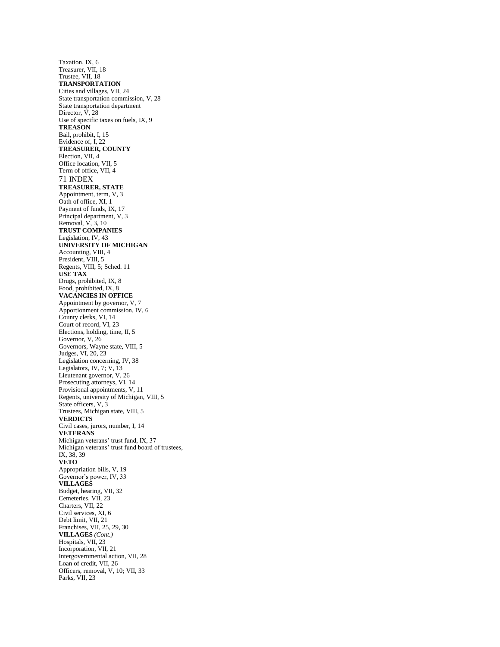Taxation, IX, 6 Treasurer, VII, 18 Trustee, VII, 18 **TRANSPORTATION** Cities and villages, VII, 24 State transportation commission, V, 28 State transportation department Director,  $\vec{V}$ , 28 Use of specific taxes on fuels, IX, 9 **TREASON** Bail, prohibit, I, 15 Evidence of, I, 22 **TREASURER, COUNTY** Election, VII, 4 Office location, VII, 5 Term of office, VII, 4 71 INDEX **TREASURER, STATE** Appointment, term, V, 3 Oath of office, XI, 1 Payment of funds, IX, 17 Principal department, V, 3 Removal, V, 3, 10 **TRUST COMPANIES** Legislation, IV, 43 **UNIVERSITY OF MICHIGAN** Accounting, VIII, 4 President, VIII, 5 Regents, VIII, 5; Sched. 11 **USE TAX** Drugs, prohibited, IX, 8 Food, prohibited, IX, 8 **VACANCIES IN OFFICE** Appointment by governor, V, 7 Apportionment commission, IV, 6 County clerks, VI, 14 Court of record, VI, 23 Elections, holding, time, II, 5 Governor, V, 26 Governors, Wayne state, VIII, 5 Judges, VI, 20, 23 Legislation concerning, IV, 38 Legislators, IV, 7; V, 13 Lieutenant governor, V, 26 Prosecuting attorneys, VI, 14 Provisional appointments, V, 11 Regents, university of Michigan, VIII, 5 State officers, V, 3 Trustees, Michigan state, VIII, 5 **VERDICTS** Civil cases, jurors, number, I, 14 **VETERANS** Michigan veterans' trust fund, IX, 37 Michigan veterans' trust fund board of trustees, IX, 38, 39 **VETO** Appropriation bills, V, 19 Governor's power, IV, 33 **VILLAGES** Budget, hearing, VII, 32 Cemeteries, VII, 23 Charters, VII, 22 Civil services, XI, 6 Debt limit, VII, 21 Franchises, VII, 25, 29, 30 **VILLAGES** *(Cont.)* Hospitals, VII, 23 Incorporation, VII, 21 Intergovernmental action, VII, 28 Loan of credit, VII, 26 Officers, removal, V, 10; VII, 33 Parks, VII, 23